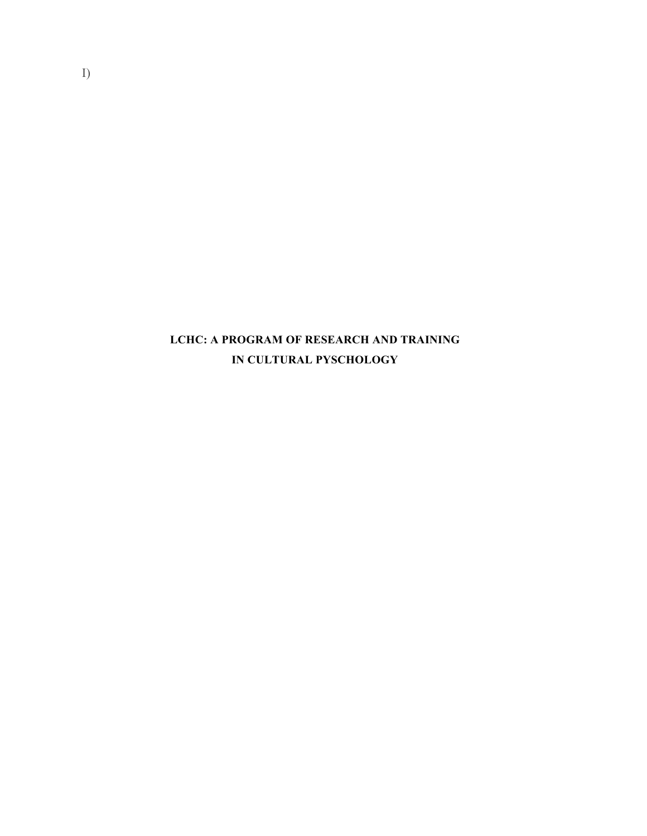# **LCHC: A PROGRAM OF RESEARCH AND TRAINING IN CULTURAL PYSCHOLOGY**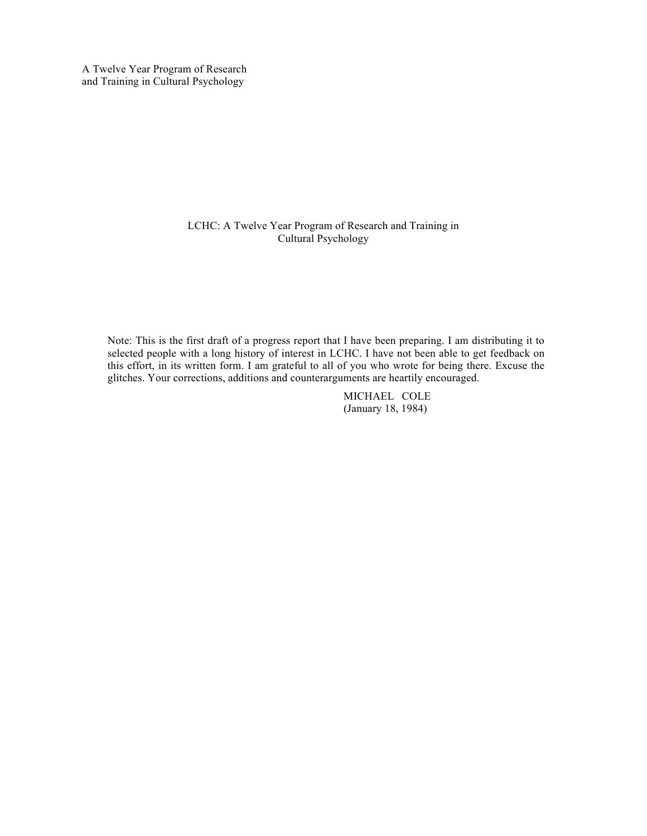A Twelve Year Program of Research and Training in Cultural Psychology

# LCHC: A Twelve Year Program of Research and Training in Cultural Psychology

Note: This is the first draft of a progress report that I have been preparing. I am distributing it to selected people with a long history of interest in LCHC. I have not been able to get feedback on this effort, in its written form. I am grateful to all of you who wrote for being there. Excuse the glitches. Your corrections, additions and counterarguments are heartily encouraged.

> MICHAEL COLE (January 18, 1984)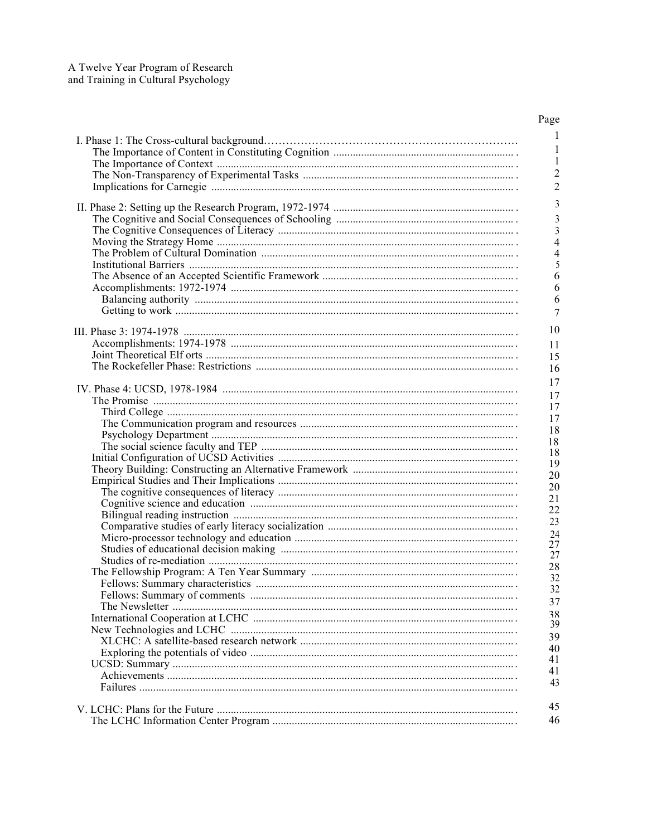| Page           |
|----------------|
| 1              |
| 1              |
| $\mathbf{1}$   |
| $\overline{2}$ |
| $\overline{2}$ |
|                |
| $\mathfrak{Z}$ |
| $\mathfrak{Z}$ |
| $\mathfrak{Z}$ |
| $\overline{4}$ |
| $\overline{4}$ |
| 5              |
| 6              |
| 6              |
| 6              |
| $\tau$         |
| 10             |
|                |
| 11             |
| 15             |
| 16             |
| 17             |
| 17             |
| 17             |
| 17             |
| 18             |
| 18             |
| 18             |
| 19             |
| 20             |
| 20             |
| 21             |
| 22             |
| 23             |
| 24             |
| 27             |
| 27             |
| 28             |
| 32             |
| 32             |
| 37             |
| 38<br>39       |
|                |
| 39             |
| 40             |
| 41<br>41       |
| 43             |
|                |
|                |
| 45             |
| 46             |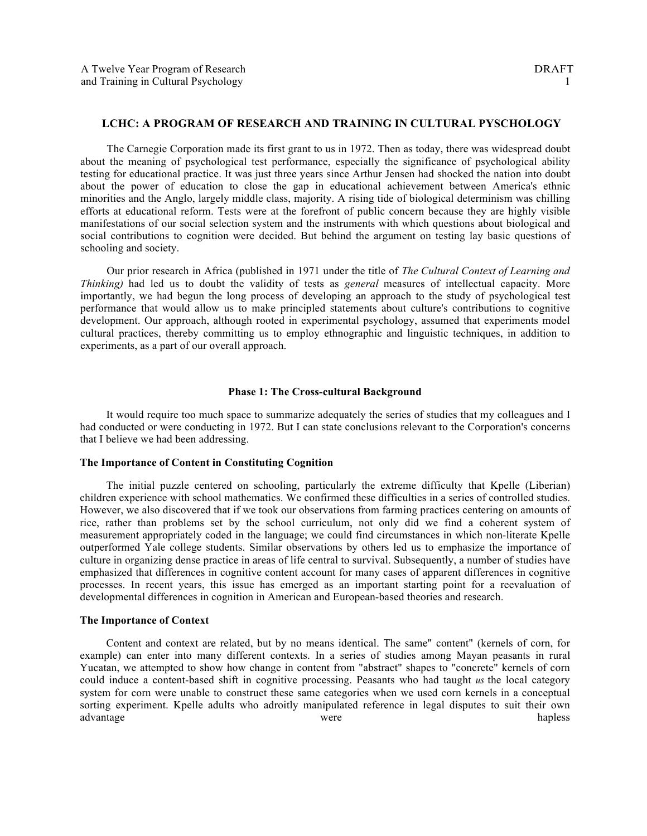# **LCHC: A PROGRAM OF RESEARCH AND TRAINING IN CULTURAL PYSCHOLOGY**

The Carnegie Corporation made its first grant to us in 1972. Then as today, there was widespread doubt about the meaning of psychological test performance, especially the significance of psychological ability testing for educational practice. It was just three years since Arthur Jensen had shocked the nation into doubt about the power of education to close the gap in educational achievement between America's ethnic minorities and the Anglo, largely middle class, majority. A rising tide of biological determinism was chilling efforts at educational reform. Tests were at the forefront of public concern because they are highly visible manifestations of our social selection system and the instruments with which questions about biological and social contributions to cognition were decided. But behind the argument on testing lay basic questions of schooling and society.

Our prior research in Africa (published in 1971 under the title of *The Cultural Context of Learning and Thinking*) had led us to doubt the validity of tests as *general* measures of intellectual capacity. More importantly, we had begun the long process of developing an approach to the study of psychological test performance that would allow us to make principled statements about culture's contributions to cognitive development. Our approach, although rooted in experimental psychology, assumed that experiments model cultural practices, thereby committing us to employ ethnographic and linguistic techniques, in addition to experiments, as a part of our overall approach.

#### **Phase 1: The Cross-cultural Background**

It would require too much space to summarize adequately the series of studies that my colleagues and I had conducted or were conducting in 1972. But I can state conclusions relevant to the Corporation's concerns that I believe we had been addressing.

#### **The Importance of Content in Constituting Cognition**

The initial puzzle centered on schooling, particularly the extreme difficulty that Kpelle (Liberian) children experience with school mathematics. We confirmed these difficulties in a series of controlled studies. However, we also discovered that if we took our observations from farming practices centering on amounts of rice, rather than problems set by the school curriculum, not only did we find a coherent system of measurement appropriately coded in the language; we could find circumstances in which non-literate Kpelle outperformed Yale college students. Similar observations by others led us to emphasize the importance of culture in organizing dense practice in areas of life central to survival. Subsequently, a number of studies have emphasized that differences in cognitive content account for many cases of apparent differences in cognitive processes. In recent years, this issue has emerged as an important starting point for a reevaluation of developmental differences in cognition in American and European-based theories and research.

#### **The Importance of Context**

Content and context are related, but by no means identical. The same" content" (kernels of corn, for example) can enter into many different contexts. In a series of studies among Mayan peasants in rural Yucatan, we attempted to show how change in content from "abstract" shapes to "concrete" kernels of corn could induce a content-based shift in cognitive processing. Peasants who had taught *us* the local category system for corn were unable to construct these same categories when we used corn kernels in a conceptual sorting experiment. Kpelle adults who adroitly manipulated reference in legal disputes to suit their own advantage were hapless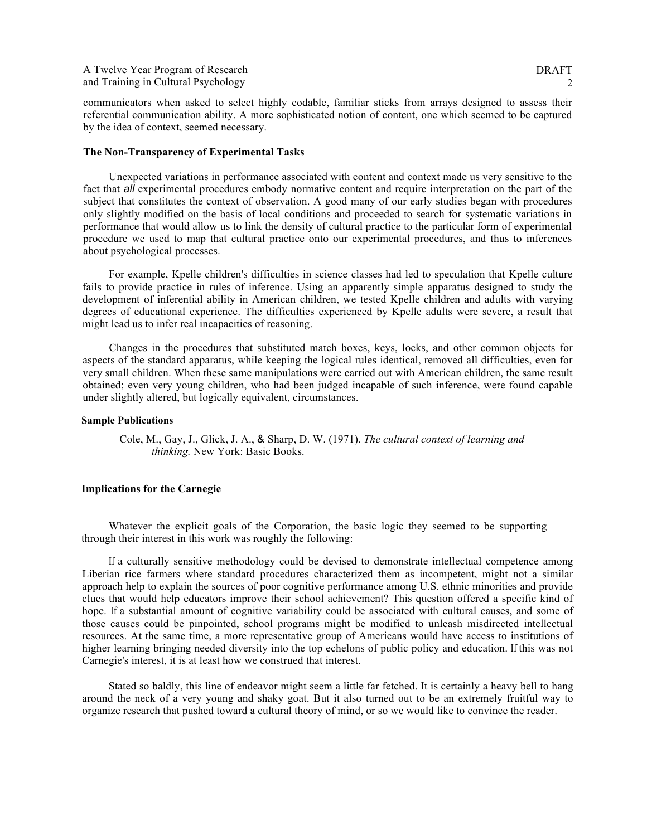communicators when asked to select highly codable, familiar sticks from arrays designed to assess their referential communication ability. A more sophisticated notion of content, one which seemed to be captured by the idea of context, seemed necessary.

#### **The Non-Transparency of Experimental Tasks**

Unexpected variations in performance associated with content and context made us very sensitive to the fact that *all* experimental procedures embody normative content and require interpretation on the part of the subject that constitutes the context of observation. A good many of our early studies began with procedures only slightly modified on the basis of local conditions and proceeded to search for systematic variations in performance that would allow us to link the density of cultural practice to the particular form of experimental procedure we used to map that cultural practice onto our experimental procedures, and thus to inferences about psychological processes.

For example, Kpelle children's difficulties in science classes had led to speculation that Kpelle culture fails to provide practice in rules of inference. Using an apparently simple apparatus designed to study the development of inferential ability in American children, we tested Kpelle children and adults with varying degrees of educational experience. The difficulties experienced by Kpelle adults were severe, a result that might lead us to infer real incapacities of reasoning.

Changes in the procedures that substituted match boxes, keys, locks, and other common objects for aspects of the standard apparatus, while keeping the logical rules identical, removed all difficulties, even for very small children. When these same manipulations were carried out with American children, the same result obtained; even very young children, who had been judged incapable of such inference, were found capable under slightly altered, but logically equivalent, circumstances.

#### **Sample Publications**

Cole, M., Gay, J., Glick, J. A., & Sharp, D. W. (1971). *The cultural context of learning and thinking.* New York: Basic Books.

#### **Implications for the Carnegie**

Whatever the explicit goals of the Corporation, the basic logic they seemed to be supporting through their interest in this work was roughly the following:

If a culturally sensitive methodology could be devised to demonstrate intellectual competence among Liberian rice farmers where standard procedures characterized them as incompetent, might not a similar approach help to explain the sources of poor cognitive performance among U.S. ethnic minorities and provide clues that would help educators improve their school achievement? This question offered a specific kind of hope. If a substantial amount of cognitive variability could be associated with cultural causes, and some of those causes could be pinpointed, school programs might be modified to unleash misdirected intellectual resources. At the same time, a more representative group of Americans would have access to institutions of higher learning bringing needed diversity into the top echelons of public policy and education. If this was not Carnegie's interest, it is at least how we construed that interest.

Stated so baldly, this line of endeavor might seem a little far fetched. It is certainly a heavy bell to hang around the neck of a very young and shaky goat. But it also turned out to be an extremely fruitful way to organize research that pushed toward a cultural theory of mind, or so we would like to convince the reader.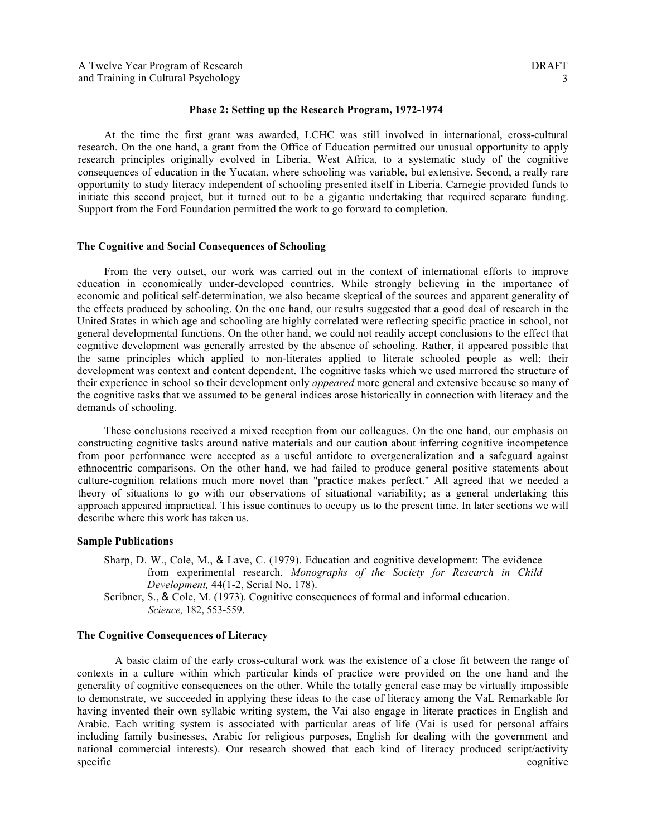#### **Phase 2: Setting up the Research Program, 1972-1974**

At the time the first grant was awarded, LCHC was still involved in international, cross-cultural research. On the one hand, a grant from the Office of Education permitted our unusual opportunity to apply research principles originally evolved in Liberia, West Africa, to a systematic study of the cognitive consequences of education in the Yucatan, where schooling was variable, but extensive. Second, a really rare opportunity to study literacy independent of schooling presented itself in Liberia. Carnegie provided funds to initiate this second project, but it turned out to be a gigantic undertaking that required separate funding. Support from the Ford Foundation permitted the work to go forward to completion.

## **The Cognitive and Social Consequences of Schooling**

From the very outset, our work was carried out in the context of international efforts to improve education in economically under-developed countries. While strongly believing in the importance of economic and political self-determination, we also became skeptical of the sources and apparent generality of the effects produced by schooling. On the one hand, our results suggested that a good deal of research in the United States in which age and schooling are highly correlated were reflecting specific practice in school, not general developmental functions. On the other hand, we could not readily accept conclusions to the effect that cognitive development was generally arrested by the absence of schooling. Rather, it appeared possible that the same principles which applied to non-literates applied to literate schooled people as well; their development was context and content dependent. The cognitive tasks which we used mirrored the structure of their experience in school so their development only *appeared* more general and extensive because so many of the cognitive tasks that we assumed to be general indices arose historically in connection with literacy and the demands of schooling.

These conclusions received a mixed reception from our colleagues. On the one hand, our emphasis on constructing cognitive tasks around native materials and our caution about inferring cognitive incompetence from poor performance were accepted as a useful antidote to overgeneralization and a safeguard against ethnocentric comparisons. On the other hand, we had failed to produce general positive statements about culture-cognition relations much more novel than "practice makes perfect." All agreed that we needed a theory of situations to go with our observations of situational variability; as a general undertaking this approach appeared impractical. This issue continues to occupy us to the present time. In later sections we will describe where this work has taken us.

#### **Sample Publications**

- Sharp, D. W., Cole, M., & Lave, C. (1979). Education and cognitive development: The evidence from experimental research. *Monographs of the Society for Research in Child Development,* 44(1-2, Serial No. 178).
- Scribner, S., & Cole, M. (1973). Cognitive consequences of formal and informal education.  *Science,* 182, 553-559.

#### **The Cognitive Consequences of Literacy**

A basic claim of the early cross-cultural work was the existence of a close fit between the range of contexts in a culture within which particular kinds of practice were provided on the one hand and the generality of cognitive consequences on the other. While the totally general case may be virtually impossible to demonstrate, we succeeded in applying these ideas to the case of literacy among the VaL Remarkable for having invented their own syllabic writing system, the Vai also engage in literate practices in English and Arabic. Each writing system is associated with particular areas of life (Vai is used for personal affairs including family businesses, Arabic for religious purposes, English for dealing with the government and national commercial interests). Our research showed that each kind of literacy produced script/activity specific cognitive cognitive community of  $\alpha$  and  $\alpha$  cognitive cognitive cognitive cognitive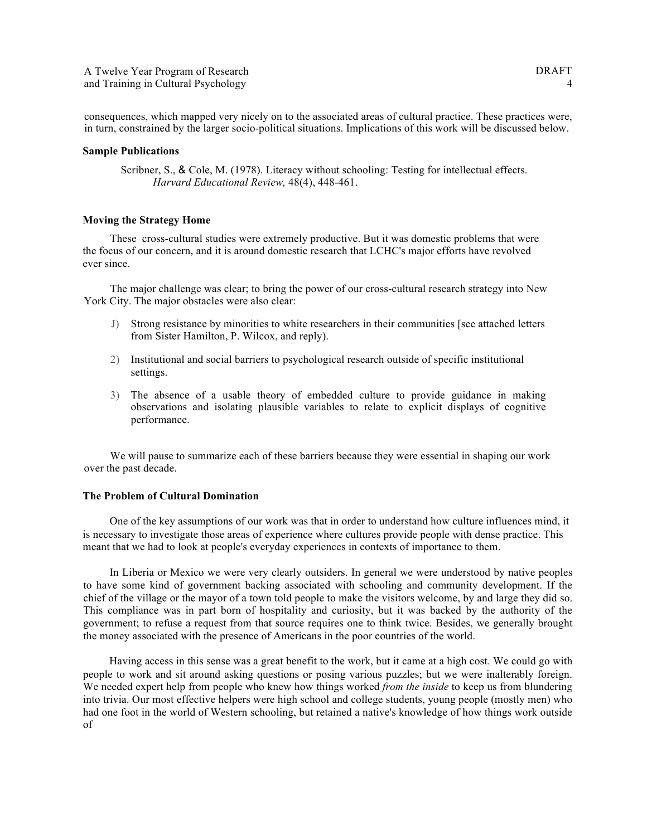consequences, which mapped very nicely on to the associated areas of cultural practice. These practices were, in turn, constrained by the larger socio-political situations. Implications of this work will be discussed below.

#### **Sample Publications**

Scribner, S., & Cole, M. (1978). Literacy without schooling: Testing for intellectual effects. *Harvard Educational Review,* 48(4), 448-461.

#### **Moving the Strategy Home**

These cross-cultural studies were extremely productive. But it was domestic problems that were the focus of our concern, and it is around domestic research that LCHC's major efforts have revolved ever since.

The major challenge was clear; to bring the power of our cross-cultural research strategy into New York City. The major obstacles were also clear:

- J) Strong resistance by minorities to white researchers in their communities [see attached letters from Sister Hamilton, P. Wilcox, and reply).
- 2) Institutional and social barriers to psychological research outside of specific institutional settings.
- 3) The absence of a usable theory of embedded culture to provide guidance in making observations and isolating plausible variables to relate to explicit displays of cognitive performance.

We will pause to summarize each of these barriers because they were essential in shaping our work over the past decade.

#### **The Problem of Cultural Domination**

One of the key assumptions of our work was that in order to understand how culture influences mind, it is necessary to investigate those areas of experience where cultures provide people with dense practice. This meant that we had to look at people's everyday experiences in contexts of importance to them.

In Liberia or Mexico we were very clearly outsiders. In general we were understood by native peoples to have some kind of government backing associated with schooling and community development. If the chief of the village or the mayor of a town told people to make the visitors welcome, by and large they did so. This compliance was in part born of hospitality and curiosity, but it was backed by the authority of the government; to refuse a request from that source requires one to think twice. Besides, we generally brought the money associated with the presence of Americans in the poor countries of the world.

Having access in this sense was a great benefit to the work, but it came at a high cost. We could go with people to work and sit around asking questions or posing various puzzles; but we were inalterably foreign. We needed expert help from people who knew how things worked *from the inside* to keep us from blundering into trivia. Our most effective helpers were high school and college students, young people (mostly men) who had one foot in the world of Western schooling, but retained a native's knowledge of how things work outside of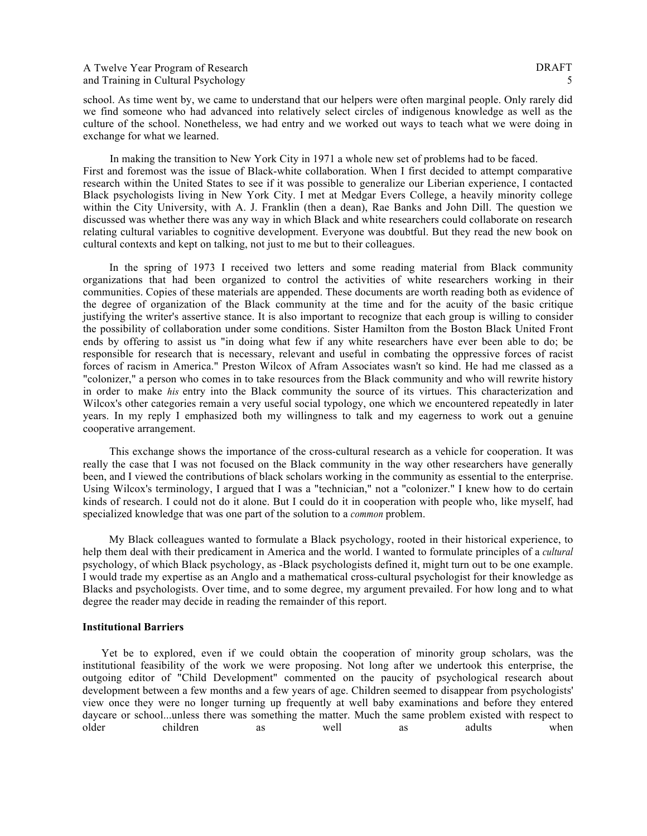A Twelve Year Program of Research and Training in Cultural Psychology

school. As time went by, we came to understand that our helpers were often marginal people. Only rarely did we find someone who had advanced into relatively select circles of indigenous knowledge as well as the culture of the school. Nonetheless, we had entry and we worked out ways to teach what we were doing in exchange for what we learned.

In making the transition to New York City in 1971 a whole new set of problems had to be faced. First and foremost was the issue of Black-white collaboration. When I first decided to attempt comparative research within the United States to see if it was possible to generalize our Liberian experience, I contacted Black psychologists living in New York City. I met at Medgar Evers College, a heavily minority college within the City University, with A. J. Franklin (then a dean), Rae Banks and John Dill. The question we discussed was whether there was any way in which Black and white researchers could collaborate on research relating cultural variables to cognitive development. Everyone was doubtful. But they read the new book on cultural contexts and kept on talking, not just to me but to their colleagues.

In the spring of 1973 I received two letters and some reading material from Black community organizations that had been organized to control the activities of white researchers working in their communities. Copies of these materials are appended. These documents are worth reading both as evidence of the degree of organization of the Black community at the time and for the acuity of the basic critique justifying the writer's assertive stance. It is also important to recognize that each group is willing to consider the possibility of collaboration under some conditions. Sister Hamilton from the Boston Black United Front ends by offering to assist us "in doing what few if any white researchers have ever been able to do; be responsible for research that is necessary, relevant and useful in combating the oppressive forces of racist forces of racism in America." Preston Wilcox of Afram Associates wasn't so kind. He had me classed as a "colonizer," a person who comes in to take resources from the Black community and who will rewrite history in order to make *his* entry into the Black community the source of its virtues. This characterization and Wilcox's other categories remain a very useful social typology, one which we encountered repeatedly in later years. In my reply I emphasized both my willingness to talk and my eagerness to work out a genuine cooperative arrangement.

This exchange shows the importance of the cross-cultural research as a vehicle for cooperation. It was really the case that I was not focused on the Black community in the way other researchers have generally been, and I viewed the contributions of black scholars working in the community as essential to the enterprise. Using Wilcox's terminology, I argued that I was a "technician," not a "colonizer." I knew how to do certain kinds of research. I could not do it alone. But I could do it in cooperation with people who, like myself, had specialized knowledge that was one part of the solution to a *common* problem.

My Black colleagues wanted to formulate a Black psychology, rooted in their historical experience, to help them deal with their predicament in America and the world. I wanted to formulate principles of a *cultural*  psychology, of which Black psychology, as -Black psychologists defined it, might turn out to be one example. I would trade my expertise as an Anglo and a mathematical cross-cultural psychologist for their knowledge as Blacks and psychologists. Over time, and to some degree, my argument prevailed. For how long and to what degree the reader may decide in reading the remainder of this report.

#### **Institutional Barriers**

Yet be to explored, even if we could obtain the cooperation of minority group scholars, was the institutional feasibility of the work we were proposing. Not long after we undertook this enterprise, the outgoing editor of "Child Development" commented on the paucity of psychological research about development between a few months and a few years of age. Children seemed to disappear from psychologists' view once they were no longer turning up frequently at well baby examinations and before they entered daycare or school...unless there was something the matter. Much the same problem existed with respect to older children as well as adults when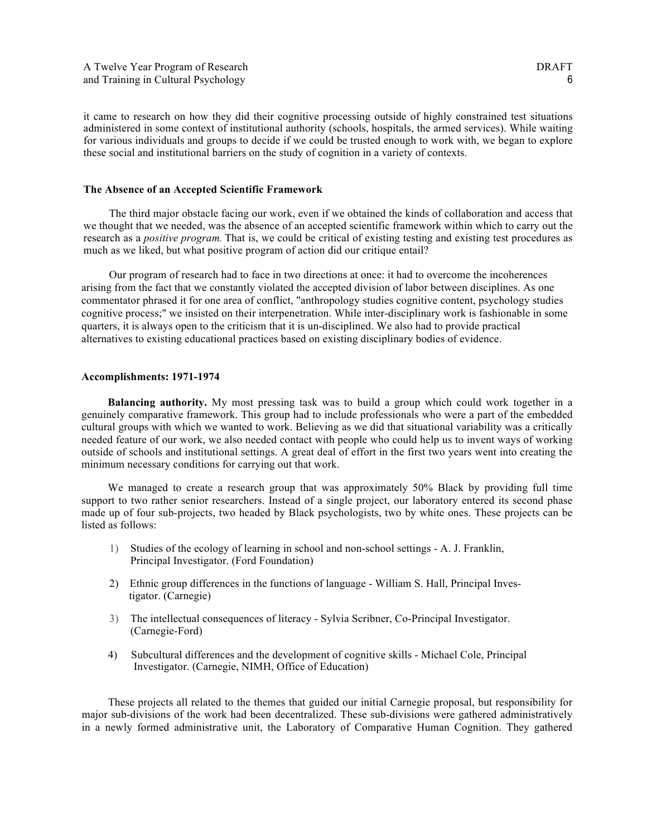it came to research on how they did their cognitive processing outside of highly constrained test situations administered in some context of institutional authority (schools, hospitals, the armed services). While waiting for various individuals and groups to decide if we could be trusted enough to work with, we began to explore these social and institutional barriers on the study of cognition in a variety of contexts.

#### **The Absence of an Accepted Scientific Framework**

The third major obstacle facing our work, even if we obtained the kinds of collaboration and access that we thought that we needed, was the absence of an accepted scientific framework within which to carry out the research as a *positive program.* That is, we could be critical of existing testing and existing test procedures as much as we liked, but what positive program of action did our critique entail?

Our program of research had to face in two directions at once: it had to overcome the incoherences arising from the fact that we constantly violated the accepted division of labor between disciplines. As one commentator phrased it for one area of conflict, "anthropology studies cognitive content, psychology studies cognitive process;" we insisted on their interpenetration. While inter-disciplinary work is fashionable in some quarters, it is always open to the criticism that it is un-disciplined. We also had to provide practical alternatives to existing educational practices based on existing disciplinary bodies of evidence.

## **Accomplishments: 1971-1974**

**Balancing authority.** My most pressing task was to build a group which could work together in a genuinely comparative framework. This group had to include professionals who were a part of the embedded cultural groups with which we wanted to work. Believing as we did that situational variability was a critically needed feature of our work, we also needed contact with people who could help us to invent ways of working outside of schools and institutional settings. A great deal of effort in the first two years went into creating the minimum necessary conditions for carrying out that work.

We managed to create a research group that was approximately 50% Black by providing full time support to two rather senior researchers. Instead of a single project, our laboratory entered its second phase made up of four sub-projects, two headed by Black psychologists, two by white ones. These projects can be listed as follows:

- 1) Studies of the ecology of learning in school and non-school settings A. J. Franklin, Principal Investigator. (Ford Foundation)
- 2) Ethnic group differences in the functions of language William S. Hall, Principal Investigator. (Carnegie)
- 3) The intellectual consequences of literacy Sylvia Scribner, Co-Principal Investigator. (Carnegie-Ford)
- 4) Subcultural differences and the development of cognitive skills Michael Cole, Principal Investigator. (Carnegie, NIMH, Office of Education)

These projects all related to the themes that guided our initial Carnegie proposal, but responsibility for major sub-divisions of the work had been decentralized. These sub-divisions were gathered administratively in a newly formed administrative unit, the Laboratory of Comparative Human Cognition. They gathered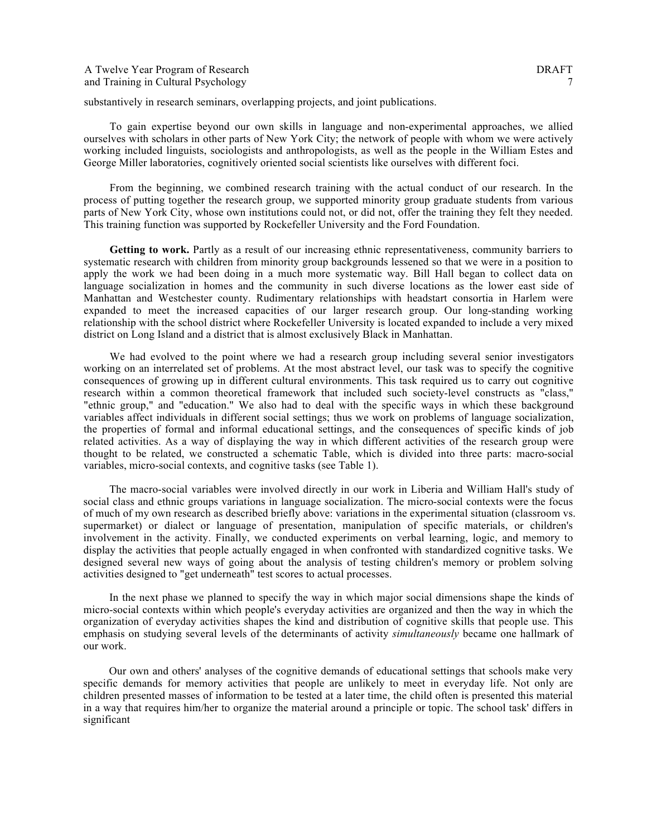A Twelve Year Program of Research and Training in Cultural Psychology

substantively in research seminars, overlapping projects, and joint publications.

To gain expertise beyond our own skills in language and non-experimental approaches, we allied ourselves with scholars in other parts of New York City; the network of people with whom we were actively working included linguists, sociologists and anthropologists, as well as the people in the William Estes and George Miller laboratories, cognitively oriented social scientists like ourselves with different foci.

From the beginning, we combined research training with the actual conduct of our research. In the process of putting together the research group, we supported minority group graduate students from various parts of New York City, whose own institutions could not, or did not, offer the training they felt they needed. This training function was supported by Rockefeller University and the Ford Foundation.

**Getting to work.** Partly as a result of our increasing ethnic representativeness, community barriers to systematic research with children from minority group backgrounds lessened so that we were in a position to apply the work we had been doing in a much more systematic way. Bill Hall began to collect data on language socialization in homes and the community in such diverse locations as the lower east side of Manhattan and Westchester county. Rudimentary relationships with headstart consortia in Harlem were expanded to meet the increased capacities of our larger research group. Our long-standing working relationship with the school district where Rockefeller University is located expanded to include a very mixed district on Long Island and a district that is almost exclusively Black in Manhattan.

We had evolved to the point where we had a research group including several senior investigators working on an interrelated set of problems. At the most abstract level, our task was to specify the cognitive consequences of growing up in different cultural environments. This task required us to carry out cognitive research within a common theoretical framework that included such society-level constructs as "class," "ethnic group," and "education." We also had to deal with the specific ways in which these background variables affect individuals in different social settings; thus we work on problems of language socialization, the properties of formal and informal educational settings, and the consequences of specific kinds of job related activities. As a way of displaying the way in which different activities of the research group were thought to be related, we constructed a schematic Table, which is divided into three parts: macro-social variables, micro-social contexts, and cognitive tasks (see Table 1).

The macro-social variables were involved directly in our work in Liberia and William Hall's study of social class and ethnic groups variations in language socialization. The micro-social contexts were the focus of much of my own research as described briefly above: variations in the experimental situation (classroom vs. supermarket) or dialect or language of presentation, manipulation of specific materials, or children's involvement in the activity. Finally, we conducted experiments on verbal learning, logic, and memory to display the activities that people actually engaged in when confronted with standardized cognitive tasks. We designed several new ways of going about the analysis of testing children's memory or problem solving activities designed to "get underneath" test scores to actual processes.

In the next phase we planned to specify the way in which major social dimensions shape the kinds of micro-social contexts within which people's everyday activities are organized and then the way in which the organization of everyday activities shapes the kind and distribution of cognitive skills that people use. This emphasis on studying several levels of the determinants of activity *simultaneously* became one hallmark of our work.

Our own and others' analyses of the cognitive demands of educational settings that schools make very specific demands for memory activities that people are unlikely to meet in everyday life. Not only are children presented masses of information to be tested at a later time, the child often is presented this material in a way that requires him/her to organize the material around a principle or topic. The school task' differs in significant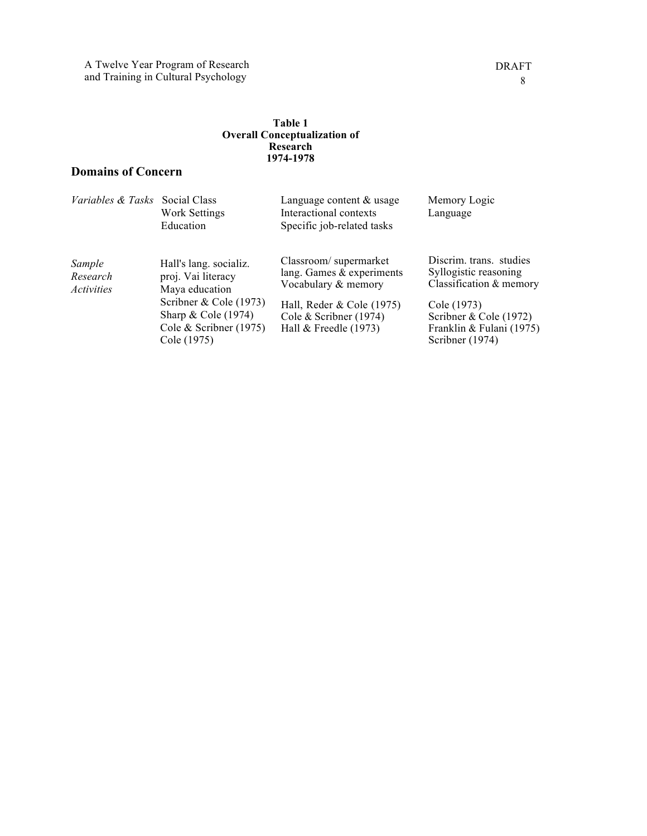A Twelve Year Program of Research and Training in Cultural Psychology

# DRAFT 8

# **Table 1 Overall Conceptualization of Research 1974-1978**

# **Domains of Concern**

| <i>Variables &amp; Tasks</i> Social Class | Work Settings<br>Education                                                                   | Language content $&$ usage<br>Interactional contexts<br>Specific job-related tasks | Memory Logic<br>Language                                                             |
|-------------------------------------------|----------------------------------------------------------------------------------------------|------------------------------------------------------------------------------------|--------------------------------------------------------------------------------------|
| Sample<br>Research<br><i>Activities</i>   | Hall's lang. socializ.<br>proj. Vai literacy<br>Maya education                               | Classroom/supermarket<br>lang. Games & experiments<br>Vocabulary & memory          | Discrim. trans. studies<br>Syllogistic reasoning<br>Classification & memory          |
|                                           | Scribner & Cole $(1973)$<br>Sharp & Cole $(1974)$<br>Cole & Scribner $(1975)$<br>Cole (1975) | Hall, Reder & Cole $(1975)$<br>Cole & Scribner (1974)<br>Hall $&$ Freedle (1973)   | Cole (1973)<br>Scribner & Cole (1972)<br>Franklin & Fulani (1975)<br>Scribner (1974) |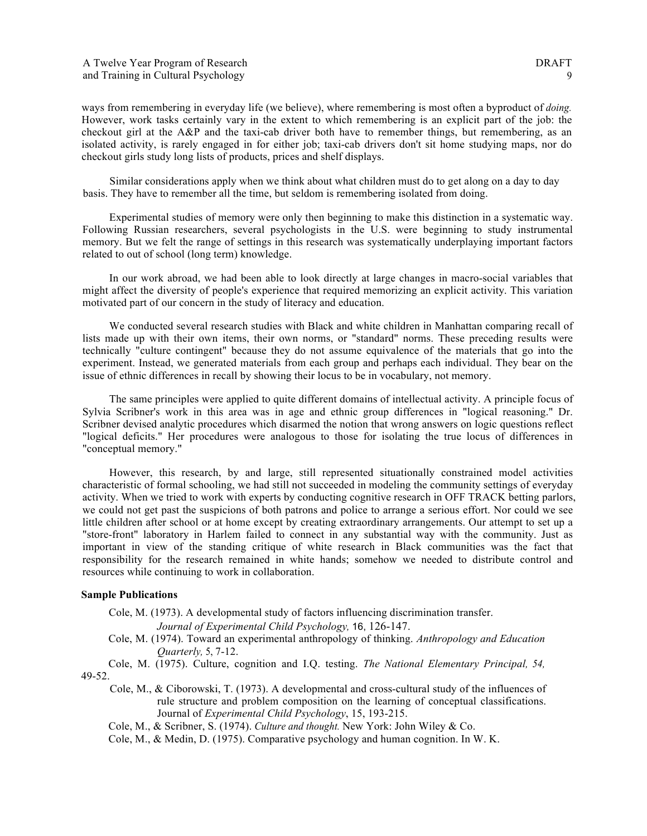ways from remembering in everyday life (we believe), where remembering is most often a byproduct of *doing.*  However, work tasks certainly vary in the extent to which remembering is an explicit part of the job: the checkout girl at the A&P and the taxi-cab driver both have to remember things, but remembering, as an isolated activity, is rarely engaged in for either job; taxi-cab drivers don't sit home studying maps, nor do checkout girls study long lists of products, prices and shelf displays.

Similar considerations apply when we think about what children must do to get along on a day to day basis. They have to remember all the time, but seldom is remembering isolated from doing.

Experimental studies of memory were only then beginning to make this distinction in a systematic way. Following Russian researchers, several psychologists in the U.S. were beginning to study instrumental memory. But we felt the range of settings in this research was systematically underplaying important factors related to out of school (long term) knowledge.

In our work abroad, we had been able to look directly at large changes in macro-social variables that might affect the diversity of people's experience that required memorizing an explicit activity. This variation motivated part of our concern in the study of literacy and education.

We conducted several research studies with Black and white children in Manhattan comparing recall of lists made up with their own items, their own norms, or "standard" norms. These preceding results were technically "culture contingent" because they do not assume equivalence of the materials that go into the experiment. Instead, we generated materials from each group and perhaps each individual. They bear on the issue of ethnic differences in recall by showing their locus to be in vocabulary, not memory.

The same principles were applied to quite different domains of intellectual activity. A principle focus of Sylvia Scribner's work in this area was in age and ethnic group differences in "logical reasoning." Dr. Scribner devised analytic procedures which disarmed the notion that wrong answers on logic questions reflect "logical deficits." Her procedures were analogous to those for isolating the true locus of differences in "conceptual memory."

However, this research, by and large, still represented situationally constrained model activities characteristic of formal schooling, we had still not succeeded in modeling the community settings of everyday activity. When we tried to work with experts by conducting cognitive research in OFF TRACK betting parlors, we could not get past the suspicions of both patrons and police to arrange a serious effort. Nor could we see little children after school or at home except by creating extraordinary arrangements. Our attempt to set up a "store-front" laboratory in Harlem failed to connect in any substantial way with the community. Just as important in view of the standing critique of white research in Black communities was the fact that responsibility for the research remained in white hands; somehow we needed to distribute control and resources while continuing to work in collaboration.

#### **Sample Publications**

Cole, M. (1973). A developmental study of factors influencing discrimination transfer.

*Journal of Experimental Child Psychology,* 16, 126-147.

Cole, M. (1974). Toward an experimental anthropology of thinking. *Anthropology and Education Quarterly,* 5, 7-12.

Cole, M. (1975). Culture, cognition and I.Q. testing. *The National Elementary Principal, 54,*  49-52.

- Cole, M., & Ciborowski, T. (1973). A developmental and cross-cultural study of the influences of rule structure and problem composition on the learning of conceptual classifications. Journal of *Experimental Child Psychology*, 15, 193-215.
- Cole, M., & Scribner, S. (1974). *Culture and thought.* New York: John Wiley & Co.
- Cole, M., & Medin, D. (1975). Comparative psychology and human cognition. In W. K.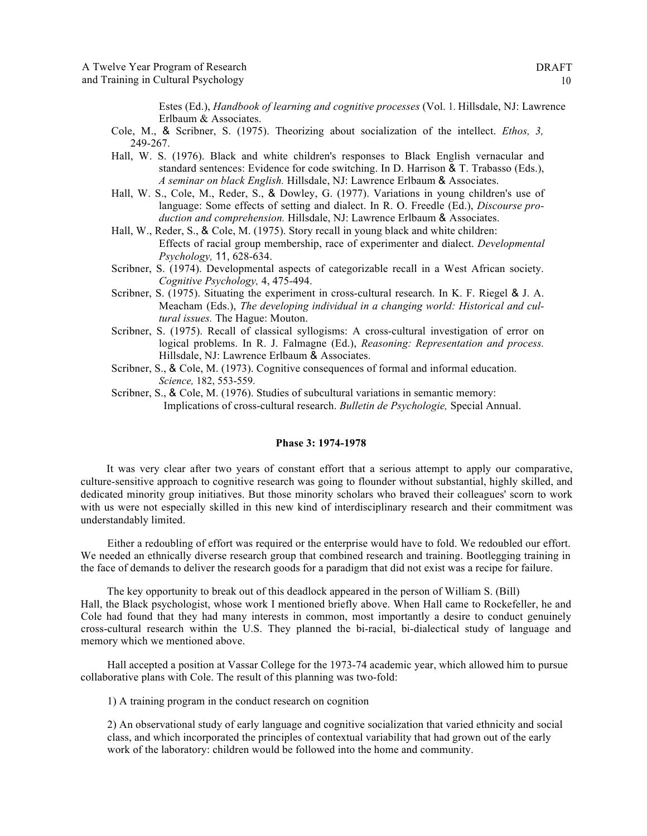Estes (Ed.), *Handbook of learning and cognitive processes* (Vol. 1. Hillsdale, NJ: Lawrence Erlbaum & Associates.

- Cole, M., & Scribner, S. (1975). Theorizing about socialization of the intellect. *Ethos, 3,*  249-267.
- Hall, W. S. (1976). Black and white children's responses to Black English vernacular and standard sentences: Evidence for code switching. In D. Harrison & T. Trabasso (Eds.), *A seminar on black English.* Hillsdale, NJ: Lawrence Erlbaum & Associates.
- Hall, W. S., Cole, M., Reder, S., & Dowley, G. (1977). Variations in young children's use of language: Some effects of setting and dialect. In R. O. Freedle (Ed.), *Discourse production and comprehension.* Hillsdale, NJ: Lawrence Erlbaum & Associates.
- Hall, W., Reder, S., & Cole, M. (1975). Story recall in young black and white children: Effects of racial group membership, race of experimenter and dialect. *Developmental Psychology,* 11, 628-634.
- Scribner, S. (1974). Developmental aspects of categorizable recall in a West African society. *Cognitive Psychology,* 4, 475-494.
- Scribner, S. (1975). Situating the experiment in cross-cultural research. In K. F. Riegel & J. A. Meacham (Eds.), *The developing individual in a changing world: Historical and cultural issues.* The Hague: Mouton.
- Scribner, S. (1975). Recall of classical syllogisms: A cross-cultural investigation of error on logical problems. In R. J. Falmagne (Ed.), *Reasoning: Representation and process.*  Hillsdale, NJ: Lawrence Erlbaum & Associates.
- Scribner, S., & Cole, M. (1973). Cognitive consequences of formal and informal education. *Science,* 182, 553-559.
- Scribner, S., & Cole, M. (1976). Studies of subcultural variations in semantic memory: Implications of cross-cultural research. *Bulletin de Psychologie,* Special Annual.

#### **Phase 3: 1974-1978**

It was very clear after two years of constant effort that a serious attempt to apply our comparative, culture-sensitive approach to cognitive research was going to flounder without substantial, highly skilled, and dedicated minority group initiatives. But those minority scholars who braved their colleagues' scorn to work with us were not especially skilled in this new kind of interdisciplinary research and their commitment was understandably limited.

Either a redoubling of effort was required or the enterprise would have to fold. We redoubled our effort. We needed an ethnically diverse research group that combined research and training. Bootlegging training in the face of demands to deliver the research goods for a paradigm that did not exist was a recipe for failure.

The key opportunity to break out of this deadlock appeared in the person of William S. (Bill) Hall, the Black psychologist, whose work I mentioned briefly above. When Hall came to Rockefeller, he and Cole had found that they had many interests in common, most importantly a desire to conduct genuinely cross-cultural research within the U.S. They planned the bi-racial, bi-dialectical study of language and memory which we mentioned above.

Hall accepted a position at Vassar College for the 1973-74 academic year, which allowed him to pursue collaborative plans with Cole. The result of this planning was two-fold:

1) A training program in the conduct research on cognition

2) An observational study of early language and cognitive socialization that varied ethnicity and social class, and which incorporated the principles of contextual variability that had grown out of the early work of the laboratory: children would be followed into the home and community.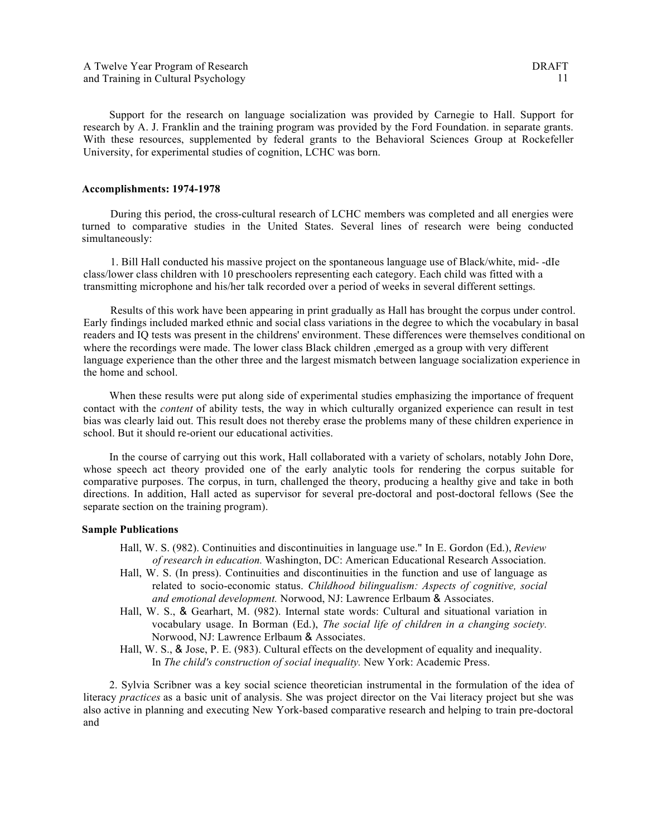Support for the research on language socialization was provided by Carnegie to Hall. Support for research by A. J. Franklin and the training program was provided by the Ford Foundation. in separate grants. With these resources, supplemented by federal grants to the Behavioral Sciences Group at Rockefeller University, for experimental studies of cognition, LCHC was born.

#### **Accomplishments: 1974-1978**

During this period, the cross-cultural research of LCHC members was completed and all energies were turned to comparative studies in the United States. Several lines of research were being conducted simultaneously:

1. Bill Hall conducted his massive project on the spontaneous language use of Black/white, mid- -dIe class/lower class children with 10 preschoolers representing each category. Each child was fitted with a transmitting microphone and his/her talk recorded over a period of weeks in several different settings.

Results of this work have been appearing in print gradually as Hall has brought the corpus under control. Early findings included marked ethnic and social class variations in the degree to which the vocabulary in basal readers and IQ tests was present in the childrens' environment. These differences were themselves conditional on where the recordings were made. The lower class Black children ,emerged as a group with very different language experience than the other three and the largest mismatch between language socialization experience in the home and school.

When these results were put along side of experimental studies emphasizing the importance of frequent contact with the *content* of ability tests, the way in which culturally organized experience can result in test bias was clearly laid out. This result does not thereby erase the problems many of these children experience in school. But it should re-orient our educational activities.

In the course of carrying out this work, Hall collaborated with a variety of scholars, notably John Dore, whose speech act theory provided one of the early analytic tools for rendering the corpus suitable for comparative purposes. The corpus, in turn, challenged the theory, producing a healthy give and take in both directions. In addition, Hall acted as supervisor for several pre-doctoral and post-doctoral fellows (See the separate section on the training program).

#### **Sample Publications**

- Hall, W. S. (982). Continuities and discontinuities in language use." In E. Gordon (Ed.), *Review of research in education.* Washington, DC: American Educational Research Association.
- Hall, W. S. (In press). Continuities and discontinuities in the function and use of language as related to socio-economic status. *Childhood bilingualism: Aspects of cognitive, social and emotional development.* Norwood, NJ: Lawrence Erlbaum & Associates.
- Hall, W. S., & Gearhart, M. (982). Internal state words: Cultural and situational variation in vocabulary usage. In Borman (Ed.), *The social life of children in a changing society.*  Norwood, NJ: Lawrence Erlbaum & Associates.
- Hall, W. S., & Jose, P. E. (983). Cultural effects on the development of equality and inequality. In *The child's construction of social inequality.* New York: Academic Press.

2. Sylvia Scribner was a key social science theoretician instrumental in the formulation of the idea of literacy *practices* as a basic unit of analysis. She was project director on the Vai literacy project but she was also active in planning and executing New York-based comparative research and helping to train pre-doctoral and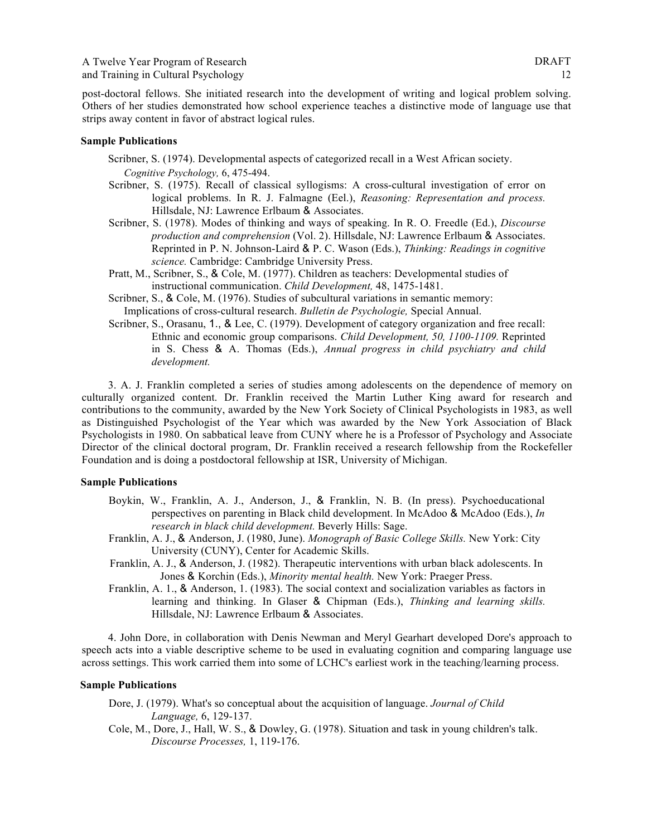post-doctoral fellows. She initiated research into the development of writing and logical problem solving. Others of her studies demonstrated how school experience teaches a distinctive mode of language use that strips away content in favor of abstract logical rules.

#### **Sample Publications**

- Scribner, S. (1974). Developmental aspects of categorized recall in a West African society. *Cognitive Psychology,* 6, 475-494.
- Scribner, S. (1975). Recall of classical syllogisms: A cross-cultural investigation of error on logical problems. In R. J. Falmagne (Eel.), *Reasoning: Representation and process.*  Hillsdale, NJ: Lawrence Erlbaum & Associates.
- Scribner, S. (1978). Modes of thinking and ways of speaking. In R. O. Freedle (Ed.), *Discourse production and comprehension* (Vol. 2). Hillsdale, NJ: Lawrence Erlbaum & Associates. Reprinted in P. N. Johnson-Laird & P. C. Wason (Eds.), *Thinking: Readings in cognitive science.* Cambridge: Cambridge University Press.
- Pratt, M., Scribner, S., & Cole, M. (1977). Children as teachers: Developmental studies of instructional communication. *Child Development,* 48, 1475-1481.
- Scribner, S., & Cole, M. (1976). Studies of subcultural variations in semantic memory: Implications of cross-cultural research. *Bulletin de Psychologie,* Special Annual.
- Scribner, S., Orasanu, 1., & Lee, C. (1979). Development of category organization and free recall: Ethnic and economic group comparisons. *Child Development, 50, 1100-1109.* Reprinted in S. Chess & A. Thomas (Eds.), *Annual progress in child psychiatry and child development.*

3. A. J. Franklin completed a series of studies among adolescents on the dependence of memory on culturally organized content. Dr. Franklin received the Martin Luther King award for research and contributions to the community, awarded by the New York Society of Clinical Psychologists in 1983, as well as Distinguished Psychologist of the Year which was awarded by the New York Association of Black Psychologists in 1980. On sabbatical leave from CUNY where he is a Professor of Psychology and Associate Director of the clinical doctoral program, Dr. Franklin received a research fellowship from the Rockefeller Foundation and is doing a postdoctoral fellowship at ISR, University of Michigan.

#### **Sample Publications**

- Boykin, W., Franklin, A. J., Anderson, J., & Franklin, N. B. (In press). Psychoeducational perspectives on parenting in Black child development. In McAdoo & McAdoo (Eds.), *In research in black child development.* Beverly Hills: Sage.
- Franklin, A. J., & Anderson, J. (1980, June). *Monograph of Basic College Skills.* New York: City University (CUNY), Center for Academic Skills.
- Franklin, A. J., & Anderson, J. (1982). Therapeutic interventions with urban black adolescents. In Jones & Korchin (Eds.), *Minority mental health.* New York: Praeger Press.
- Franklin, A. 1., & Anderson, 1. (1983). The social context and socialization variables as factors in learning and thinking. In Glaser & Chipman (Eds.), *Thinking and learning skills.*  Hillsdale, NJ: Lawrence Erlbaum & Associates.

4. John Dore, in collaboration with Denis Newman and Meryl Gearhart developed Dore's approach to speech acts into a viable descriptive scheme to be used in evaluating cognition and comparing language use across settings. This work carried them into some of LCHC's earliest work in the teaching/learning process.

#### **Sample Publications**

- Dore, J. (1979). What's so conceptual about the acquisition of language. *Journal of Child Language,* 6, 129-137.
- Cole, M., Dore, J., Hall, W. S., & Dowley, G. (1978). Situation and task in young children's talk. *Discourse Processes,* 1, 119-176.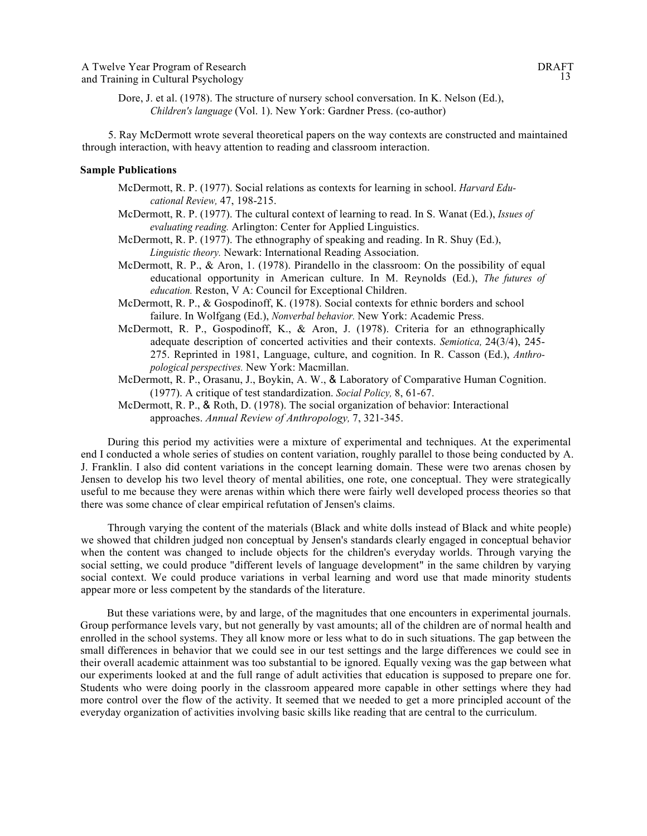Dore, J. et al. (1978). The structure of nursery school conversation. In K. Nelson (Ed.), *Children's language* (Vol. 1). New York: Gardner Press. (co-author)

5. Ray McDermott wrote several theoretical papers on the way contexts are constructed and maintained through interaction, with heavy attention to reading and classroom interaction.

#### **Sample Publications**

- McDermott, R. P. (1977). Social relations as contexts for learning in school. *Harvard Educational Review,* 47, 198-215.
- McDermott, R. P. (1977). The cultural context of learning to read. In S. Wanat (Ed.), *Issues of evaluating reading.* Arlington: Center for Applied Linguistics.
- McDermott, R. P. (1977). The ethnography of speaking and reading. In R. Shuy (Ed.), *Linguistic theory.* Newark: International Reading Association.
- McDermott, R. P., & Aron, 1. (1978). Pirandello in the classroom: On the possibility of equal educational opportunity in American culture. In M. Reynolds (Ed.), *The futures of education.* Reston, V A: Council for Exceptional Children.
- McDermott, R. P., & Gospodinoff, K. (1978). Social contexts for ethnic borders and school failure. In Wolfgang (Ed.), *Nonverbal behavior.* New York: Academic Press.
- McDermott, R. P., Gospodinoff, K., & Aron, J. (1978). Criteria for an ethnographically adequate description of concerted activities and their contexts. *Semiotica,* 24(3/4), 245- 275. Reprinted in 1981, Language, culture, and cognition. In R. Casson (Ed.), *Anthropological perspectives.* New York: Macmillan.
- McDermott, R. P., Orasanu, J., Boykin, A. W., & Laboratory of Comparative Human Cognition. (1977). A critique of test standardization. *Social Policy,* 8, 61-67.
- McDermott, R. P., & Roth, D. (1978). The social organization of behavior: Interactional approaches. *Annual Review of Anthropology,* 7, 321-345.

During this period my activities were a mixture of experimental and techniques. At the experimental end I conducted a whole series of studies on content variation, roughly parallel to those being conducted by A. J. Franklin. I also did content variations in the concept learning domain. These were two arenas chosen by Jensen to develop his two level theory of mental abilities, one rote, one conceptual. They were strategically useful to me because they were arenas within which there were fairly well developed process theories so that there was some chance of clear empirical refutation of Jensen's claims.

Through varying the content of the materials (Black and white dolls instead of Black and white people) we showed that children judged non conceptual by Jensen's standards clearly engaged in conceptual behavior when the content was changed to include objects for the children's everyday worlds. Through varying the social setting, we could produce "different levels of language development" in the same children by varying social context. We could produce variations in verbal learning and word use that made minority students appear more or less competent by the standards of the literature.

But these variations were, by and large, of the magnitudes that one encounters in experimental journals. Group performance levels vary, but not generally by vast amounts; all of the children are of normal health and enrolled in the school systems. They all know more or less what to do in such situations. The gap between the small differences in behavior that we could see in our test settings and the large differences we could see in their overall academic attainment was too substantial to be ignored. Equally vexing was the gap between what our experiments looked at and the full range of adult activities that education is supposed to prepare one for. Students who were doing poorly in the classroom appeared more capable in other settings where they had more control over the flow of the activity. It seemed that we needed to get a more principled account of the everyday organization of activities involving basic skills like reading that are central to the curriculum.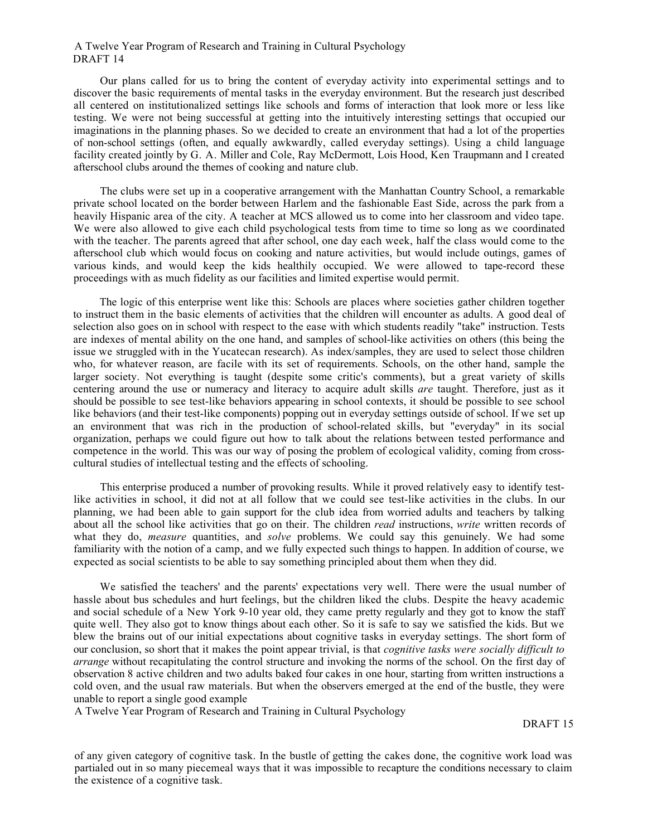# A Twelve Year Program of Research and Training in Cultural Psychology DRAFT 14

Our plans called for us to bring the content of everyday activity into experimental settings and to discover the basic requirements of mental tasks in the everyday environment. But the research just described all centered on institutionalized settings like schools and forms of interaction that look more or less like testing. We were not being successful at getting into the intuitively interesting settings that occupied our imaginations in the planning phases. So we decided to create an environment that had a lot of the properties of non-school settings (often, and equally awkwardly, called everyday settings). Using a child language facility created jointly by G. A. Miller and Cole, Ray McDermott, Lois Hood, Ken Traupmann and I created afterschool clubs around the themes of cooking and nature club.

The clubs were set up in a cooperative arrangement with the Manhattan Country School, a remarkable private school located on the border between Harlem and the fashionable East Side, across the park from a heavily Hispanic area of the city. A teacher at MCS allowed us to come into her classroom and video tape. We were also allowed to give each child psychological tests from time to time so long as we coordinated with the teacher. The parents agreed that after school, one day each week, half the class would come to the afterschool club which would focus on cooking and nature activities, but would include outings, games of various kinds, and would keep the kids healthily occupied. We were allowed to tape-record these proceedings with as much fidelity as our facilities and limited expertise would permit.

The logic of this enterprise went like this: Schools are places where societies gather children together to instruct them in the basic elements of activities that the children will encounter as adults. A good deal of selection also goes on in school with respect to the ease with which students readily "take" instruction. Tests are indexes of mental ability on the one hand, and samples of school-like activities on others (this being the issue we struggled with in the Yucatecan research). As index/samples, they are used to select those children who, for whatever reason, are facile with its set of requirements. Schools, on the other hand, sample the larger society. Not everything is taught (despite some critic's comments), but a great variety of skills centering around the use or numeracy and literacy to acquire adult skills *are* taught. Therefore, just as it should be possible to see test-like behaviors appearing in school contexts, it should be possible to see school like behaviors (and their test-like components) popping out in everyday settings outside of school. If we set up an environment that was rich in the production of school-related skills, but "everyday" in its social organization, perhaps we could figure out how to talk about the relations between tested performance and competence in the world. This was our way of posing the problem of ecological validity, coming from crosscultural studies of intellectual testing and the effects of schooling.

This enterprise produced a number of provoking results. While it proved relatively easy to identify testlike activities in school, it did not at all follow that we could see test-like activities in the clubs. In our planning, we had been able to gain support for the club idea from worried adults and teachers by talking about all the school like activities that go on their. The children *read* instructions, *write* written records of what they do, *measure* quantities, and *solve* problems. We could say this genuinely. We had some familiarity with the notion of a camp, and we fully expected such things to happen. In addition of course, we expected as social scientists to be able to say something principled about them when they did.

We satisfied the teachers' and the parents' expectations very well. There were the usual number of hassle about bus schedules and hurt feelings, but the children liked the clubs. Despite the heavy academic and social schedule of a New York 9-10 year old, they came pretty regularly and they got to know the staff quite well. They also got to know things about each other. So it is safe to say we satisfied the kids. But we blew the brains out of our initial expectations about cognitive tasks in everyday settings. The short form of our conclusion, so short that it makes the point appear trivial, is that *cognitive tasks were socially difficult to arrange* without recapitulating the control structure and invoking the norms of the school. On the first day of observation 8 active children and two adults baked four cakes in one hour, starting from written instructions a cold oven, and the usual raw materials. But when the observers emerged at the end of the bustle, they were unable to report a single good example

A Twelve Year Program of Research and Training in Cultural Psychology

DRAFT 15

of any given category of cognitive task. In the bustle of getting the cakes done, the cognitive work load was partialed out in so many piecemeal ways that it was impossible to recapture the conditions necessary to claim the existence of a cognitive task.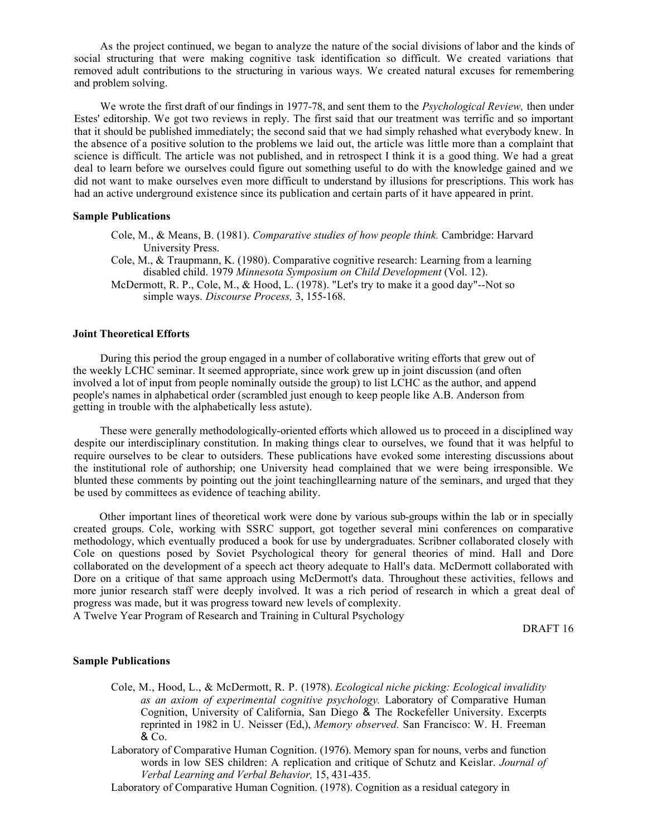As the project continued, we began to analyze the nature of the social divisions of labor and the kinds of social structuring that were making cognitive task identification so difficult. We created variations that removed adult contributions to the structuring in various ways. We created natural excuses for remembering and problem solving.

We wrote the first draft of our findings in 1977-78, and sent them to the *Psychological Review,* then under Estes' editorship. We got two reviews in reply. The first said that our treatment was terrific and so important that it should be published immediately; the second said that we had simply rehashed what everybody knew. In the absence of a positive solution to the problems we laid out, the article was little more than a complaint that science is difficult. The article was not published, and in retrospect I think it is a good thing. We had a great deal to learn before we ourselves could figure out something useful to do with the knowledge gained and we did not want to make ourselves even more difficult to understand by illusions for prescriptions. This work has had an active underground existence since its publication and certain parts of it have appeared in print.

#### **Sample Publications**

- Cole, M., & Means, B. (1981). *Comparative studies of how people think.* Cambridge: Harvard University Press.
- Cole, M., & Traupmann, K. (1980). Comparative cognitive research: Learning from a learning disabled child. 1979 *Minnesota Symposium on Child Development* (Vol. 12).
- McDermott, R. P., Cole, M., & Hood, L. (1978). "Let's try to make it a good day"--Not so simple ways. *Discourse Process,* 3, 155-168.

## **Joint Theoretical Efforts**

During this period the group engaged in a number of collaborative writing efforts that grew out of the weekly LCHC seminar. It seemed appropriate, since work grew up in joint discussion (and often involved a lot of input from people nominally outside the group) to list LCHC as the author, and append people's names in alphabetical order (scrambled just enough to keep people like A.B. Anderson from getting in trouble with the alphabetically less astute).

These were generally methodologically-oriented efforts which allowed us to proceed in a disciplined way despite our interdisciplinary constitution. In making things clear to ourselves, we found that it was helpful to require ourselves to be clear to outsiders. These publications have evoked some interesting discussions about the institutional role of authorship; one University head complained that we were being irresponsible. We blunted these comments by pointing out the joint teachingllearning nature of the seminars, and urged that they be used by committees as evidence of teaching ability.

Other important lines of theoretical work were done by various sub-groups within the lab or in specially created groups. Cole, working with SSRC support, got together several mini conferences on comparative methodology, which eventually produced a book for use by undergraduates. Scribner collaborated closely with Cole on questions posed by Soviet Psychological theory for general theories of mind. Hall and Dore collaborated on the development of a speech act theory adequate to Hall's data. McDermott collaborated with Dore on a critique of that same approach using McDermott's data. Throughout these activities, fellows and more junior research staff were deeply involved. It was a rich period of research in which a great deal of progress was made, but it was progress toward new levels of complexity.

A Twelve Year Program of Research and Training in Cultural Psychology

DRAFT 16

## **Sample Publications**

- Cole, M., Hood, L., & McDermott, R. P. (1978). *Ecological niche picking: Ecological invalidity as an axiom of experimental cognitive psychology.* Laboratory of Comparative Human Cognition, University of California, San Diego & The Rockefeller University. Excerpts reprinted in 1982 in U. Neisser (Ed,), *Memory observed.* San Francisco: W. H. Freeman & Co.
- Laboratory of Comparative Human Cognition. (1976). Memory span for nouns, verbs and function words in low SES children: A replication and critique of Schutz and Keislar. *Journal of Verbal Learning and Verbal Behavior,* 15, 431-435.
- Laboratory of Comparative Human Cognition. (1978). Cognition as a residual category in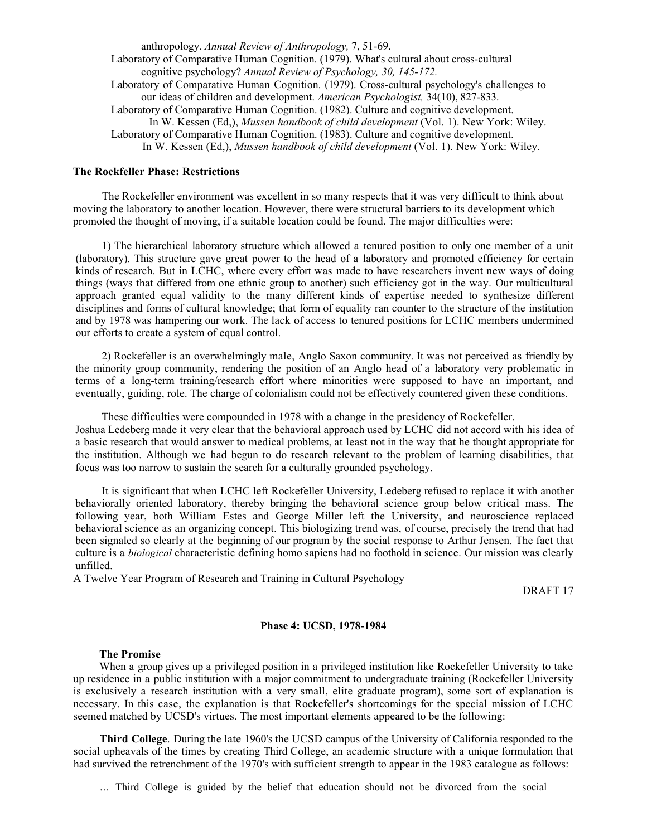anthropology. *Annual Review of Anthropology,* 7, 51-69. Laboratory of Comparative Human Cognition. (1979). What's cultural about cross-cultural cognitive psychology? *Annual Review of Psychology, 30, 145-172.* 

Laboratory of Comparative Human Cognition. (1979). Cross-cultural psychology's challenges to our ideas of children and development. *American Psychologist,* 34(10), 827-833.

Laboratory of Comparative Human Cognition. (1982). Culture and cognitive development.

In W. Kessen (Ed,), *Mussen handbook of child development* (Vol. 1). New York: Wiley.

Laboratory of Comparative Human Cognition. (1983). Culture and cognitive development. In W. Kessen (Ed,), *Mussen handbook of child development* (Vol. 1). New York: Wiley.

#### **The Rockfeller Phase: Restrictions**

The Rockefeller environment was excellent in so many respects that it was very difficult to think about moving the laboratory to another location. However, there were structural barriers to its development which promoted the thought of moving, if a suitable location could be found. The major difficulties were:

1) The hierarchical laboratory structure which allowed a tenured position to only one member of a unit (laboratory). This structure gave great power to the head of a laboratory and promoted efficiency for certain kinds of research. But in LCHC, where every effort was made to have researchers invent new ways of doing things (ways that differed from one ethnic group to another) such efficiency got in the way. Our multicultural approach granted equal validity to the many different kinds of expertise needed to synthesize different disciplines and forms of cultural knowledge; that form of equality ran counter to the structure of the institution and by 1978 was hampering our work. The lack of access to tenured positions for LCHC members undermined our efforts to create a system of equal control.

2) Rockefeller is an overwhelmingly male, Anglo Saxon community. It was not perceived as friendly by the minority group community, rendering the position of an Anglo head of a laboratory very problematic in terms of a long-term training/research effort where minorities were supposed to have an important, and eventually, guiding, role. The charge of colonialism could not be effectively countered given these conditions.

These difficulties were compounded in 1978 with a change in the presidency of Rockefeller. Joshua Ledeberg made it very clear that the behavioral approach used by LCHC did not accord with his idea of a basic research that would answer to medical problems, at least not in the way that he thought appropriate for the institution. Although we had begun to do research relevant to the problem of learning disabilities, that focus was too narrow to sustain the search for a culturally grounded psychology.

It is significant that when LCHC left Rockefeller University, Ledeberg refused to replace it with another behaviorally oriented laboratory, thereby bringing the behavioral science group below critical mass. The following year, both William Estes and George Miller left the University, and neuroscience replaced behavioral science as an organizing concept. This biologizing trend was, of course, precisely the trend that had been signaled so clearly at the beginning of our program by the social response to Arthur Jensen. The fact that culture is a *biological* characteristic defining homo sapiens had no foothold in science. Our mission was clearly unfilled.

A Twelve Year Program of Research and Training in Cultural Psychology

DRAFT 17

# **Phase 4: UCSD, 1978-1984**

#### **The Promise**

When a group gives up a privileged position in a privileged institution like Rockefeller University to take up residence in a public institution with a major commitment to undergraduate training (Rockefeller University is exclusively a research institution with a very small, elite graduate program), some sort of explanation is necessary. In this case, the explanation is that Rockefeller's shortcomings for the special mission of LCHC seemed matched by UCSD's virtues. The most important elements appeared to be the following:

**Third College**. During the late 1960's the UCSD campus of the University of California responded to the social upheavals of the times by creating Third College, an academic structure with a unique formulation that had survived the retrenchment of the 1970's with sufficient strength to appear in the 1983 catalogue as follows:

... Third College is guided by the belief that education should not be divorced from the social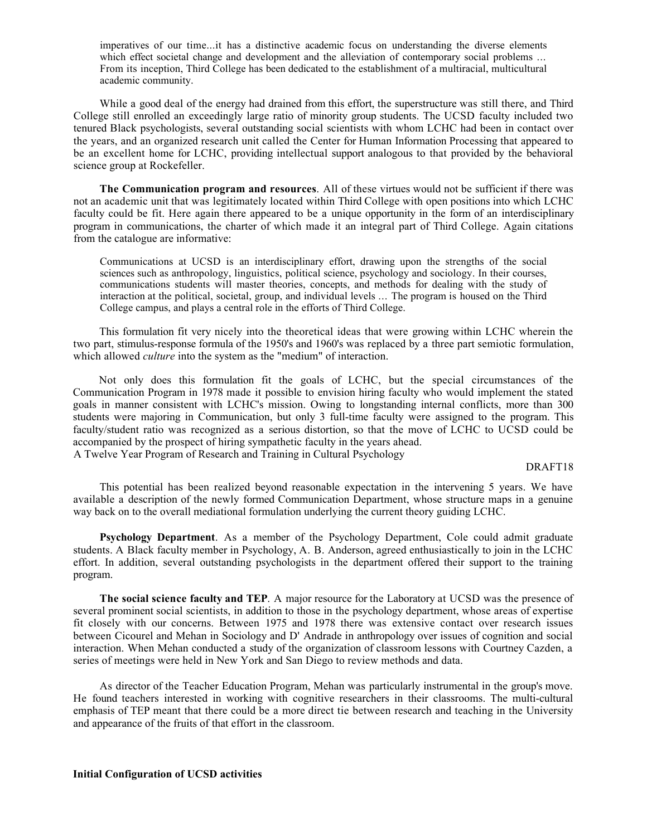imperatives of our time...it has a distinctive academic focus on understanding the diverse elements which effect societal change and development and the alleviation of contemporary social problems ... From its inception, Third College has been dedicated to the establishment of a multiracial, multicultural academic community.

While a good deal of the energy had drained from this effort, the superstructure was still there, and Third College still enrolled an exceedingly large ratio of minority group students. The UCSD faculty included two tenured Black psychologists, several outstanding social scientists with whom LCHC had been in contact over the years, and an organized research unit called the Center for Human Information Processing that appeared to be an excellent home for LCHC, providing intellectual support analogous to that provided by the behavioral science group at Rockefeller.

**The Communication program and resources**. All of these virtues would not be sufficient if there was not an academic unit that was legitimately located within Third College with open positions into which LCHC faculty could be fit. Here again there appeared to be a unique opportunity in the form of an interdisciplinary program in communications, the charter of which made it an integral part of Third College. Again citations from the catalogue are informative:

Communications at UCSD is an interdisciplinary effort, drawing upon the strengths of the social sciences such as anthropology, linguistics, political science, psychology and sociology. In their courses, communications students will master theories, concepts, and methods for dealing with the study of interaction at the political, societal, group, and individual levels ... The program is housed on the Third College campus, and plays a central role in the efforts of Third College.

This formulation fit very nicely into the theoretical ideas that were growing within LCHC wherein the two part, stimulus-response formula of the 1950's and 1960's was replaced by a three part semiotic formulation, which allowed *culture* into the system as the "medium" of interaction.

Not only does this formulation fit the goals of LCHC, but the special circumstances of the Communication Program in 1978 made it possible to envision hiring faculty who would implement the stated goals in manner consistent with LCHC's mission. Owing to longstanding internal conflicts, more than 300 students were majoring in Communication, but only 3 full-time faculty were assigned to the program. This faculty/student ratio was recognized as a serious distortion, so that the move of LCHC to UCSD could be accompanied by the prospect of hiring sympathetic faculty in the years ahead.

A Twelve Year Program of Research and Training in Cultural Psychology

#### DRAFT18

This potential has been realized beyond reasonable expectation in the intervening 5 years. We have available a description of the newly formed Communication Department, whose structure maps in a genuine way back on to the overall mediational formulation underlying the current theory guiding LCHC.

**Psychology Department**. As a member of the Psychology Department, Cole could admit graduate students. A Black faculty member in Psychology, A. B. Anderson, agreed enthusiastically to join in the LCHC effort. In addition, several outstanding psychologists in the department offered their support to the training program.

**The social science faculty and TEP**. A major resource for the Laboratory at UCSD was the presence of several prominent social scientists, in addition to those in the psychology department, whose areas of expertise fit closely with our concerns. Between 1975 and 1978 there was extensive contact over research issues between Cicourel and Mehan in Sociology and D' Andrade in anthropology over issues of cognition and social interaction. When Mehan conducted a study of the organization of classroom lessons with Courtney Cazden, a series of meetings were held in New York and San Diego to review methods and data.

As director of the Teacher Education Program, Mehan was particularly instrumental in the group's move. He found teachers interested in working with cognitive researchers in their classrooms. The multi-cultural emphasis of TEP meant that there could be a more direct tie between research and teaching in the University and appearance of the fruits of that effort in the classroom.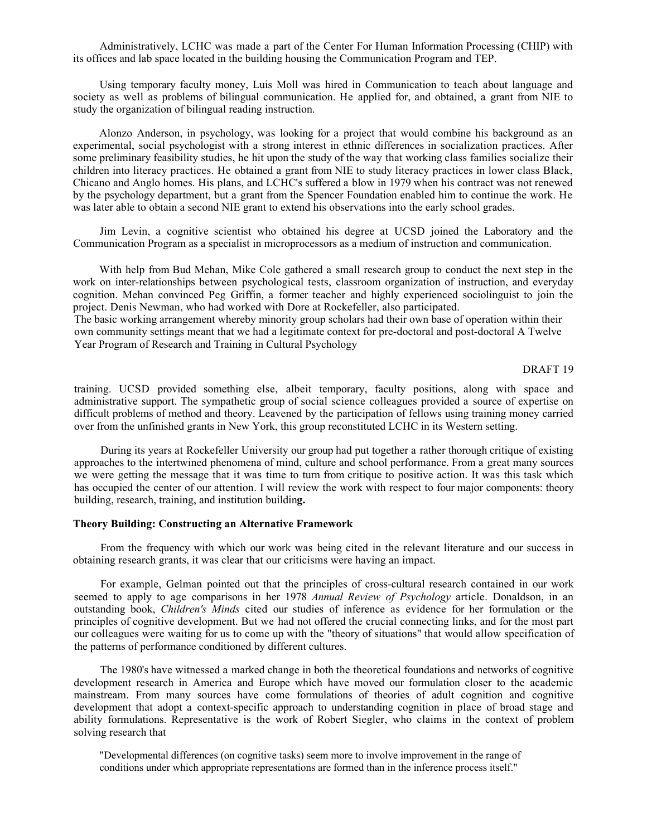Administratively, LCHC was made a part of the Center For Human Information Processing (CHIP) with its offices and lab space located in the building housing the Communication Program and TEP.

Using temporary faculty money, Luis Moll was hired in Communication to teach about language and society as well as problems of bilingual communication. He applied for, and obtained, a grant from NIE to study the organization of bilingual reading instruction.

Alonzo Anderson, in psychology, was looking for a project that would combine his background as an experimental, social psychologist with a strong interest in ethnic differences in socialization practices. After some preliminary feasibility studies, he hit upon the study of the way that working class families socialize their children into literacy practices. He obtained a grant from NIE to study literacy practices in lower class Black, Chicano and Anglo homes. His plans, and LCHC's suffered a blow in 1979 when his contract was not renewed by the psychology department, but a grant from the Spencer Foundation enabled him to continue the work. He was later able to obtain a second NIE grant to extend his observations into the early school grades.

Jim Levin, a cognitive scientist who obtained his degree at UCSD joined the Laboratory and the Communication Program as a specialist in microprocessors as a medium of instruction and communication.

With help from Bud Mehan, Mike Cole gathered a small research group to conduct the next step in the work on inter-relationships between psychological tests, classroom organization of instruction, and everyday cognition. Mehan convinced Peg Griffin, a former teacher and highly experienced sociolinguist to join the project. Denis Newman, who had worked with Dore at Rockefeller, also participated.

The basic working arrangement whereby minority group scholars had their own base of operation within their own community settings meant that we had a legitimate context for pre-doctoral and post-doctoral A Twelve Year Program of Research and Training in Cultural Psychology

### DRAFT 19

training. UCSD provided something else, albeit temporary, faculty positions, along with space and administrative support. The sympathetic group of social science colleagues provided a source of expertise on difficult problems of method and theory. Leavened by the participation of fellows using training money carried over from the unfinished grants in New York, this group reconstituted LCHC in its Western setting.

During its years at Rockefeller University our group had put together a rather thorough critique of existing approaches to the intertwined phenomena of mind, culture and school performance. From a great many sources we were getting the message that it was time to turn from critique to positive action. It was this task which has occupied the center of our attention. I will review the work with respect to four major components: theory building, research, training, and institution buildin**g.** 

#### **Theory Building: Constructing an Alternative Framework**

From the frequency with which our work was being cited in the relevant literature and our success in obtaining research grants, it was clear that our criticisms were having an impact.

For example, Gelman pointed out that the principles of cross-cultural research contained in our work seemed to apply to age comparisons in her 1978 *Annual Review of Psychology* article. Donaldson, in an outstanding book, *Children's Minds* cited our studies of inference as evidence for her formulation or the principles of cognitive development. But we had not offered the crucial connecting links, and for the most part our colleagues were waiting for us to come up with the "theory of situations" that would allow specification of the patterns of performance conditioned by different cultures.

The 1980's have witnessed a marked change in both the theoretical foundations and networks of cognitive development research in America and Europe which have moved our formulation closer to the academic mainstream. From many sources have come formulations of theories of adult cognition and cognitive development that adopt a context-specific approach to understanding cognition in place of broad stage and ability formulations. Representative is the work of Robert Siegler, who claims in the context of problem solving research that

"Developmental differences (on cognitive tasks) seem more to involve improvement in the range of conditions under which appropriate representations are formed than in the inference process itself."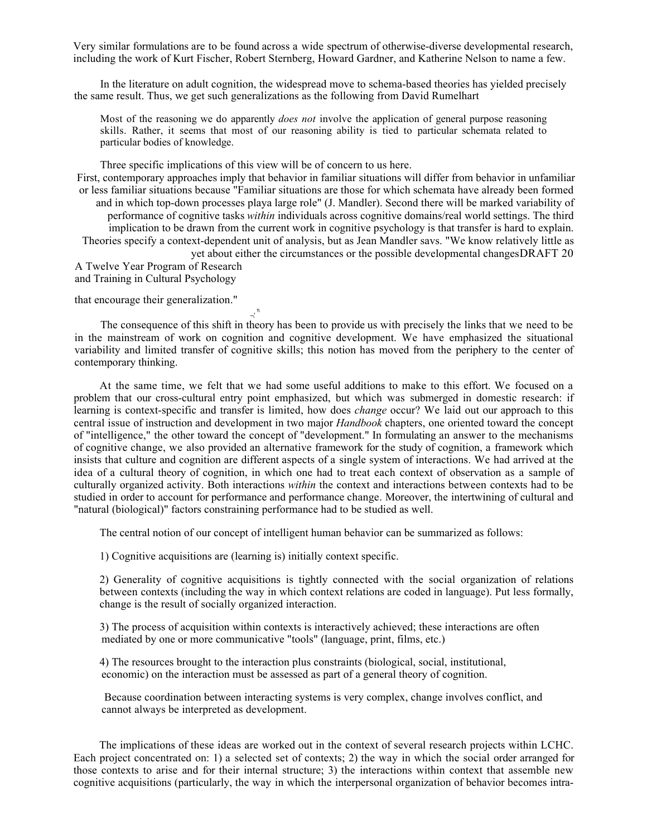Very similar formulations are to be found across a wide spectrum of otherwise-diverse developmental research, including the work of Kurt Fischer, Robert Sternberg, Howard Gardner, and Katherine Nelson to name a few.

In the literature on adult cognition, the widespread move to schema-based theories has yielded precisely the same result. Thus, we get such generalizations as the following from David Rumelhart

Most of the reasoning we do apparently *does not* involve the application of general purpose reasoning skills. Rather, it seems that most of our reasoning ability is tied to particular schemata related to particular bodies of knowledge.

Three specific implications of this view will be of concern to us here. First, contemporary approaches imply that behavior in familiar situations will differ from behavior in unfamiliar or less familiar situations because "Familiar situations are those for which schemata have already been formed and in which top-down processes playa large role" (J. Mandler). Second there will be marked variability of performance of cognitive tasks *within* individuals across cognitive domains/real world settings. The third implication to be drawn from the current work in cognitive psychology is that transfer is hard to explain. Theories specify a context-dependent unit of analysis, but as Jean Mandler savs. "We know relatively little as yet about either the circumstances or the possible developmental changesDRAFT 20 A Twelve Year Program of Research and Training in Cultural Psychology

that encourage their generalization."

The consequence of this shift in theory has been to provide us with precisely the links that we need to be in the mainstream of work on cognition and cognitive development. We have emphasized the situational variability and limited transfer of cognitive skills; this notion has moved from the periphery to the center of contemporary thinking.

At the same time, we felt that we had some useful additions to make to this effort. We focused on a problem that our cross-cultural entry point emphasized, but which was submerged in domestic research: if learning is context-specific and transfer is limited, how does *change* occur? We laid out our approach to this central issue of instruction and development in two major *Handbook* chapters, one oriented toward the concept of "intelligence," the other toward the concept of "development." In formulating an answer to the mechanisms of cognitive change, we also provided an alternative framework for the study of cognition, a framework which insists that culture and cognition are different aspects of a single system of interactions. We had arrived at the idea of a cultural theory of cognition, in which one had to treat each context of observation as a sample of culturally organized activity. Both interactions *within* the context and interactions between contexts had to be studied in order to account for performance and performance change. Moreover, the intertwining of cultural and "natural (biological)" factors constraining performance had to be studied as well.

The central notion of our concept of intelligent human behavior can be summarized as follows:

1) Cognitive acquisitions are (learning is) initially context specific.

1\ --,'

2) Generality of cognitive acquisitions is tightly connected with the social organization of relations between contexts (including the way in which context relations are coded in language). Put less formally, change is the result of socially organized interaction.

3) The process of acquisition within contexts is interactively achieved; these interactions are often mediated by one or more communicative "tools" (language, print, films, etc.)

4) The resources brought to the interaction plus constraints (biological, social, institutional, economic) on the interaction must be assessed as part of a general theory of cognition.

 Because coordination between interacting systems is very complex, change involves conflict, and cannot always be interpreted as development.

The implications of these ideas are worked out in the context of several research projects within LCHC. Each project concentrated on: 1) a selected set of contexts; 2) the way in which the social order arranged for those contexts to arise and for their internal structure; 3) the interactions within context that assemble new cognitive acquisitions (particularly, the way in which the interpersonal organization of behavior becomes intra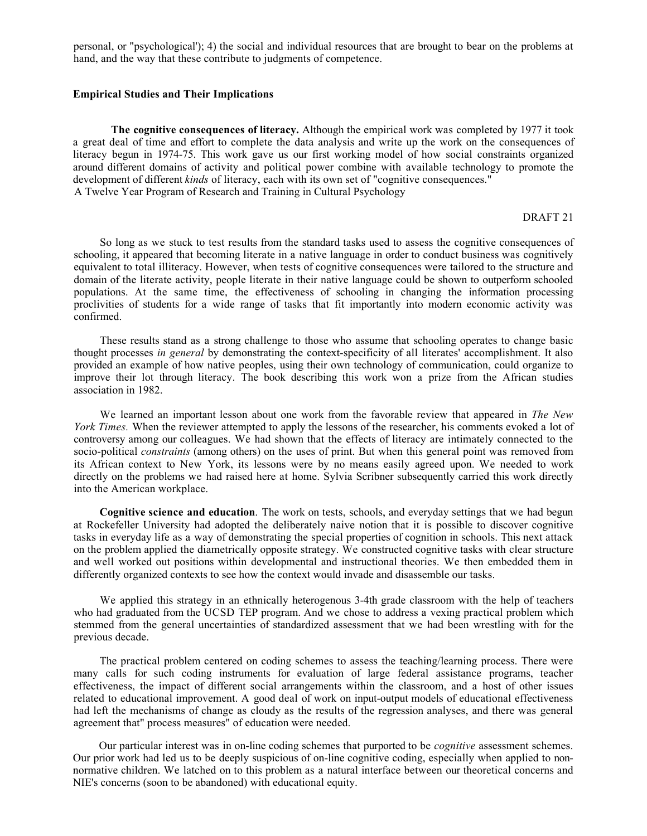personal, or "psychological'); 4) the social and individual resources that are brought to bear on the problems at hand, and the way that these contribute to judgments of competence.

#### **Empirical Studies and Their Implications**

**The cognitive consequences of literacy.** Although the empirical work was completed by 1977 it took a great deal of time and effort to complete the data analysis and write up the work on the consequences of literacy begun in 1974-75. This work gave us our first working model of how social constraints organized around different domains of activity and political power combine with available technology to promote the development of different *kinds* of literacy, each with its own set of "cognitive consequences." A Twelve Year Program of Research and Training in Cultural Psychology

#### DRAFT 21

So long as we stuck to test results from the standard tasks used to assess the cognitive consequences of schooling, it appeared that becoming literate in a native language in order to conduct business was cognitively equivalent to total illiteracy. However, when tests of cognitive consequences were tailored to the structure and domain of the literate activity, people literate in their native language could be shown to outperform schooled populations. At the same time, the effectiveness of schooling in changing the information processing proclivities of students for a wide range of tasks that fit importantly into modern economic activity was confirmed.

These results stand as a strong challenge to those who assume that schooling operates to change basic thought processes *in general* by demonstrating the context-specificity of all literates' accomplishment. It also provided an example of how native peoples, using their own technology of communication, could organize to improve their lot through literacy. The book describing this work won a prize from the African studies association in 1982.

We learned an important lesson about one work from the favorable review that appeared in *The New York Times.* When the reviewer attempted to apply the lessons of the researcher, his comments evoked a lot of controversy among our colleagues. We had shown that the effects of literacy are intimately connected to the socio-political *constraints* (among others) on the uses of print. But when this general point was removed from its African context to New York, its lessons were by no means easily agreed upon. We needed to work directly on the problems we had raised here at home. Sylvia Scribner subsequently carried this work directly into the American workplace.

**Cognitive science and education**. The work on tests, schools, and everyday settings that we had begun at Rockefeller University had adopted the deliberately naive notion that it is possible to discover cognitive tasks in everyday life as a way of demonstrating the special properties of cognition in schools. This next attack on the problem applied the diametrically opposite strategy. We constructed cognitive tasks with clear structure and well worked out positions within developmental and instructional theories. We then embedded them in differently organized contexts to see how the context would invade and disassemble our tasks.

We applied this strategy in an ethnically heterogenous 3-4th grade classroom with the help of teachers who had graduated from the UCSD TEP program. And we chose to address a vexing practical problem which stemmed from the general uncertainties of standardized assessment that we had been wrestling with for the previous decade.

The practical problem centered on coding schemes to assess the teaching/learning process. There were many calls for such coding instruments for evaluation of large federal assistance programs, teacher effectiveness, the impact of different social arrangements within the classroom, and a host of other issues related to educational improvement. A good deal of work on input-output models of educational effectiveness had left the mechanisms of change as cloudy as the results of the regression analyses, and there was general agreement that" process measures" of education were needed.

Our particular interest was in on-line coding schemes that purported to be *cognitive* assessment schemes. Our prior work had led us to be deeply suspicious of on-line cognitive coding, especially when applied to nonnormative children. We latched on to this problem as a natural interface between our theoretical concerns and NIE's concerns (soon to be abandoned) with educational equity.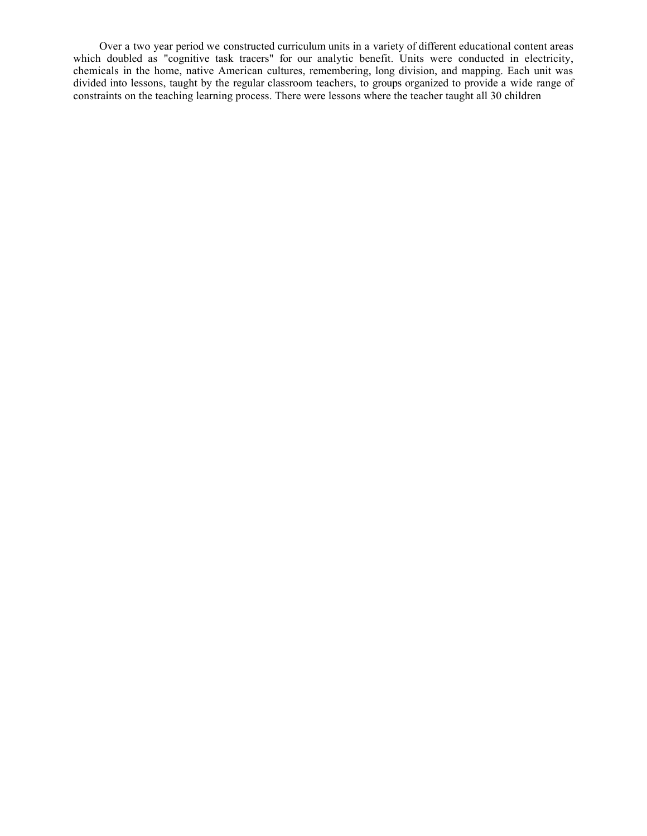Over a two year period we constructed curriculum units in a variety of different educational content areas which doubled as "cognitive task tracers" for our analytic benefit. Units were conducted in electricity, chemicals in the home, native American cultures, remembering, long division, and mapping. Each unit was divided into lessons, taught by the regular classroom teachers, to groups organized to provide a wide range of constraints on the teaching learning process. There were lessons where the teacher taught all 30 children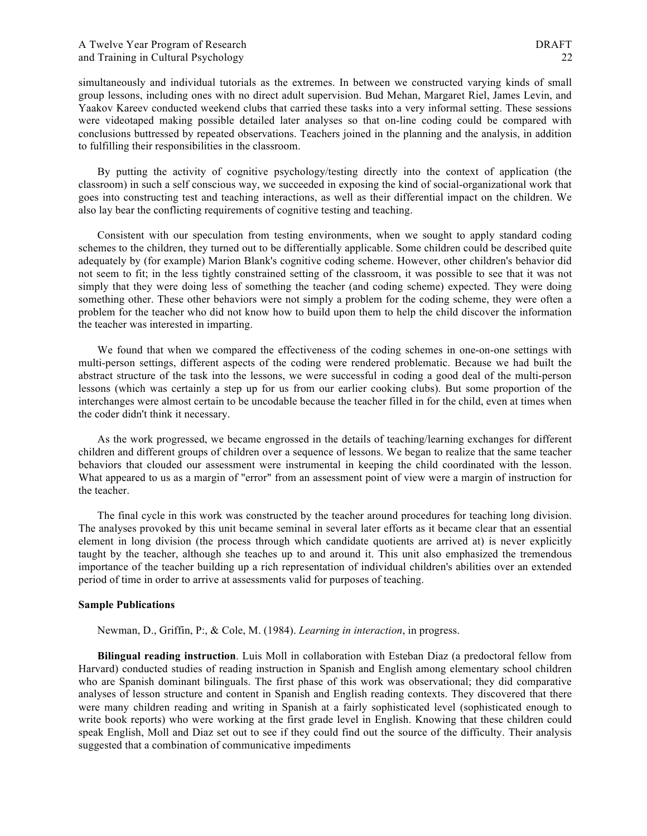simultaneously and individual tutorials as the extremes. In between we constructed varying kinds of small group lessons, including ones with no direct adult supervision. Bud Mehan, Margaret Riel, James Levin, and Yaakov Kareev conducted weekend clubs that carried these tasks into a very informal setting. These sessions were videotaped making possible detailed later analyses so that on-line coding could be compared with conclusions buttressed by repeated observations. Teachers joined in the planning and the analysis, in addition to fulfilling their responsibilities in the classroom.

By putting the activity of cognitive psychology/testing directly into the context of application (the classroom) in such a self conscious way, we succeeded in exposing the kind of social-organizational work that goes into constructing test and teaching interactions, as well as their differential impact on the children. We also lay bear the conflicting requirements of cognitive testing and teaching.

Consistent with our speculation from testing environments, when we sought to apply standard coding schemes to the children, they turned out to be differentially applicable. Some children could be described quite adequately by (for example) Marion Blank's cognitive coding scheme. However, other children's behavior did not seem to fit; in the less tightly constrained setting of the classroom, it was possible to see that it was not simply that they were doing less of something the teacher (and coding scheme) expected. They were doing something other. These other behaviors were not simply a problem for the coding scheme, they were often a problem for the teacher who did not know how to build upon them to help the child discover the information the teacher was interested in imparting.

We found that when we compared the effectiveness of the coding schemes in one-on-one settings with multi-person settings, different aspects of the coding were rendered problematic. Because we had built the abstract structure of the task into the lessons, we were successful in coding a good deal of the multi-person lessons (which was certainly a step up for us from our earlier cooking clubs). But some proportion of the interchanges were almost certain to be uncodable because the teacher filled in for the child, even at times when the coder didn't think it necessary.

As the work progressed, we became engrossed in the details of teaching/learning exchanges for different children and different groups of children over a sequence of lessons. We began to realize that the same teacher behaviors that clouded our assessment were instrumental in keeping the child coordinated with the lesson. What appeared to us as a margin of "error" from an assessment point of view were a margin of instruction for the teacher.

The final cycle in this work was constructed by the teacher around procedures for teaching long division. The analyses provoked by this unit became seminal in several later efforts as it became clear that an essential element in long division (the process through which candidate quotients are arrived at) is never explicitly taught by the teacher, although she teaches up to and around it. This unit also emphasized the tremendous importance of the teacher building up a rich representation of individual children's abilities over an extended period of time in order to arrive at assessments valid for purposes of teaching.

#### **Sample Publications**

Newman, D., Griffin, P:, & Cole, M. (1984). *Learning in interaction*, in progress.

**Bilingual reading instruction**. Luis Moll in collaboration with Esteban Diaz (a predoctoral fellow from Harvard) conducted studies of reading instruction in Spanish and English among elementary school children who are Spanish dominant bilinguals. The first phase of this work was observational; they did comparative analyses of lesson structure and content in Spanish and English reading contexts. They discovered that there were many children reading and writing in Spanish at a fairly sophisticated level (sophisticated enough to write book reports) who were working at the first grade level in English. Knowing that these children could speak English, Moll and Diaz set out to see if they could find out the source of the difficulty. Their analysis suggested that a combination of communicative impediments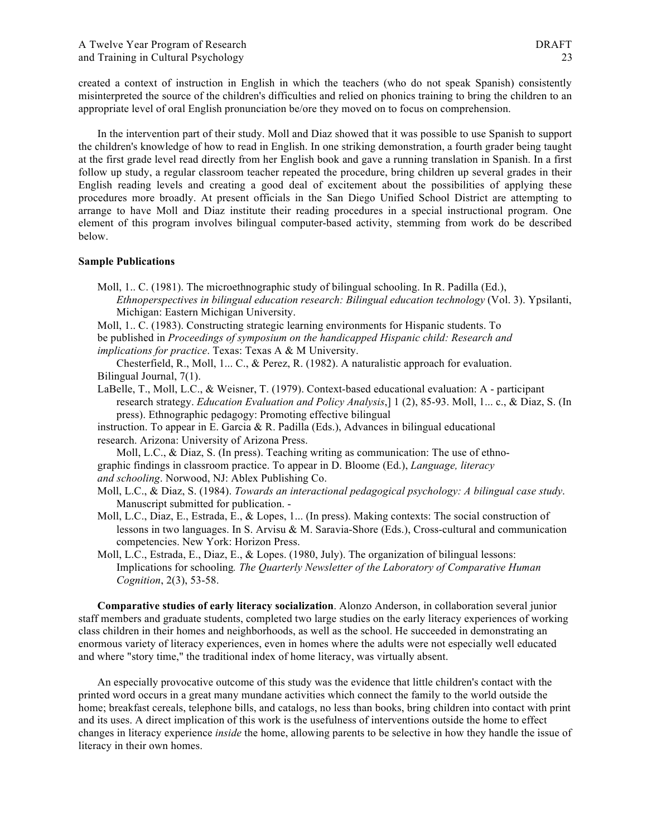created a context of instruction in English in which the teachers (who do not speak Spanish) consistently misinterpreted the source of the children's difficulties and relied on phonics training to bring the children to an appropriate level of oral English pronunciation be/ore they moved on to focus on comprehension.

In the intervention part of their study. Moll and Diaz showed that it was possible to use Spanish to support the children's knowledge of how to read in English. In one striking demonstration, a fourth grader being taught at the first grade level read directly from her English book and gave a running translation in Spanish. In a first follow up study, a regular classroom teacher repeated the procedure, bring children up several grades in their English reading levels and creating a good deal of excitement about the possibilities of applying these procedures more broadly. At present officials in the San Diego Unified School District are attempting to arrange to have Moll and Diaz institute their reading procedures in a special instructional program. One element of this program involves bilingual computer-based activity, stemming from work do be described below.

# **Sample Publications**

- Moll, 1.. C. (1981). The microethnographic study of bilingual schooling. In R. Padilla (Ed.), *Ethnoperspectives in bilingual education research: Bilingual education technology* (Vol. 3). Ypsilanti, Michigan: Eastern Michigan University.
- Moll, 1.. C. (1983). Constructing strategic learning environments for Hispanic students. To be published in *Proceedings of symposium on the handicapped Hispanic child: Research and implications for practice*. Texas: Texas A & M University.
- Chesterfield, R., Moll, 1... C., & Perez, R. (1982). A naturalistic approach for evaluation. Bilingual Journal, 7(1).
- LaBelle, T., Moll, L.C., & Weisner, T. (1979). Context-based educational evaluation: A participant research strategy. *Education Evaluation and Policy Analysis*,] 1 (2), 85-93. Moll, 1... c., & Diaz, S. (In press). Ethnographic pedagogy: Promoting effective bilingual
- instruction. To appear in E. Garcia & R. Padilla (Eds.), Advances in bilingual educational research. Arizona: University of Arizona Press.
- Moll, L.C., & Diaz, S. (In press). Teaching writing as communication: The use of ethnographic findings in classroom practice. To appear in D. Bloome (Ed.), *Language, literacy and schooling*. Norwood, NJ: Ablex Publishing Co.
- Moll, L.C., & Diaz, S. (1984). *Towards an interactional pedagogical psychology: A bilingual case study*. Manuscript submitted for publication. -
- Moll, L.C., Diaz, E., Estrada, E., & Lopes, 1... (In press). Making contexts: The social construction of lessons in two languages. In S. Arvisu & M. Saravia-Shore (Eds.), Cross-cultural and communication competencies. New York: Horizon Press.
- Moll, L.C., Estrada, E., Diaz, E., & Lopes. (1980, July). The organization of bilingual lessons: Implications for schooling*. The Quarterly Newsletter of the Laboratory of Comparative Human Cognition*, 2(3), 53-58.

**Comparative studies of early literacy socialization**. Alonzo Anderson, in collaboration several junior staff members and graduate students, completed two large studies on the early literacy experiences of working class children in their homes and neighborhoods, as well as the school. He succeeded in demonstrating an enormous variety of literacy experiences, even in homes where the adults were not especially well educated and where "story time," the traditional index of home literacy, was virtually absent.

An especially provocative outcome of this study was the evidence that little children's contact with the printed word occurs in a great many mundane activities which connect the family to the world outside the home; breakfast cereals, telephone bills, and catalogs, no less than books, bring children into contact with print and its uses. A direct implication of this work is the usefulness of interventions outside the home to effect changes in literacy experience *inside* the home, allowing parents to be selective in how they handle the issue of literacy in their own homes.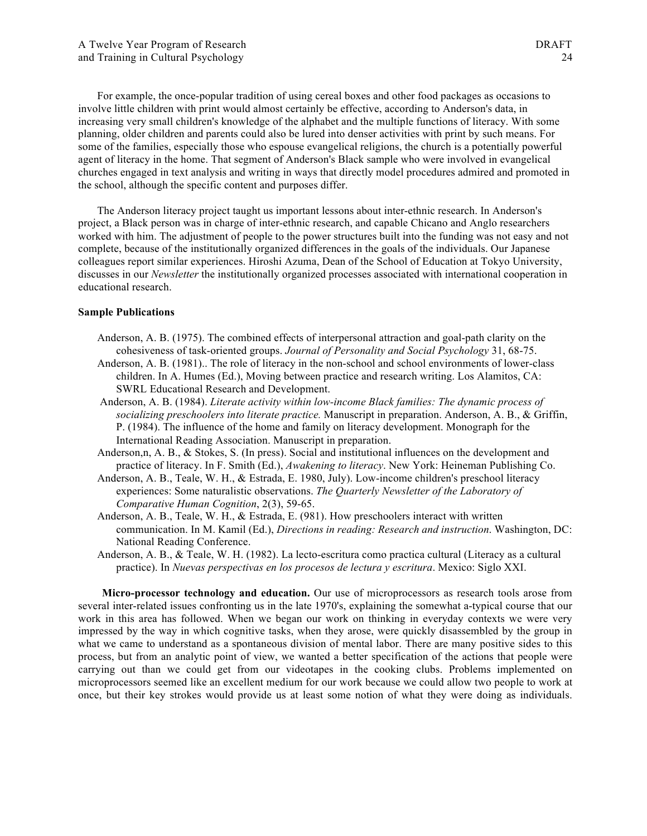For example, the once-popular tradition of using cereal boxes and other food packages as occasions to involve little children with print would almost certainly be effective, according to Anderson's data, in increasing very small children's knowledge of the alphabet and the multiple functions of literacy. With some planning, older children and parents could also be lured into denser activities with print by such means. For some of the families, especially those who espouse evangelical religions, the church is a potentially powerful agent of literacy in the home. That segment of Anderson's Black sample who were involved in evangelical churches engaged in text analysis and writing in ways that directly model procedures admired and promoted in the school, although the specific content and purposes differ.

The Anderson literacy project taught us important lessons about inter-ethnic research. In Anderson's project, a Black person was in charge of inter-ethnic research, and capable Chicano and Anglo researchers worked with him. The adjustment of people to the power structures built into the funding was not easy and not complete, because of the institutionally organized differences in the goals of the individuals. Our Japanese colleagues report similar experiences. Hiroshi Azuma, Dean of the School of Education at Tokyo University, discusses in our *Newsletter* the institutionally organized processes associated with international cooperation in educational research.

## **Sample Publications**

- Anderson, A. B. (1975). The combined effects of interpersonal attraction and goal-path clarity on the cohesiveness of task-oriented groups. *Journal of Personality and Social Psychology* 31, 68-75.
- Anderson, A. B. (1981).. The role of literacy in the non-school and school environments of lower-class children. In A. Humes (Ed.), Moving between practice and research writing. Los Alamitos, CA: SWRL Educational Research and Development.
- Anderson, A. B. (1984). *Literate activity within low-income Black families: The dynamic process of socializing preschoolers into literate practice.* Manuscript in preparation. Anderson, A. B., & Griffin, P. (1984). The influence of the home and family on literacy development. Monograph for the International Reading Association. Manuscript in preparation.
- Anderson,n, A. B., & Stokes, S. (In press). Social and institutional influences on the development and practice of literacy. In F. Smith (Ed.), *Awakening to literacy*. New York: Heineman Publishing Co.
- Anderson, A. B., Teale, W. H., & Estrada, E. 1980, July). Low-income children's preschool literacy experiences: Some naturalistic observations. *The Quarterly Newsletter of the Laboratory of Comparative Human Cognition*, 2(3), 59-65.
- Anderson, A. B., Teale, W. H., & Estrada, E. (981). How preschoolers interact with written communication. In M. Kamil (Ed.), *Directions in reading: Research and instruction*. Washington, DC: National Reading Conference.
- Anderson, A. B., & Teale, W. H. (1982). La lecto-escritura como practica cultural (Literacy as a cultural practice). In *Nuevas perspectivas en los procesos de lectura y escritura*. Mexico: Siglo XXI.

**Micro-processor technology and education.** Our use of microprocessors as research tools arose from several inter-related issues confronting us in the late 1970's, explaining the somewhat a-typical course that our work in this area has followed. When we began our work on thinking in everyday contexts we were very impressed by the way in which cognitive tasks, when they arose, were quickly disassembled by the group in what we came to understand as a spontaneous division of mental labor. There are many positive sides to this process, but from an analytic point of view, we wanted a better specification of the actions that people were carrying out than we could get from our videotapes in the cooking clubs. Problems implemented on microprocessors seemed like an excellent medium for our work because we could allow two people to work at once, but their key strokes would provide us at least some notion of what they were doing as individuals.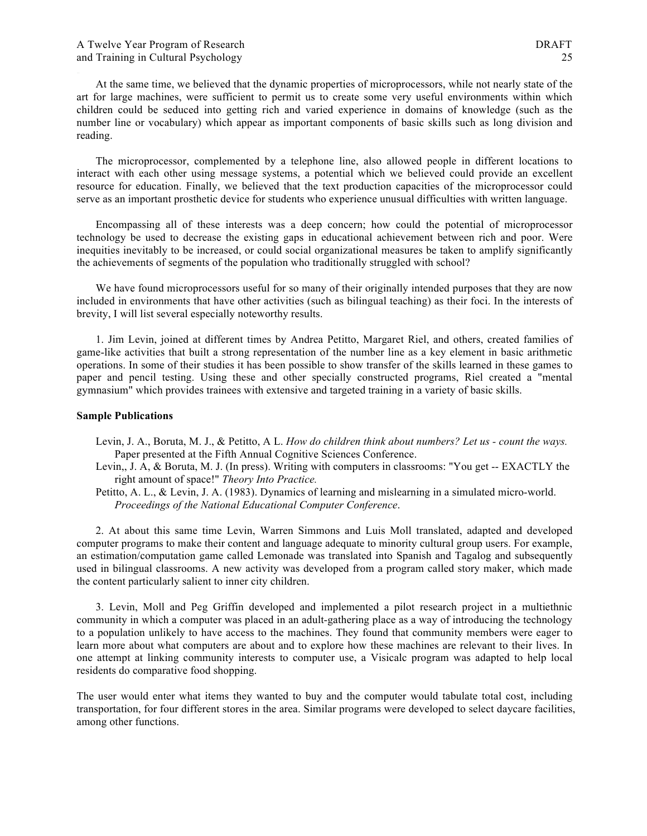At the same time, we believed that the dynamic properties of microprocessors, while not nearly state of the art for large machines, were sufficient to permit us to create some very useful environments within which children could be seduced into getting rich and varied experience in domains of knowledge (such as the number line or vocabulary) which appear as important components of basic skills such as long division and reading.

The microprocessor, complemented by a telephone line, also allowed people in different locations to interact with each other using message systems, a potential which we believed could provide an excellent resource for education. Finally, we believed that the text production capacities of the microprocessor could serve as an important prosthetic device for students who experience unusual difficulties with written language.

Encompassing all of these interests was a deep concern; how could the potential of microprocessor technology be used to decrease the existing gaps in educational achievement between rich and poor. Were inequities inevitably to be increased, or could social organizational measures be taken to amplify significantly the achievements of segments of the population who traditionally struggled with school?

We have found microprocessors useful for so many of their originally intended purposes that they are now included in environments that have other activities (such as bilingual teaching) as their foci. In the interests of brevity, I will list several especially noteworthy results.

1. Jim Levin, joined at different times by Andrea Petitto, Margaret Riel, and others, created families of game-like activities that built a strong representation of the number line as a key element in basic arithmetic operations. In some of their studies it has been possible to show transfer of the skills learned in these games to paper and pencil testing. Using these and other specially constructed programs, Riel created a "mental gymnasium" which provides trainees with extensive and targeted training in a variety of basic skills.

## **Sample Publications**

- Levin, J. A., Boruta, M. J., & Petitto, A L. *How do children think about numbers? Let us count the ways.* Paper presented at the Fifth Annual Cognitive Sciences Conference.
- Levin,, J. A, & Boruta, M. J. (In press). Writing with computers in classrooms: "You get -- EXACTLY the right amount of space!" *Theory Into Practice.*
- Petitto, A. L., & Levin, J. A. (1983). Dynamics of learning and mislearning in a simulated micro-world. *Proceedings of the National Educational Computer Conference*.

2. At about this same time Levin, Warren Simmons and Luis Moll translated, adapted and developed computer programs to make their content and language adequate to minority cultural group users. For example, an estimation/computation game called Lemonade was translated into Spanish and Tagalog and subsequently used in bilingual classrooms. A new activity was developed from a program called story maker, which made the content particularly salient to inner city children.

3. Levin, Moll and Peg Griffin developed and implemented a pilot research project in a multiethnic community in which a computer was placed in an adult-gathering place as a way of introducing the technology to a population unlikely to have access to the machines. They found that community members were eager to learn more about what computers are about and to explore how these machines are relevant to their lives. In one attempt at linking community interests to computer use, a Visicalc program was adapted to help local residents do comparative food shopping.

The user would enter what items they wanted to buy and the computer would tabulate total cost, including transportation, for four different stores in the area. Similar programs were developed to select daycare facilities, among other functions.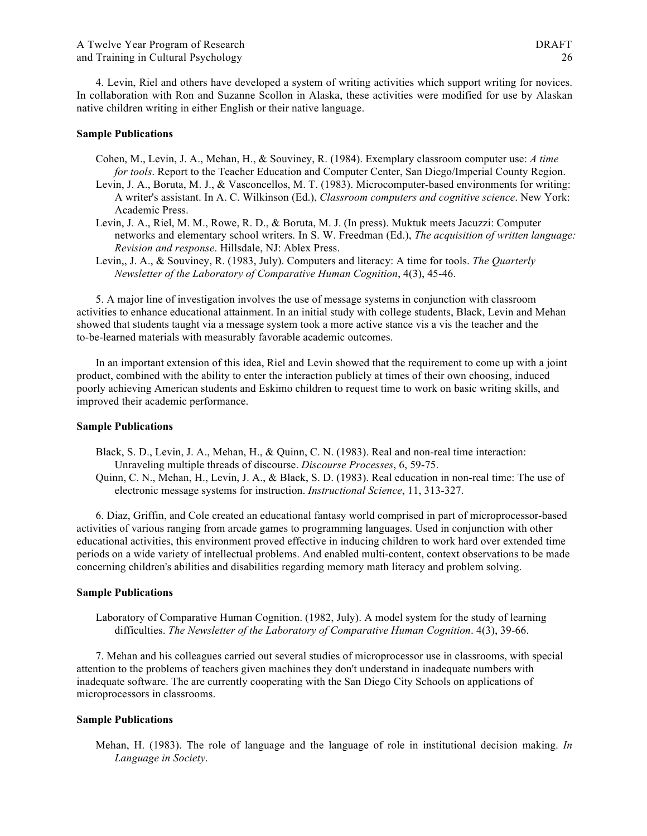4. Levin, Riel and others have developed a system of writing activities which support writing for novices. In collaboration with Ron and Suzanne Scollon in Alaska, these activities were modified for use by Alaskan native children writing in either English or their native language.

#### **Sample Publications**

- Cohen, M., Levin, J. A., Mehan, H., & Souviney, R. (1984). Exemplary classroom computer use: *A time for tools*. Report to the Teacher Education and Computer Center, San Diego/Imperial County Region.
- Levin, J. A., Boruta, M. J., & Vasconcellos, M. T. (1983). Microcomputer-based environments for writing: A writer's assistant. In A. C. Wilkinson (Ed.), *Classroom computers and cognitive science*. New York: Academic Press.
- Levin, J. A., Riel, M. M., Rowe, R. D., & Boruta, M. J. (In press). Muktuk meets Jacuzzi: Computer networks and elementary school writers. In S. W. Freedman (Ed.), *The acquisition of written language: Revision and response*. Hillsdale, NJ: Ablex Press.
- Levin,, J. A., & Souviney, R. (1983, July). Computers and literacy: A time for tools. *The Quarterly Newsletter of the Laboratory of Comparative Human Cognition*, 4(3), 45-46.

5. A major line of investigation involves the use of message systems in conjunction with classroom activities to enhance educational attainment. In an initial study with college students, Black, Levin and Mehan showed that students taught via a message system took a more active stance vis a vis the teacher and the to-be-learned materials with measurably favorable academic outcomes.

In an important extension of this idea, Riel and Levin showed that the requirement to come up with a joint product, combined with the ability to enter the interaction publicly at times of their own choosing, induced poorly achieving American students and Eskimo children to request time to work on basic writing skills, and improved their academic performance.

#### **Sample Publications**

- Black, S. D., Levin, J. A., Mehan, H., & Quinn, C. N. (1983). Real and non-real time interaction: Unraveling multiple threads of discourse. *Discourse Processes*, 6, 59-75.
- Quinn, C. N., Mehan, H., Levin, J. A., & Black, S. D. (1983). Real education in non-real time: The use of electronic message systems for instruction. *Instructional Science*, 11, 313-327.

6. Diaz, Griffin, and Cole created an educational fantasy world comprised in part of microprocessor-based activities of various ranging from arcade games to programming languages. Used in conjunction with other educational activities, this environment proved effective in inducing children to work hard over extended time periods on a wide variety of intellectual problems. And enabled multi-content, context observations to be made concerning children's abilities and disabilities regarding memory math literacy and problem solving.

## **Sample Publications**

Laboratory of Comparative Human Cognition. (1982, July). A model system for the study of learning difficulties. *The Newsletter of the Laboratory of Comparative Human Cognition*. 4(3), 39-66.

7. Mehan and his colleagues carried out several studies of microprocessor use in classrooms, with special attention to the problems of teachers given machines they don't understand in inadequate numbers with inadequate software. The are currently cooperating with the San Diego City Schools on applications of microprocessors in classrooms.

#### **Sample Publications**

Mehan, H. (1983). The role of language and the language of role in institutional decision making. *In Language in Society*.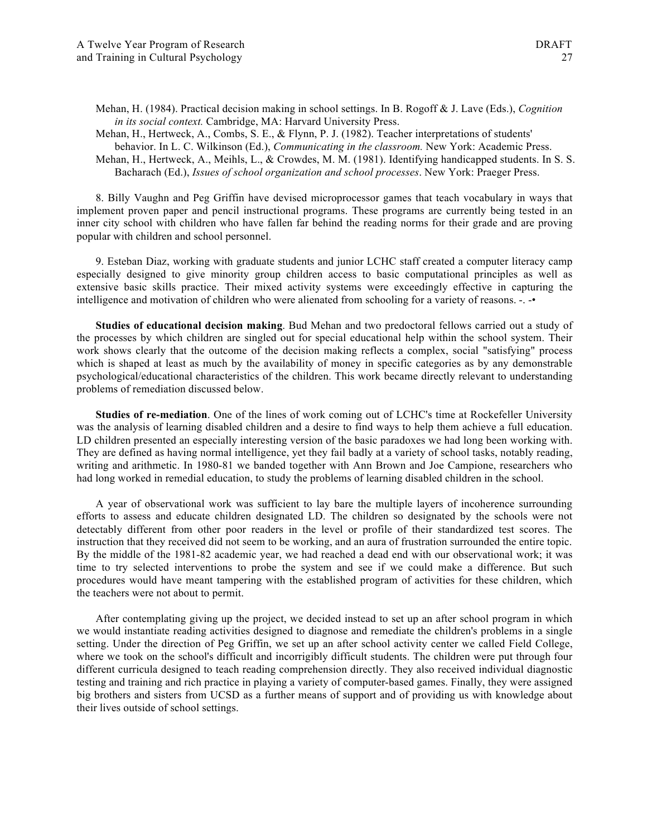Mehan, H. (1984). Practical decision making in school settings. In B. Rogoff & J. Lave (Eds.), *Cognition in its social context.* Cambridge, MA: Harvard University Press.

Mehan, H., Hertweck, A., Combs, S. E., & Flynn, P. J. (1982). Teacher interpretations of students' behavior. In L. C. Wilkinson (Ed.), *Communicating in the classroom.* New York: Academic Press. Mehan, H., Hertweck, A., Meihls, L., & Crowdes, M. M. (1981). Identifying handicapped students. In S. S. Bacharach (Ed.), *Issues of school organization and school processes*. New York: Praeger Press.

8. Billy Vaughn and Peg Griffin have devised microprocessor games that teach vocabulary in ways that implement proven paper and pencil instructional programs. These programs are currently being tested in an inner city school with children who have fallen far behind the reading norms for their grade and are proving popular with children and school personnel.

9. Esteban Diaz, working with graduate students and junior LCHC staff created a computer literacy camp especially designed to give minority group children access to basic computational principles as well as extensive basic skills practice. Their mixed activity systems were exceedingly effective in capturing the intelligence and motivation of children who were alienated from schooling for a variety of reasons. -. -•

**Studies of educational decision making**. Bud Mehan and two predoctoral fellows carried out a study of the processes by which children are singled out for special educational help within the school system. Their work shows clearly that the outcome of the decision making reflects a complex, social "satisfying" process which is shaped at least as much by the availability of money in specific categories as by any demonstrable psychological/educational characteristics of the children. This work became directly relevant to understanding problems of remediation discussed below.

**Studies of re-mediation**. One of the lines of work coming out of LCHC's time at Rockefeller University was the analysis of learning disabled children and a desire to find ways to help them achieve a full education. LD children presented an especially interesting version of the basic paradoxes we had long been working with. They are defined as having normal intelligence, yet they fail badly at a variety of school tasks, notably reading, writing and arithmetic. In 1980-81 we banded together with Ann Brown and Joe Campione, researchers who had long worked in remedial education, to study the problems of learning disabled children in the school.

A year of observational work was sufficient to lay bare the multiple layers of incoherence surrounding efforts to assess and educate children designated LD. The children so designated by the schools were not detectably different from other poor readers in the level or profile of their standardized test scores. The instruction that they received did not seem to be working, and an aura of frustration surrounded the entire topic. By the middle of the 1981-82 academic year, we had reached a dead end with our observational work; it was time to try selected interventions to probe the system and see if we could make a difference. But such procedures would have meant tampering with the established program of activities for these children, which the teachers were not about to permit.

After contemplating giving up the project, we decided instead to set up an after school program in which we would instantiate reading activities designed to diagnose and remediate the children's problems in a single setting. Under the direction of Peg Griffin, we set up an after school activity center we called Field College, where we took on the school's difficult and incorrigibly difficult students. The children were put through four different curricula designed to teach reading comprehension directly. They also received individual diagnostic testing and training and rich practice in playing a variety of computer-based games. Finally, they were assigned big brothers and sisters from UCSD as a further means of support and of providing us with knowledge about their lives outside of school settings.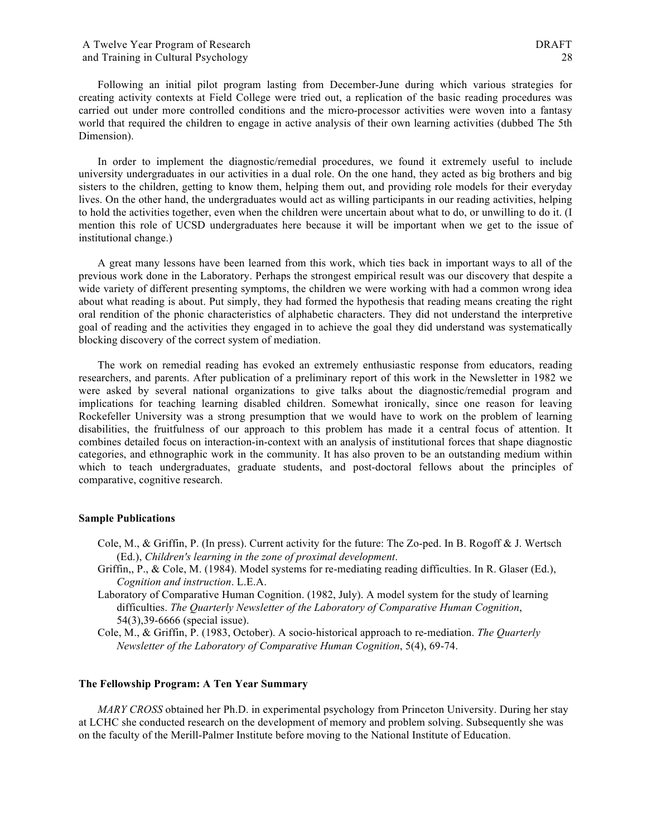Following an initial pilot program lasting from December-June during which various strategies for creating activity contexts at Field College were tried out, a replication of the basic reading procedures was carried out under more controlled conditions and the micro-processor activities were woven into a fantasy world that required the children to engage in active analysis of their own learning activities (dubbed The 5th Dimension).

In order to implement the diagnostic/remedial procedures, we found it extremely useful to include university undergraduates in our activities in a dual role. On the one hand, they acted as big brothers and big sisters to the children, getting to know them, helping them out, and providing role models for their everyday lives. On the other hand, the undergraduates would act as willing participants in our reading activities, helping to hold the activities together, even when the children were uncertain about what to do, or unwilling to do it. (I mention this role of UCSD undergraduates here because it will be important when we get to the issue of institutional change.)

A great many lessons have been learned from this work, which ties back in important ways to all of the previous work done in the Laboratory. Perhaps the strongest empirical result was our discovery that despite a wide variety of different presenting symptoms, the children we were working with had a common wrong idea about what reading is about. Put simply, they had formed the hypothesis that reading means creating the right oral rendition of the phonic characteristics of alphabetic characters. They did not understand the interpretive goal of reading and the activities they engaged in to achieve the goal they did understand was systematically blocking discovery of the correct system of mediation.

The work on remedial reading has evoked an extremely enthusiastic response from educators, reading researchers, and parents. After publication of a preliminary report of this work in the Newsletter in 1982 we were asked by several national organizations to give talks about the diagnostic/remedial program and implications for teaching learning disabled children. Somewhat ironically, since one reason for leaving Rockefeller University was a strong presumption that we would have to work on the problem of learning disabilities, the fruitfulness of our approach to this problem has made it a central focus of attention. It combines detailed focus on interaction-in-context with an analysis of institutional forces that shape diagnostic categories, and ethnographic work in the community. It has also proven to be an outstanding medium within which to teach undergraduates, graduate students, and post-doctoral fellows about the principles of comparative, cognitive research.

#### **Sample Publications**

- Cole, M., & Griffin, P. (In press). Current activity for the future: The Zo-ped. In B. Rogoff & J. Wertsch (Ed.), *Children's learning in the zone of proximal development*.
- Griffin,, P., & Cole, M. (1984). Model systems for re-mediating reading difficulties. In R. Glaser (Ed.), *Cognition and instruction*. L.E.A.
- Laboratory of Comparative Human Cognition. (1982, July). A model system for the study of learning difficulties. *The Quarterly Newsletter of the Laboratory of Comparative Human Cognition*, 54(3),39-6666 (special issue).
- Cole, M., & Griffin, P. (1983, October). A socio-historical approach to re-mediation. *The Quarterly Newsletter of the Laboratory of Comparative Human Cognition*, 5(4), 69-74.

# **The Fellowship Program: A Ten Year Summary**

*MARY CROSS* obtained her Ph.D. in experimental psychology from Princeton University. During her stay at LCHC she conducted research on the development of memory and problem solving. Subsequently she was on the faculty of the Merill-Palmer Institute before moving to the National Institute of Education.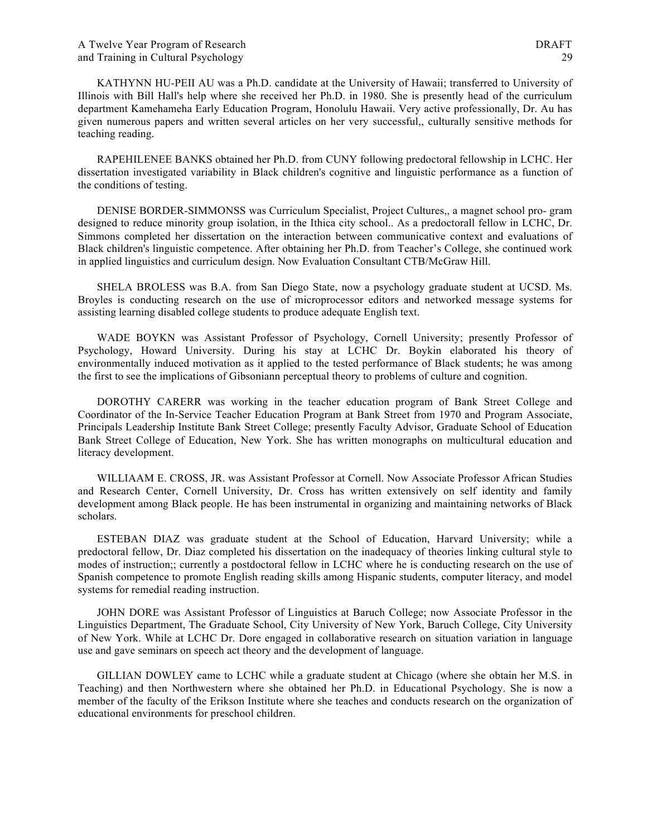KATHYNN HU-PEII AU was a Ph.D. candidate at the University of Hawaii; transferred to University of Illinois with Bill Hall's help where she received her Ph.D. in 1980. She is presently head of the curriculum department Kamehameha Early Education Program, Honolulu Hawaii. Very active professionally, Dr. Au has given numerous papers and written several articles on her very successful,, culturally sensitive methods for teaching reading.

RAPEHILENEE BANKS obtained her Ph.D. from CUNY following predoctoral fellowship in LCHC. Her dissertation investigated variability in Black children's cognitive and linguistic performance as a function of the conditions of testing.

DENISE BORDER-SIMMONSS was Curriculum Specialist, Project Cultures,, a magnet school pro- gram designed to reduce minority group isolation, in the Ithica city school.. As a predoctorall fellow in LCHC, Dr. Simmons completed her dissertation on the interaction between communicative context and evaluations of Black children's linguistic competence. After obtaining her Ph.D. from Teacher's College, she continued work in applied linguistics and curriculum design. Now Evaluation Consultant CTB/McGraw Hill.

SHELA BROLESS was B.A. from San Diego State, now a psychology graduate student at UCSD. Ms. Broyles is conducting research on the use of microprocessor editors and networked message systems for assisting learning disabled college students to produce adequate English text.

WADE BOYKN was Assistant Professor of Psychology, Cornell University; presently Professor of Psychology, Howard University. During his stay at LCHC Dr. Boykin elaborated his theory of environmentally induced motivation as it applied to the tested performance of Black students; he was among the first to see the implications of Gibsoniann perceptual theory to problems of culture and cognition.

DOROTHY CARERR was working in the teacher education program of Bank Street College and Coordinator of the In-Service Teacher Education Program at Bank Street from 1970 and Program Associate, Principals Leadership Institute Bank Street College; presently Faculty Advisor, Graduate School of Education Bank Street College of Education, New York. She has written monographs on multicultural education and literacy development.

WILLIAAM E. CROSS, JR. was Assistant Professor at Cornell. Now Associate Professor African Studies and Research Center, Cornell University, Dr. Cross has written extensively on self identity and family development among Black people. He has been instrumental in organizing and maintaining networks of Black scholars.

ESTEBAN DIAZ was graduate student at the School of Education, Harvard University; while a predoctoral fellow, Dr. Diaz completed his dissertation on the inadequacy of theories linking cultural style to modes of instruction;; currently a postdoctoral fellow in LCHC where he is conducting research on the use of Spanish competence to promote English reading skills among Hispanic students, computer literacy, and model systems for remedial reading instruction.

JOHN DORE was Assistant Professor of Linguistics at Baruch College; now Associate Professor in the Linguistics Department, The Graduate School, City University of New York, Baruch College, City University of New York. While at LCHC Dr. Dore engaged in collaborative research on situation variation in language use and gave seminars on speech act theory and the development of language.

GILLIAN DOWLEY came to LCHC while a graduate student at Chicago (where she obtain her M.S. in Teaching) and then Northwestern where she obtained her Ph.D. in Educational Psychology. She is now a member of the faculty of the Erikson Institute where she teaches and conducts research on the organization of educational environments for preschool children.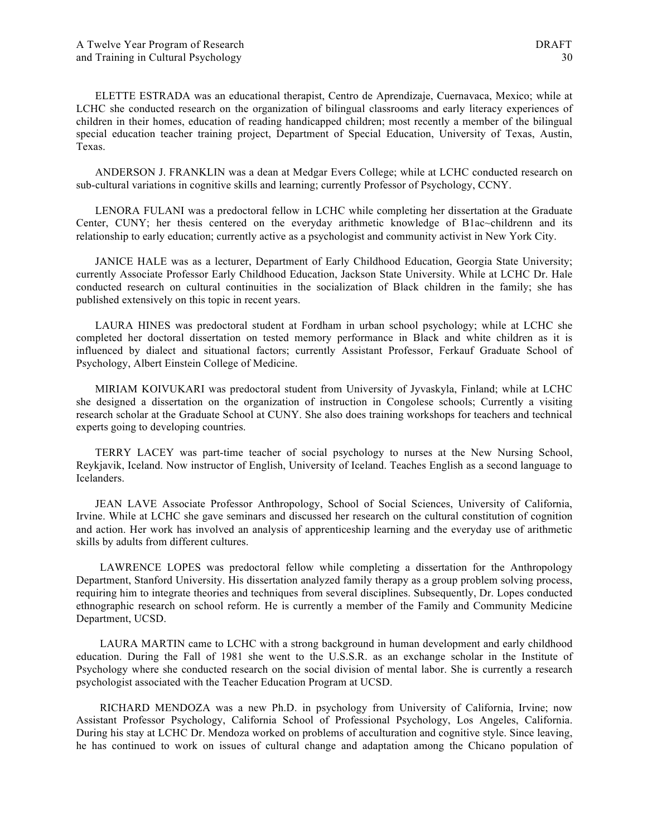ELETTE ESTRADA was an educational therapist, Centro de Aprendizaje, Cuernavaca, Mexico; while at LCHC she conducted research on the organization of bilingual classrooms and early literacy experiences of children in their homes, education of reading handicapped children; most recently a member of the bilingual special education teacher training project, Department of Special Education, University of Texas, Austin, Texas.

ANDERSON J. FRANKLIN was a dean at Medgar Evers College; while at LCHC conducted research on sub-cultural variations in cognitive skills and learning; currently Professor of Psychology, CCNY.

LENORA FULANI was a predoctoral fellow in LCHC while completing her dissertation at the Graduate Center, CUNY; her thesis centered on the everyday arithmetic knowledge of B1ac~childrenn and its relationship to early education; currently active as a psychologist and community activist in New York City.

JANICE HALE was as a lecturer, Department of Early Childhood Education, Georgia State University; currently Associate Professor Early Childhood Education, Jackson State University. While at LCHC Dr. Hale conducted research on cultural continuities in the socialization of Black children in the family; she has published extensively on this topic in recent years.

LAURA HINES was predoctoral student at Fordham in urban school psychology; while at LCHC she completed her doctoral dissertation on tested memory performance in Black and white children as it is influenced by dialect and situational factors; currently Assistant Professor, Ferkauf Graduate School of Psychology, Albert Einstein College of Medicine.

MIRIAM KOIVUKARI was predoctoral student from University of Jyvaskyla, Finland; while at LCHC she designed a dissertation on the organization of instruction in Congolese schools; Currently a visiting research scholar at the Graduate School at CUNY. She also does training workshops for teachers and technical experts going to developing countries.

TERRY LACEY was part-time teacher of social psychology to nurses at the New Nursing School, Reykjavik, Iceland. Now instructor of English, University of Iceland. Teaches English as a second language to Icelanders.

JEAN LAVE Associate Professor Anthropology, School of Social Sciences, University of California, Irvine. While at LCHC she gave seminars and discussed her research on the cultural constitution of cognition and action. Her work has involved an analysis of apprenticeship learning and the everyday use of arithmetic skills by adults from different cultures.

LAWRENCE LOPES was predoctoral fellow while completing a dissertation for the Anthropology Department, Stanford University. His dissertation analyzed family therapy as a group problem solving process, requiring him to integrate theories and techniques from several disciplines. Subsequently, Dr. Lopes conducted ethnographic research on school reform. He is currently a member of the Family and Community Medicine Department, UCSD.

LAURA MARTIN came to LCHC with a strong background in human development and early childhood education. During the Fall of 1981 she went to the U.S.S.R. as an exchange scholar in the Institute of Psychology where she conducted research on the social division of mental labor. She is currently a research psychologist associated with the Teacher Education Program at UCSD.

RICHARD MENDOZA was a new Ph.D. in psychology from University of California, Irvine; now Assistant Professor Psychology, California School of Professional Psychology, Los Angeles, California. During his stay at LCHC Dr. Mendoza worked on problems of acculturation and cognitive style. Since leaving, he has continued to work on issues of cultural change and adaptation among the Chicano population of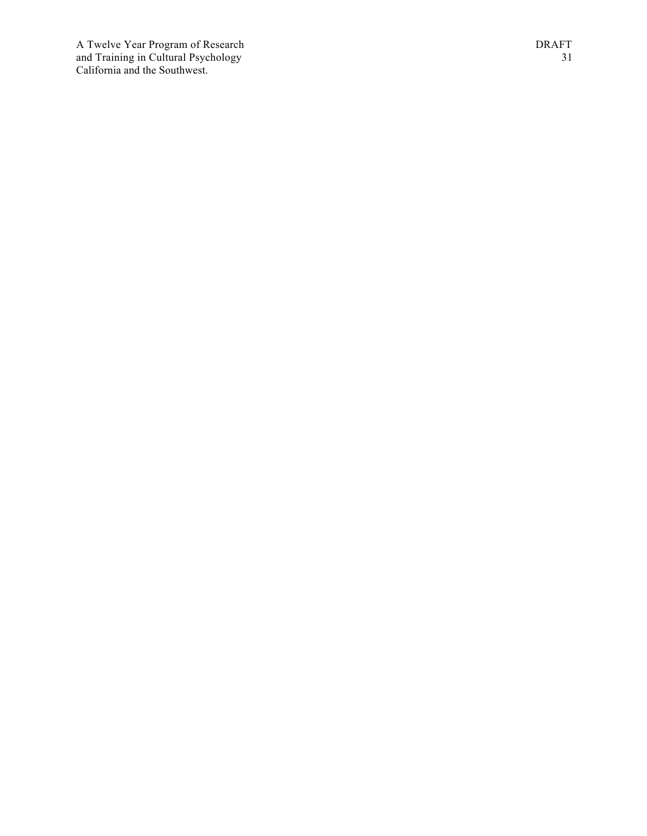A Twelve Year Program of Research and Training in Cultural Psychology California and the Southwest.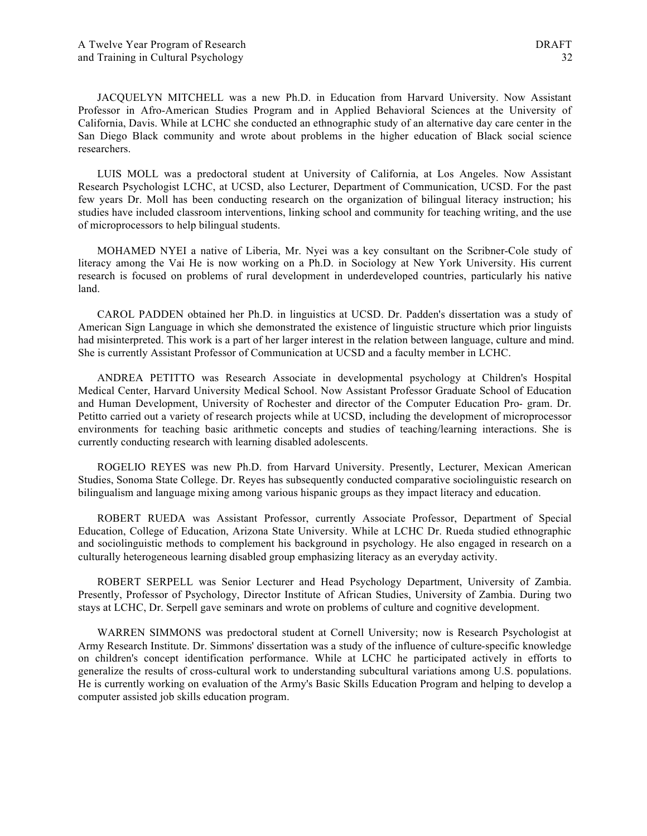JACQUELYN MITCHELL was a new Ph.D. in Education from Harvard University. Now Assistant Professor in Afro-American Studies Program and in Applied Behavioral Sciences at the University of California, Davis. While at LCHC she conducted an ethnographic study of an alternative day care center in the San Diego Black community and wrote about problems in the higher education of Black social science researchers.

LUIS MOLL was a predoctoral student at University of California, at Los Angeles. Now Assistant Research Psychologist LCHC, at UCSD, also Lecturer, Department of Communication, UCSD. For the past few years Dr. Moll has been conducting research on the organization of bilingual literacy instruction; his studies have included classroom interventions, linking school and community for teaching writing, and the use of microprocessors to help bilingual students.

MOHAMED NYEI a native of Liberia, Mr. Nyei was a key consultant on the Scribner-Cole study of literacy among the Vai He is now working on a Ph.D. in Sociology at New York University. His current research is focused on problems of rural development in underdeveloped countries, particularly his native land.

CAROL PADDEN obtained her Ph.D. in linguistics at UCSD. Dr. Padden's dissertation was a study of American Sign Language in which she demonstrated the existence of linguistic structure which prior linguists had misinterpreted. This work is a part of her larger interest in the relation between language, culture and mind. She is currently Assistant Professor of Communication at UCSD and a faculty member in LCHC.

ANDREA PETITTO was Research Associate in developmental psychology at Children's Hospital Medical Center, Harvard University Medical School. Now Assistant Professor Graduate School of Education and Human Development, University of Rochester and director of the Computer Education Pro- gram. Dr. Petitto carried out a variety of research projects while at UCSD, including the development of microprocessor environments for teaching basic arithmetic concepts and studies of teaching/learning interactions. She is currently conducting research with learning disabled adolescents.

ROGELIO REYES was new Ph.D. from Harvard University. Presently, Lecturer, Mexican American Studies, Sonoma State College. Dr. Reyes has subsequently conducted comparative sociolinguistic research on bilingualism and language mixing among various hispanic groups as they impact literacy and education.

ROBERT RUEDA was Assistant Professor, currently Associate Professor, Department of Special Education, College of Education, Arizona State University. While at LCHC Dr. Rueda studied ethnographic and sociolinguistic methods to complement his background in psychology. He also engaged in research on a culturally heterogeneous learning disabled group emphasizing literacy as an everyday activity.

ROBERT SERPELL was Senior Lecturer and Head Psychology Department, University of Zambia. Presently, Professor of Psychology, Director Institute of African Studies, University of Zambia. During two stays at LCHC, Dr. Serpell gave seminars and wrote on problems of culture and cognitive development.

WARREN SIMMONS was predoctoral student at Cornell University; now is Research Psychologist at Army Research Institute. Dr. Simmons' dissertation was a study of the influence of culture-specific knowledge on children's concept identification performance. While at LCHC he participated actively in efforts to generalize the results of cross-cultural work to understanding subcultural variations among U.S. populations. He is currently working on evaluation of the Army's Basic Skills Education Program and helping to develop a computer assisted job skills education program.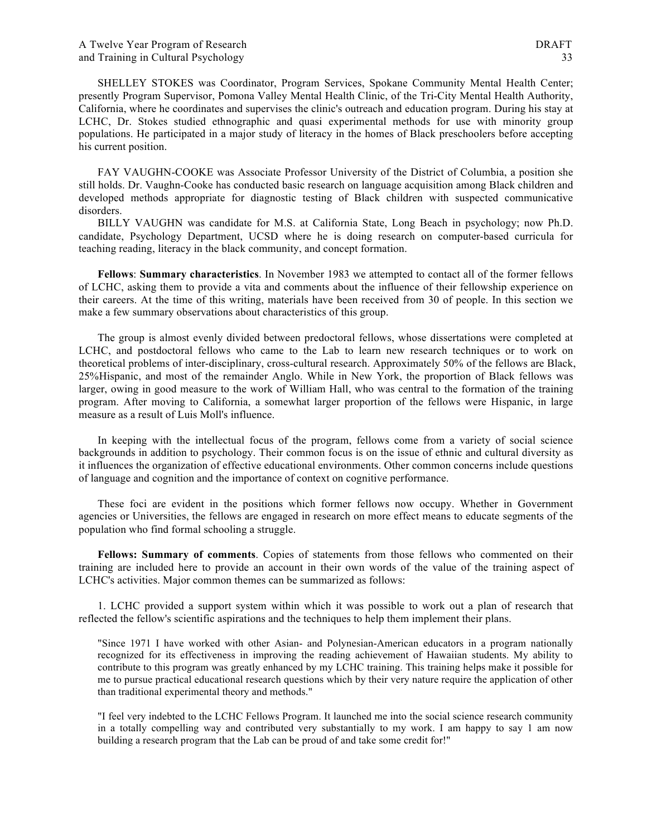SHELLEY STOKES was Coordinator, Program Services, Spokane Community Mental Health Center; presently Program Supervisor, Pomona Valley Mental Health Clinic, of the Tri-City Mental Health Authority, California, where he coordinates and supervises the clinic's outreach and education program. During his stay at LCHC, Dr. Stokes studied ethnographic and quasi experimental methods for use with minority group populations. He participated in a major study of literacy in the homes of Black preschoolers before accepting his current position.

FAY VAUGHN-COOKE was Associate Professor University of the District of Columbia, a position she still holds. Dr. Vaughn-Cooke has conducted basic research on language acquisition among Black children and developed methods appropriate for diagnostic testing of Black children with suspected communicative disorders.

BILLY VAUGHN was candidate for M.S. at California State, Long Beach in psychology; now Ph.D. candidate, Psychology Department, UCSD where he is doing research on computer-based curricula for teaching reading, literacy in the black community, and concept formation.

**Fellows**: **Summary characteristics**. In November 1983 we attempted to contact all of the former fellows of LCHC, asking them to provide a vita and comments about the influence of their fellowship experience on their careers. At the time of this writing, materials have been received from 30 of people. In this section we make a few summary observations about characteristics of this group.

The group is almost evenly divided between predoctoral fellows, whose dissertations were completed at LCHC, and postdoctoral fellows who came to the Lab to learn new research techniques or to work on theoretical problems of inter-disciplinary, cross-cultural research. Approximately 50% of the fellows are Black, 25%Hispanic, and most of the remainder Anglo. While in New York, the proportion of Black fellows was larger, owing in good measure to the work of William Hall, who was central to the formation of the training program. After moving to California, a somewhat larger proportion of the fellows were Hispanic, in large measure as a result of Luis Moll's influence.

In keeping with the intellectual focus of the program, fellows come from a variety of social science backgrounds in addition to psychology. Their common focus is on the issue of ethnic and cultural diversity as it influences the organization of effective educational environments. Other common concerns include questions of language and cognition and the importance of context on cognitive performance.

These foci are evident in the positions which former fellows now occupy. Whether in Government agencies or Universities, the fellows are engaged in research on more effect means to educate segments of the population who find formal schooling a struggle.

**Fellows: Summary of comments**. Copies of statements from those fellows who commented on their training are included here to provide an account in their own words of the value of the training aspect of LCHC's activities. Major common themes can be summarized as follows:

1. LCHC provided a support system within which it was possible to work out a plan of research that reflected the fellow's scientific aspirations and the techniques to help them implement their plans.

"Since 1971 I have worked with other Asian- and Polynesian-American educators in a program nationally recognized for its effectiveness in improving the reading achievement of Hawaiian students. My ability to contribute to this program was greatly enhanced by my LCHC training. This training helps make it possible for me to pursue practical educational research questions which by their very nature require the application of other than traditional experimental theory and methods."

"I feel very indebted to the LCHC Fellows Program. It launched me into the social science research community in a totally compelling way and contributed very substantially to my work. I am happy to say 1 am now building a research program that the Lab can be proud of and take some credit for!"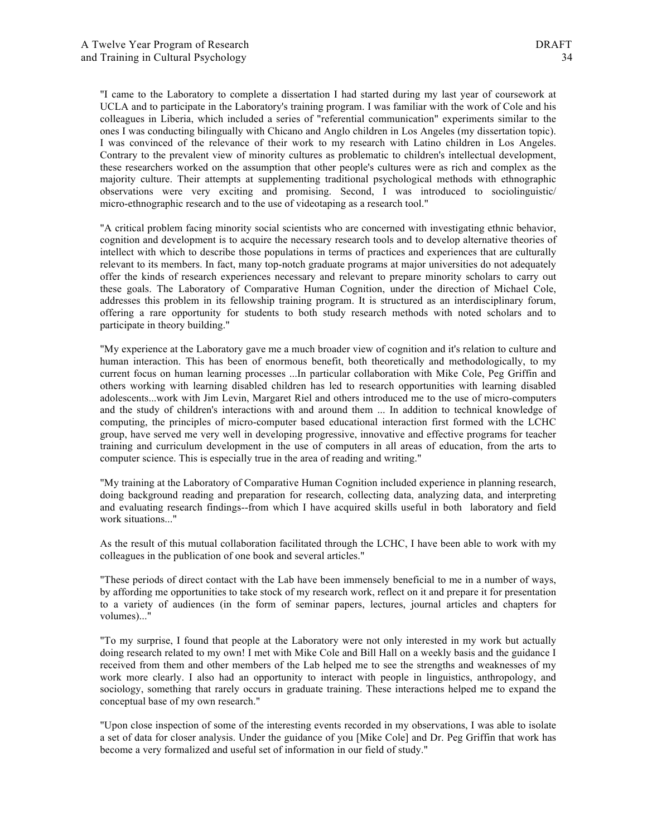"I came to the Laboratory to complete a dissertation I had started during my last year of coursework at UCLA and to participate in the Laboratory's training program. I was familiar with the work of Cole and his colleagues in Liberia, which included a series of "referential communication" experiments similar to the ones I was conducting bilingually with Chicano and Anglo children in Los Angeles (my dissertation topic). I was convinced of the relevance of their work to my research with Latino children in Los Angeles. Contrary to the prevalent view of minority cultures as problematic to children's intellectual development, these researchers worked on the assumption that other people's cultures were as rich and complex as the majority culture. Their attempts at supplementing traditional psychological methods with ethnographic observations were very exciting and promising. Second, I was introduced to sociolinguistic/ micro-ethnographic research and to the use of videotaping as a research tool."

"A critical problem facing minority social scientists who are concerned with investigating ethnic behavior, cognition and development is to acquire the necessary research tools and to develop alternative theories of intellect with which to describe those populations in terms of practices and experiences that are culturally relevant to its members. In fact, many top-notch graduate programs at major universities do not adequately offer the kinds of research experiences necessary and relevant to prepare minority scholars to carry out these goals. The Laboratory of Comparative Human Cognition, under the direction of Michael Cole, addresses this problem in its fellowship training program. It is structured as an interdisciplinary forum, offering a rare opportunity for students to both study research methods with noted scholars and to participate in theory building."

"My experience at the Laboratory gave me a much broader view of cognition and it's relation to culture and human interaction. This has been of enormous benefit, both theoretically and methodologically, to my current focus on human learning processes ...In particular collaboration with Mike Cole, Peg Griffin and others working with learning disabled children has led to research opportunities with learning disabled adolescents...work with Jim Levin, Margaret Riel and others introduced me to the use of micro-computers and the study of children's interactions with and around them ... In addition to technical knowledge of computing, the principles of micro-computer based educational interaction first formed with the LCHC group, have served me very well in developing progressive, innovative and effective programs for teacher training and curriculum development in the use of computers in all areas of education, from the arts to computer science. This is especially true in the area of reading and writing."

"My training at the Laboratory of Comparative Human Cognition included experience in planning research, doing background reading and preparation for research, collecting data, analyzing data, and interpreting and evaluating research findings--from which I have acquired skills useful in both laboratory and field work situations..."

As the result of this mutual collaboration facilitated through the LCHC, I have been able to work with my colleagues in the publication of one book and several articles."

"These periods of direct contact with the Lab have been immensely beneficial to me in a number of ways, by affording me opportunities to take stock of my research work, reflect on it and prepare it for presentation to a variety of audiences (in the form of seminar papers, lectures, journal articles and chapters for volumes)..."

"To my surprise, I found that people at the Laboratory were not only interested in my work but actually doing research related to my own! I met with Mike Cole and Bill Hall on a weekly basis and the guidance I received from them and other members of the Lab helped me to see the strengths and weaknesses of my work more clearly. I also had an opportunity to interact with people in linguistics, anthropology, and sociology, something that rarely occurs in graduate training. These interactions helped me to expand the conceptual base of my own research."

"Upon close inspection of some of the interesting events recorded in my observations, I was able to isolate a set of data for closer analysis. Under the guidance of you [Mike Cole] and Dr. Peg Griffin that work has become a very formalized and useful set of information in our field of study."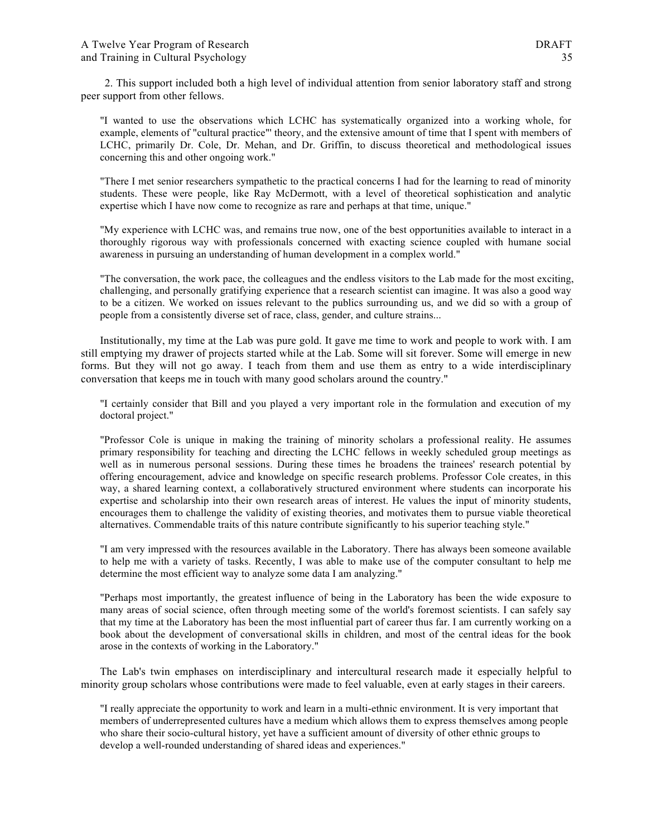2. This support included both a high level of individual attention from senior laboratory staff and strong peer support from other fellows.

"I wanted to use the observations which LCHC has systematically organized into a working whole, for example, elements of "cultural practice"' theory, and the extensive amount of time that I spent with members of LCHC, primarily Dr. Cole, Dr. Mehan, and Dr. Griffin, to discuss theoretical and methodological issues concerning this and other ongoing work."

"There I met senior researchers sympathetic to the practical concerns I had for the learning to read of minority students. These were people, like Ray McDermott, with a level of theoretical sophistication and analytic expertise which I have now come to recognize as rare and perhaps at that time, unique."

"My experience with LCHC was, and remains true now, one of the best opportunities available to interact in a thoroughly rigorous way with professionals concerned with exacting science coupled with humane social awareness in pursuing an understanding of human development in a complex world."

"The conversation, the work pace, the colleagues and the endless visitors to the Lab made for the most exciting, challenging, and personally gratifying experience that a research scientist can imagine. It was also a good way to be a citizen. We worked on issues relevant to the publics surrounding us, and we did so with a group of people from a consistently diverse set of race, class, gender, and culture strains...

Institutionally, my time at the Lab was pure gold. It gave me time to work and people to work with. I am still emptying my drawer of projects started while at the Lab. Some will sit forever. Some will emerge in new forms. But they will not go away. I teach from them and use them as entry to a wide interdisciplinary conversation that keeps me in touch with many good scholars around the country."

"I certainly consider that Bill and you played a very important role in the formulation and execution of my doctoral project."

"Professor Cole is unique in making the training of minority scholars a professional reality. He assumes primary responsibility for teaching and directing the LCHC fellows in weekly scheduled group meetings as well as in numerous personal sessions. During these times he broadens the trainees' research potential by offering encouragement, advice and knowledge on specific research problems. Professor Cole creates, in this way, a shared learning context, a collaboratively structured environment where students can incorporate his expertise and scholarship into their own research areas of interest. He values the input of minority students, encourages them to challenge the validity of existing theories, and motivates them to pursue viable theoretical alternatives. Commendable traits of this nature contribute significantly to his superior teaching style."

"I am very impressed with the resources available in the Laboratory. There has always been someone available to help me with a variety of tasks. Recently, I was able to make use of the computer consultant to help me determine the most efficient way to analyze some data I am analyzing."

"Perhaps most importantly, the greatest influence of being in the Laboratory has been the wide exposure to many areas of social science, often through meeting some of the world's foremost scientists. I can safely say that my time at the Laboratory has been the most influential part of career thus far. I am currently working on a book about the development of conversational skills in children, and most of the central ideas for the book arose in the contexts of working in the Laboratory."

The Lab's twin emphases on interdisciplinary and intercultural research made it especially helpful to minority group scholars whose contributions were made to feel valuable, even at early stages in their careers.

"I really appreciate the opportunity to work and learn in a multi-ethnic environment. It is very important that members of underrepresented cultures have a medium which allows them to express themselves among people who share their socio-cultural history, yet have a sufficient amount of diversity of other ethnic groups to develop a well-rounded understanding of shared ideas and experiences."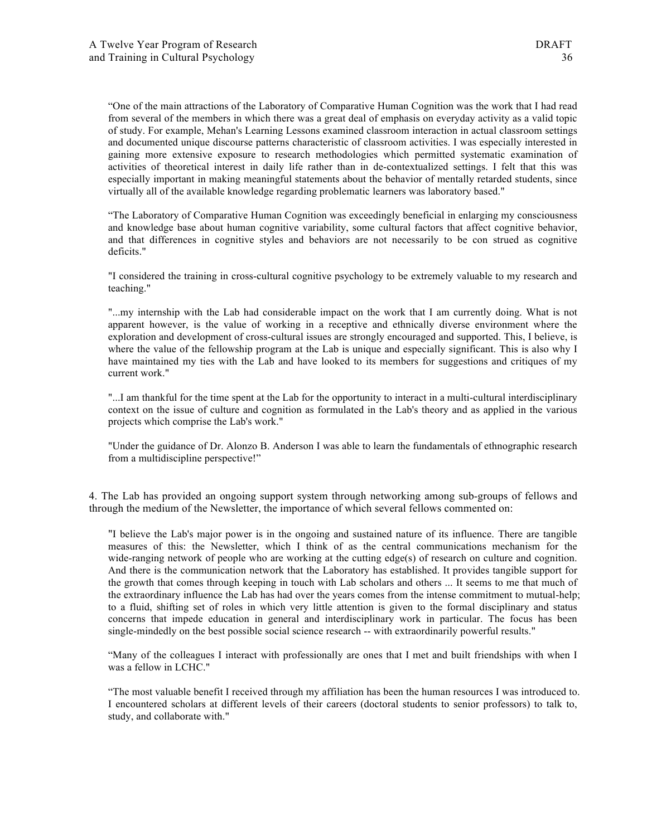"One of the main attractions of the Laboratory of Comparative Human Cognition was the work that I had read from several of the members in which there was a great deal of emphasis on everyday activity as a valid topic of study. For example, Mehan's Learning Lessons examined classroom interaction in actual classroom settings and documented unique discourse patterns characteristic of classroom activities. I was especially interested in gaining more extensive exposure to research methodologies which permitted systematic examination of activities of theoretical interest in daily life rather than in de-contextualized settings. I felt that this was especially important in making meaningful statements about the behavior of mentally retarded students, since virtually all of the available knowledge regarding problematic learners was laboratory based."

"The Laboratory of Comparative Human Cognition was exceedingly beneficial in enlarging my consciousness and knowledge base about human cognitive variability, some cultural factors that affect cognitive behavior, and that differences in cognitive styles and behaviors are not necessarily to be con strued as cognitive deficits."

"I considered the training in cross-cultural cognitive psychology to be extremely valuable to my research and teaching."

"...my internship with the Lab had considerable impact on the work that I am currently doing. What is not apparent however, is the value of working in a receptive and ethnically diverse environment where the exploration and development of cross-cultural issues are strongly encouraged and supported. This, I believe, is where the value of the fellowship program at the Lab is unique and especially significant. This is also why I have maintained my ties with the Lab and have looked to its members for suggestions and critiques of my current work."

"...I am thankful for the time spent at the Lab for the opportunity to interact in a multi-cultural interdisciplinary context on the issue of culture and cognition as formulated in the Lab's theory and as applied in the various projects which comprise the Lab's work."

"Under the guidance of Dr. Alonzo B. Anderson I was able to learn the fundamentals of ethnographic research from a multidiscipline perspective!"

4. The Lab has provided an ongoing support system through networking among sub-groups of fellows and through the medium of the Newsletter, the importance of which several fellows commented on:

"I believe the Lab's major power is in the ongoing and sustained nature of its influence. There are tangible measures of this: the Newsletter, which I think of as the central communications mechanism for the wide-ranging network of people who are working at the cutting edge(s) of research on culture and cognition. And there is the communication network that the Laboratory has established. It provides tangible support for the growth that comes through keeping in touch with Lab scholars and others ... It seems to me that much of the extraordinary influence the Lab has had over the years comes from the intense commitment to mutual-help; to a fluid, shifting set of roles in which very little attention is given to the formal disciplinary and status concerns that impede education in general and interdisciplinary work in particular. The focus has been single-mindedly on the best possible social science research -- with extraordinarily powerful results."

"Many of the colleagues I interact with professionally are ones that I met and built friendships with when I was a fellow in LCHC."

"The most valuable benefit I received through my affiliation has been the human resources I was introduced to. I encountered scholars at different levels of their careers (doctoral students to senior professors) to talk to, study, and collaborate with."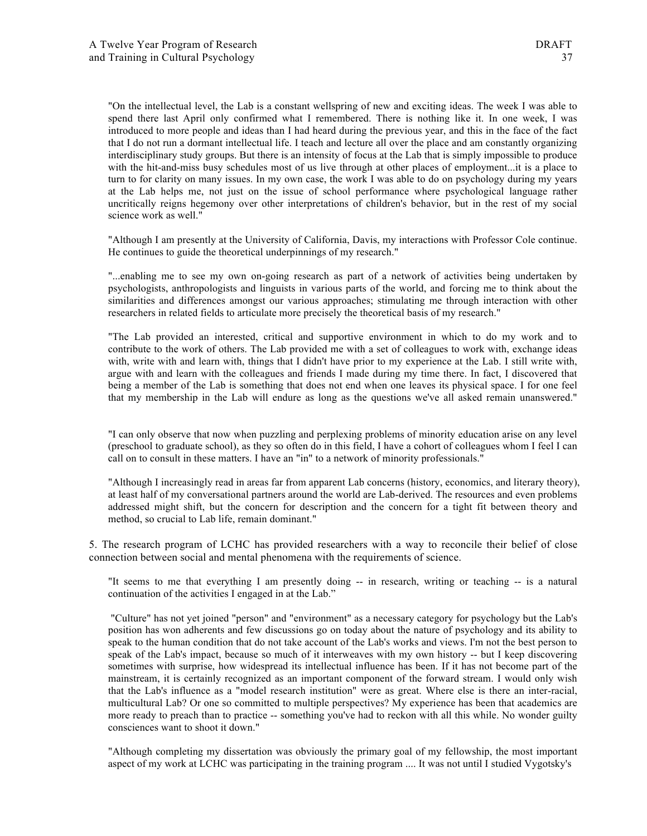"On the intellectual level, the Lab is a constant wellspring of new and exciting ideas. The week I was able to spend there last April only confirmed what I remembered. There is nothing like it. In one week, I was introduced to more people and ideas than I had heard during the previous year, and this in the face of the fact that I do not run a dormant intellectual life. I teach and lecture all over the place and am constantly organizing interdisciplinary study groups. But there is an intensity of focus at the Lab that is simply impossible to produce with the hit-and-miss busy schedules most of us live through at other places of employment...it is a place to turn to for clarity on many issues. In my own case, the work I was able to do on psychology during my years at the Lab helps me, not just on the issue of school performance where psychological language rather uncritically reigns hegemony over other interpretations of children's behavior, but in the rest of my social science work as well."

"Although I am presently at the University of California, Davis, my interactions with Professor Cole continue. He continues to guide the theoretical underpinnings of my research."

"...enabling me to see my own on-going research as part of a network of activities being undertaken by psychologists, anthropologists and linguists in various parts of the world, and forcing me to think about the similarities and differences amongst our various approaches; stimulating me through interaction with other researchers in related fields to articulate more precisely the theoretical basis of my research."

"The Lab provided an interested, critical and supportive environment in which to do my work and to contribute to the work of others. The Lab provided me with a set of colleagues to work with, exchange ideas with, write with and learn with, things that I didn't have prior to my experience at the Lab. I still write with, argue with and learn with the colleagues and friends I made during my time there. In fact, I discovered that being a member of the Lab is something that does not end when one leaves its physical space. I for one feel that my membership in the Lab will endure as long as the questions we've all asked remain unanswered."

"I can only observe that now when puzzling and perplexing problems of minority education arise on any level (preschool to graduate school), as they so often do in this field, I have a cohort of colleagues whom I feel I can call on to consult in these matters. I have an "in" to a network of minority professionals."

"Although I increasingly read in areas far from apparent Lab concerns (history, economics, and literary theory), at least half of my conversational partners around the world are Lab-derived. The resources and even problems addressed might shift, but the concern for description and the concern for a tight fit between theory and method, so crucial to Lab life, remain dominant."

5. The research program of LCHC has provided researchers with a way to reconcile their belief of close connection between social and mental phenomena with the requirements of science.

"It seems to me that everything I am presently doing -- in research, writing or teaching -- is a natural continuation of the activities I engaged in at the Lab."

"Culture" has not yet joined "person" and "environment" as a necessary category for psychology but the Lab's position has won adherents and few discussions go on today about the nature of psychology and its ability to speak to the human condition that do not take account of the Lab's works and views. I'm not the best person to speak of the Lab's impact, because so much of it interweaves with my own history -- but I keep discovering sometimes with surprise, how widespread its intellectual influence has been. If it has not become part of the mainstream, it is certainly recognized as an important component of the forward stream. I would only wish that the Lab's influence as a "model research institution" were as great. Where else is there an inter-racial, multicultural Lab? Or one so committed to multiple perspectives? My experience has been that academics are more ready to preach than to practice -- something you've had to reckon with all this while. No wonder guilty consciences want to shoot it down."

"Although completing my dissertation was obviously the primary goal of my fellowship, the most important aspect of my work at LCHC was participating in the training program .... It was not until I studied Vygotsky's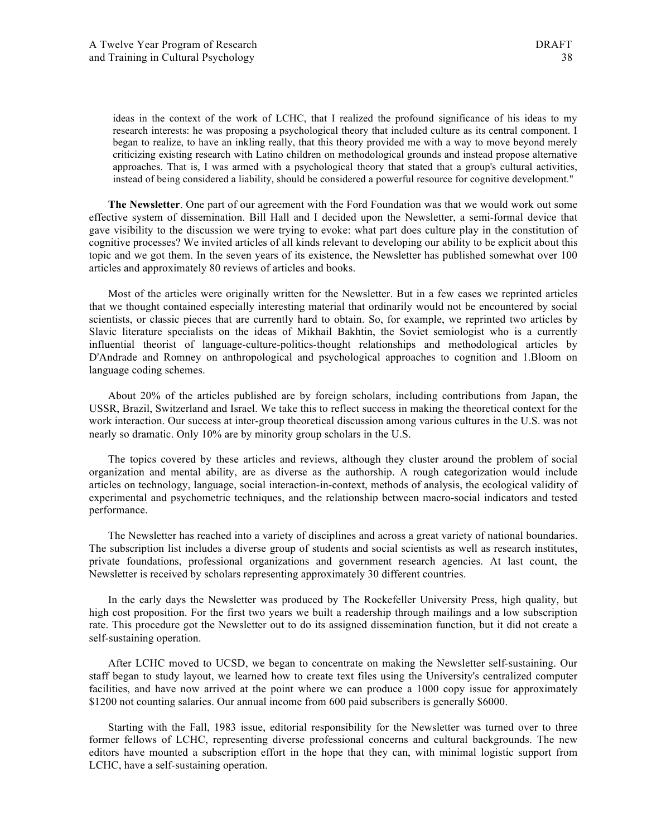ideas in the context of the work of LCHC, that I realized the profound significance of his ideas to my research interests: he was proposing a psychological theory that included culture as its central component. I began to realize, to have an inkling really, that this theory provided me with a way to move beyond merely criticizing existing research with Latino children on methodological grounds and instead propose alternative approaches. That is, I was armed with a psychological theory that stated that a group's cultural activities, instead of being considered a liability, should be considered a powerful resource for cognitive development."

**The Newsletter**. One part of our agreement with the Ford Foundation was that we would work out some effective system of dissemination. Bill Hall and I decided upon the Newsletter, a semi-formal device that gave visibility to the discussion we were trying to evoke: what part does culture play in the constitution of cognitive processes? We invited articles of all kinds relevant to developing our ability to be explicit about this topic and we got them. In the seven years of its existence, the Newsletter has published somewhat over 100 articles and approximately 80 reviews of articles and books.

Most of the articles were originally written for the Newsletter. But in a few cases we reprinted articles that we thought contained especially interesting material that ordinarily would not be encountered by social scientists, or classic pieces that are currently hard to obtain. So, for example, we reprinted two articles by Slavic literature specialists on the ideas of Mikhail Bakhtin, the Soviet semiologist who is a currently influential theorist of language-culture-politics-thought relationships and methodological articles by D'Andrade and Romney on anthropological and psychological approaches to cognition and 1.Bloom on language coding schemes.

About 20% of the articles published are by foreign scholars, including contributions from Japan, the USSR, Brazil, Switzerland and Israel. We take this to reflect success in making the theoretical context for the work interaction. Our success at inter-group theoretical discussion among various cultures in the U.S. was not nearly so dramatic. Only 10% are by minority group scholars in the U.S.

The topics covered by these articles and reviews, although they cluster around the problem of social organization and mental ability, are as diverse as the authorship. A rough categorization would include articles on technology, language, social interaction-in-context, methods of analysis, the ecological validity of experimental and psychometric techniques, and the relationship between macro-social indicators and tested performance.

The Newsletter has reached into a variety of disciplines and across a great variety of national boundaries. The subscription list includes a diverse group of students and social scientists as well as research institutes, private foundations, professional organizations and government research agencies. At last count, the Newsletter is received by scholars representing approximately 30 different countries.

In the early days the Newsletter was produced by The Rockefeller University Press, high quality, but high cost proposition. For the first two years we built a readership through mailings and a low subscription rate. This procedure got the Newsletter out to do its assigned dissemination function, but it did not create a self-sustaining operation.

After LCHC moved to UCSD, we began to concentrate on making the Newsletter self-sustaining. Our staff began to study layout, we learned how to create text files using the University's centralized computer facilities, and have now arrived at the point where we can produce a 1000 copy issue for approximately \$1200 not counting salaries. Our annual income from 600 paid subscribers is generally \$6000.

Starting with the Fall, 1983 issue, editorial responsibility for the Newsletter was turned over to three former fellows of LCHC, representing diverse professional concerns and cultural backgrounds. The new editors have mounted a subscription effort in the hope that they can, with minimal logistic support from LCHC, have a self-sustaining operation.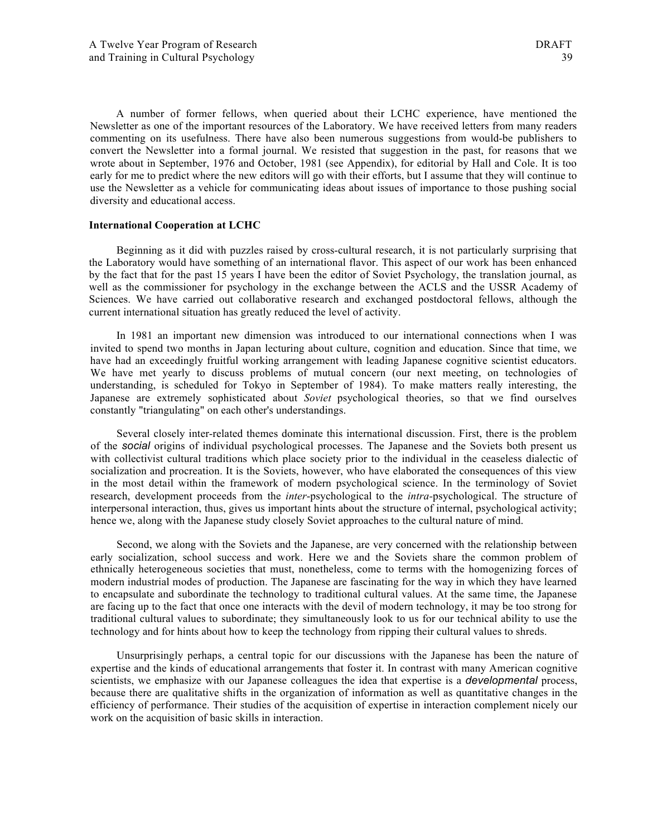A number of former fellows, when queried about their LCHC experience, have mentioned the Newsletter as one of the important resources of the Laboratory. We have received letters from many readers commenting on its usefulness. There have also been numerous suggestions from would-be publishers to convert the Newsletter into a formal journal. We resisted that suggestion in the past, for reasons that we wrote about in September, 1976 and October, 1981 (see Appendix), for editorial by Hall and Cole. It is too early for me to predict where the new editors will go with their efforts, but I assume that they will continue to use the Newsletter as a vehicle for communicating ideas about issues of importance to those pushing social diversity and educational access.

## **International Cooperation at LCHC**

Beginning as it did with puzzles raised by cross-cultural research, it is not particularly surprising that the Laboratory would have something of an international flavor. This aspect of our work has been enhanced by the fact that for the past 15 years I have been the editor of Soviet Psychology, the translation journal, as well as the commissioner for psychology in the exchange between the ACLS and the USSR Academy of Sciences. We have carried out collaborative research and exchanged postdoctoral fellows, although the current international situation has greatly reduced the level of activity.

In 1981 an important new dimension was introduced to our international connections when I was invited to spend two months in Japan lecturing about culture, cognition and education. Since that time, we have had an exceedingly fruitful working arrangement with leading Japanese cognitive scientist educators. We have met yearly to discuss problems of mutual concern (our next meeting, on technologies of understanding, is scheduled for Tokyo in September of 1984). To make matters really interesting, the Japanese are extremely sophisticated about *Soviet* psychological theories, so that we find ourselves constantly "triangulating" on each other's understandings.

Several closely inter-related themes dominate this international discussion. First, there is the problem of the *social* origins of individual psychological processes. The Japanese and the Soviets both present us with collectivist cultural traditions which place society prior to the individual in the ceaseless dialectic of socialization and procreation. It is the Soviets, however, who have elaborated the consequences of this view in the most detail within the framework of modern psychological science. In the terminology of Soviet research, development proceeds from the *inter*-psychological to the *intra-*psychological. The structure of interpersonal interaction, thus, gives us important hints about the structure of internal, psychological activity; hence we, along with the Japanese study closely Soviet approaches to the cultural nature of mind.

Second, we along with the Soviets and the Japanese, are very concerned with the relationship between early socialization, school success and work. Here we and the Soviets share the common problem of ethnically heterogeneous societies that must, nonetheless, come to terms with the homogenizing forces of modern industrial modes of production. The Japanese are fascinating for the way in which they have learned to encapsulate and subordinate the technology to traditional cultural values. At the same time, the Japanese are facing up to the fact that once one interacts with the devil of modern technology, it may be too strong for traditional cultural values to subordinate; they simultaneously look to us for our technical ability to use the technology and for hints about how to keep the technology from ripping their cultural values to shreds.

Unsurprisingly perhaps, a central topic for our discussions with the Japanese has been the nature of expertise and the kinds of educational arrangements that foster it. In contrast with many American cognitive scientists, we emphasize with our Japanese colleagues the idea that expertise is a *developmental* process, because there are qualitative shifts in the organization of information as well as quantitative changes in the efficiency of performance. Their studies of the acquisition of expertise in interaction complement nicely our work on the acquisition of basic skills in interaction.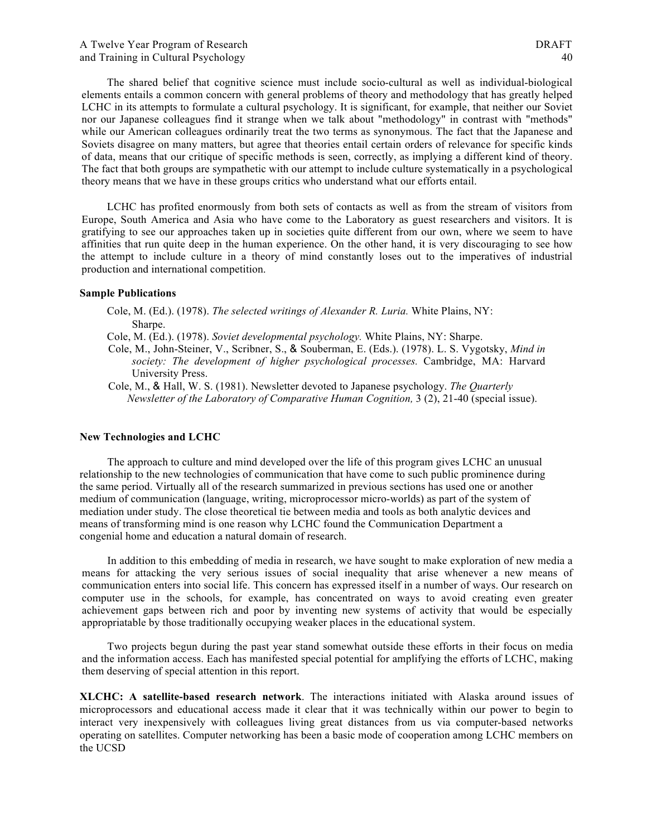The shared belief that cognitive science must include socio-cultural as well as individual-biological elements entails a common concern with general problems of theory and methodology that has greatly helped LCHC in its attempts to formulate a cultural psychology. It is significant, for example, that neither our Soviet nor our Japanese colleagues find it strange when we talk about "methodology" in contrast with "methods" while our American colleagues ordinarily treat the two terms as synonymous. The fact that the Japanese and Soviets disagree on many matters, but agree that theories entail certain orders of relevance for specific kinds of data, means that our critique of specific methods is seen, correctly, as implying a different kind of theory. The fact that both groups are sympathetic with our attempt to include culture systematically in a psychological theory means that we have in these groups critics who understand what our efforts entail.

LCHC has profited enormously from both sets of contacts as well as from the stream of visitors from Europe, South America and Asia who have come to the Laboratory as guest researchers and visitors. It is gratifying to see our approaches taken up in societies quite different from our own, where we seem to have affinities that run quite deep in the human experience. On the other hand, it is very discouraging to see how the attempt to include culture in a theory of mind constantly loses out to the imperatives of industrial production and international competition.

## **Sample Publications**

- Cole, M. (Ed.). (1978). *The selected writings of Alexander R. Luria.* White Plains, NY: Sharpe.
- Cole, M. (Ed.). (1978). *Soviet developmental psychology.* White Plains, NY: Sharpe.
- Cole, M., John-Steiner, V., Scribner, S., & Souberman, E. (Eds.). (1978). L. S. Vygotsky, *Mind in society: The development of higher psychological processes.* Cambridge, MA: Harvard University Press.
- Cole, M., & Hall, W. S. (1981). Newsletter devoted to Japanese psychology. *The Quarterly Newsletter of the Laboratory of Comparative Human Cognition, 3 (2), 21-40 (special issue).*

# **New Technologies and LCHC**

The approach to culture and mind developed over the life of this program gives LCHC an unusual relationship to the new technologies of communication that have come to such public prominence during the same period. Virtually all of the research summarized in previous sections has used one or another medium of communication (language, writing, microprocessor micro-worlds) as part of the system of mediation under study. The close theoretical tie between media and tools as both analytic devices and means of transforming mind is one reason why LCHC found the Communication Department a congenial home and education a natural domain of research.

In addition to this embedding of media in research, we have sought to make exploration of new media a means for attacking the very serious issues of social inequality that arise whenever a new means of communication enters into social life. This concern has expressed itself in a number of ways. Our research on computer use in the schools, for example, has concentrated on ways to avoid creating even greater achievement gaps between rich and poor by inventing new systems of activity that would be especially appropriatable by those traditionally occupying weaker places in the educational system.

Two projects begun during the past year stand somewhat outside these efforts in their focus on media and the information access. Each has manifested special potential for amplifying the efforts of LCHC, making them deserving of special attention in this report.

**XLCHC: A satellite-based research network**. The interactions initiated with Alaska around issues of microprocessors and educational access made it clear that it was technically within our power to begin to interact very inexpensively with colleagues living great distances from us via computer-based networks operating on satellites. Computer networking has been a basic mode of cooperation among LCHC members on the UCSD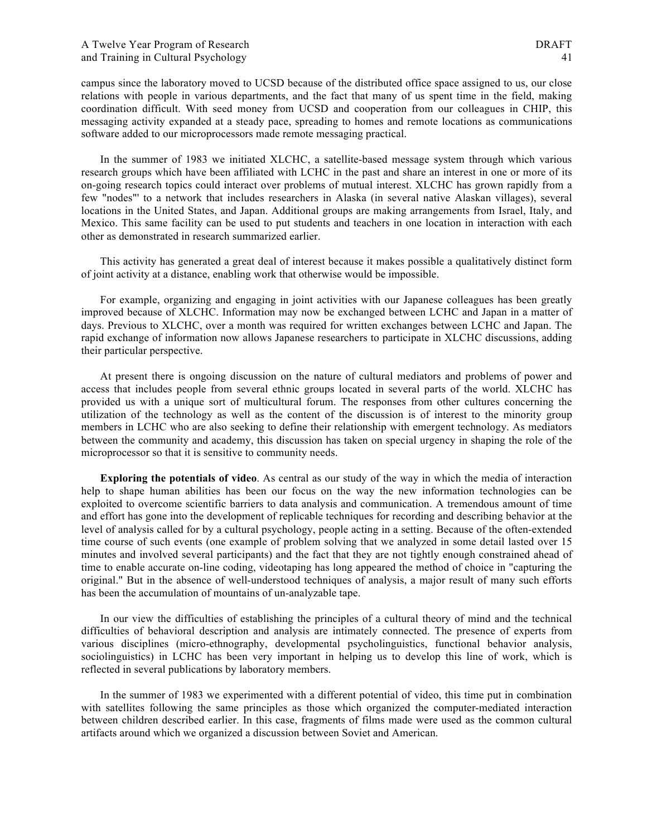campus since the laboratory moved to UCSD because of the distributed office space assigned to us, our close relations with people in various departments, and the fact that many of us spent time in the field, making coordination difficult. With seed money from UCSD and cooperation from our colleagues in CHIP, this messaging activity expanded at a steady pace, spreading to homes and remote locations as communications software added to our microprocessors made remote messaging practical.

In the summer of 1983 we initiated XLCHC, a satellite-based message system through which various research groups which have been affiliated with LCHC in the past and share an interest in one or more of its on-going research topics could interact over problems of mutual interest. XLCHC has grown rapidly from a few "nodes"' to a network that includes researchers in Alaska (in several native Alaskan villages), several locations in the United States, and Japan. Additional groups are making arrangements from Israel, Italy, and Mexico. This same facility can be used to put students and teachers in one location in interaction with each other as demonstrated in research summarized earlier.

This activity has generated a great deal of interest because it makes possible a qualitatively distinct form of joint activity at a distance, enabling work that otherwise would be impossible.

For example, organizing and engaging in joint activities with our Japanese colleagues has been greatly improved because of XLCHC. Information may now be exchanged between LCHC and Japan in a matter of days. Previous to XLCHC, over a month was required for written exchanges between LCHC and Japan. The rapid exchange of information now allows Japanese researchers to participate in XLCHC discussions, adding their particular perspective.

At present there is ongoing discussion on the nature of cultural mediators and problems of power and access that includes people from several ethnic groups located in several parts of the world. XLCHC has provided us with a unique sort of multicultural forum. The responses from other cultures concerning the utilization of the technology as well as the content of the discussion is of interest to the minority group members in LCHC who are also seeking to define their relationship with emergent technology. As mediators between the community and academy, this discussion has taken on special urgency in shaping the role of the microprocessor so that it is sensitive to community needs.

**Exploring the potentials of video**. As central as our study of the way in which the media of interaction help to shape human abilities has been our focus on the way the new information technologies can be exploited to overcome scientific barriers to data analysis and communication. A tremendous amount of time and effort has gone into the development of replicable techniques for recording and describing behavior at the level of analysis called for by a cultural psychology, people acting in a setting. Because of the often-extended time course of such events (one example of problem solving that we analyzed in some detail lasted over 15 minutes and involved several participants) and the fact that they are not tightly enough constrained ahead of time to enable accurate on-line coding, videotaping has long appeared the method of choice in "capturing the original." But in the absence of well-understood techniques of analysis, a major result of many such efforts has been the accumulation of mountains of un-analyzable tape.

In our view the difficulties of establishing the principles of a cultural theory of mind and the technical difficulties of behavioral description and analysis are intimately connected. The presence of experts from various disciplines (micro-ethnography, developmental psycholinguistics, functional behavior analysis, sociolinguistics) in LCHC has been very important in helping us to develop this line of work, which is reflected in several publications by laboratory members.

In the summer of 1983 we experimented with a different potential of video, this time put in combination with satellites following the same principles as those which organized the computer-mediated interaction between children described earlier. In this case, fragments of films made were used as the common cultural artifacts around which we organized a discussion between Soviet and American.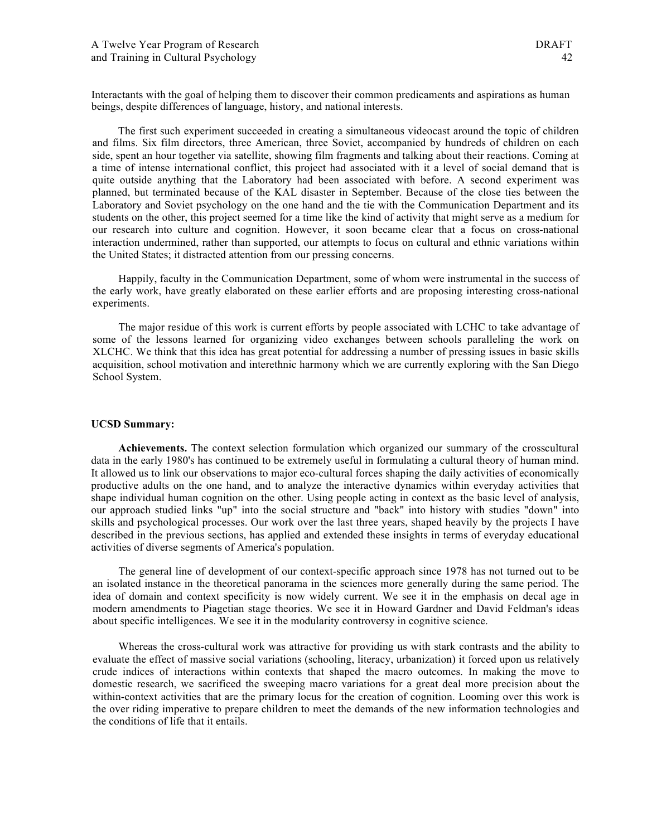Interactants with the goal of helping them to discover their common predicaments and aspirations as human beings, despite differences of language, history, and national interests.

The first such experiment succeeded in creating a simultaneous videocast around the topic of children and films. Six film directors, three American, three Soviet, accompanied by hundreds of children on each side, spent an hour together via satellite, showing film fragments and talking about their reactions. Coming at a time of intense international conflict, this project had associated with it a level of social demand that is quite outside anything that the Laboratory had been associated with before. A second experiment was planned, but terminated because of the KAL disaster in September. Because of the close ties between the Laboratory and Soviet psychology on the one hand and the tie with the Communication Department and its students on the other, this project seemed for a time like the kind of activity that might serve as a medium for our research into culture and cognition. However, it soon became clear that a focus on cross-national interaction undermined, rather than supported, our attempts to focus on cultural and ethnic variations within the United States; it distracted attention from our pressing concerns.

Happily, faculty in the Communication Department, some of whom were instrumental in the success of the early work, have greatly elaborated on these earlier efforts and are proposing interesting cross-national experiments.

The major residue of this work is current efforts by people associated with LCHC to take advantage of some of the lessons learned for organizing video exchanges between schools paralleling the work on XLCHC. We think that this idea has great potential for addressing a number of pressing issues in basic skills acquisition, school motivation and interethnic harmony which we are currently exploring with the San Diego School System.

## **UCSD Summary:**

**Achievements.** The context selection formulation which organized our summary of the crosscultural data in the early 1980's has continued to be extremely useful in formulating a cultural theory of human mind. It allowed us to link our observations to major eco-cultural forces shaping the daily activities of economically productive adults on the one hand, and to analyze the interactive dynamics within everyday activities that shape individual human cognition on the other. Using people acting in context as the basic level of analysis, our approach studied links "up" into the social structure and "back" into history with studies "down" into skills and psychological processes. Our work over the last three years, shaped heavily by the projects I have described in the previous sections, has applied and extended these insights in terms of everyday educational activities of diverse segments of America's population.

The general line of development of our context-specific approach since 1978 has not turned out to be an isolated instance in the theoretical panorama in the sciences more generally during the same period. The idea of domain and context specificity is now widely current. We see it in the emphasis on decal age in modern amendments to Piagetian stage theories. We see it in Howard Gardner and David Feldman's ideas about specific intelligences. We see it in the modularity controversy in cognitive science.

Whereas the cross-cultural work was attractive for providing us with stark contrasts and the ability to evaluate the effect of massive social variations (schooling, literacy, urbanization) it forced upon us relatively crude indices of interactions within contexts that shaped the macro outcomes. In making the move to domestic research, we sacrificed the sweeping macro variations for a great deal more precision about the within-context activities that are the primary locus for the creation of cognition. Looming over this work is the over riding imperative to prepare children to meet the demands of the new information technologies and the conditions of life that it entails.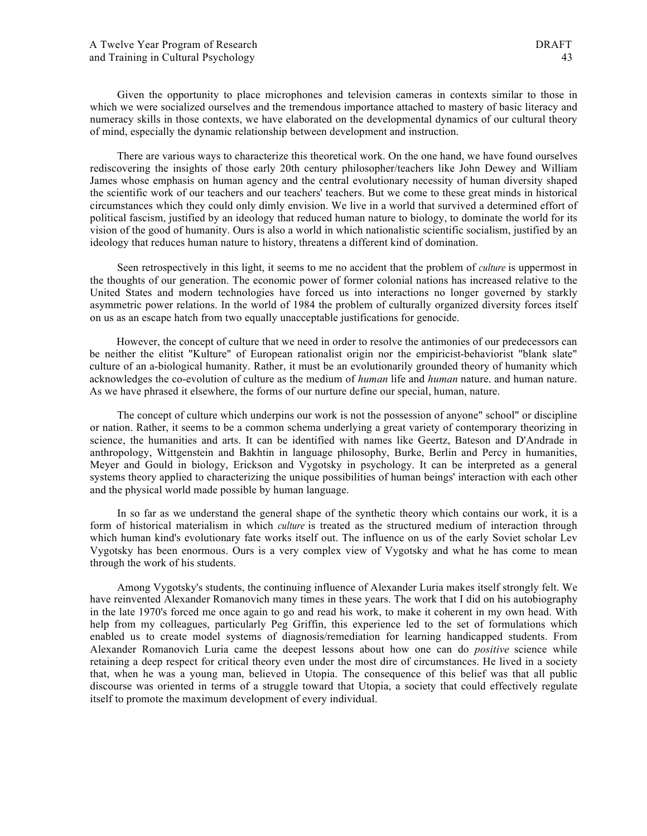Given the opportunity to place microphones and television cameras in contexts similar to those in which we were socialized ourselves and the tremendous importance attached to mastery of basic literacy and numeracy skills in those contexts, we have elaborated on the developmental dynamics of our cultural theory of mind, especially the dynamic relationship between development and instruction.

There are various ways to characterize this theoretical work. On the one hand, we have found ourselves rediscovering the insights of those early 20th century philosopher/teachers like John Dewey and William James whose emphasis on human agency and the central evolutionary necessity of human diversity shaped the scientific work of our teachers and our teachers' teachers. But we come to these great minds in historical circumstances which they could only dimly envision. We live in a world that survived a determined effort of political fascism, justified by an ideology that reduced human nature to biology, to dominate the world for its vision of the good of humanity. Ours is also a world in which nationalistic scientific socialism, justified by an ideology that reduces human nature to history, threatens a different kind of domination.

Seen retrospectively in this light, it seems to me no accident that the problem of *culture* is uppermost in the thoughts of our generation. The economic power of former colonial nations has increased relative to the United States and modern technologies have forced us into interactions no longer governed by starkly asymmetric power relations. In the world of 1984 the problem of culturally organized diversity forces itself on us as an escape hatch from two equally unacceptable justifications for genocide.

However, the concept of culture that we need in order to resolve the antimonies of our predecessors can be neither the elitist "Kulture" of European rationalist origin nor the empiricist-behaviorist "blank slate" culture of an a-biological humanity. Rather, it must be an evolutionarily grounded theory of humanity which acknowledges the co-evolution of culture as the medium of *human* life and *human* nature. and human nature. As we have phrased it elsewhere, the forms of our nurture define our special, human, nature.

The concept of culture which underpins our work is not the possession of anyone" school" or discipline or nation. Rather, it seems to be a common schema underlying a great variety of contemporary theorizing in science, the humanities and arts. It can be identified with names like Geertz, Bateson and D'Andrade in anthropology, Wittgenstein and Bakhtin in language philosophy, Burke, Berlin and Percy in humanities, Meyer and Gould in biology, Erickson and Vygotsky in psychology. It can be interpreted as a general systems theory applied to characterizing the unique possibilities of human beings' interaction with each other and the physical world made possible by human language.

In so far as we understand the general shape of the synthetic theory which contains our work, it is a form of historical materialism in which *culture* is treated as the structured medium of interaction through which human kind's evolutionary fate works itself out. The influence on us of the early Soviet scholar Lev Vygotsky has been enormous. Ours is a very complex view of Vygotsky and what he has come to mean through the work of his students.

Among Vygotsky's students, the continuing influence of Alexander Luria makes itself strongly felt. We have reinvented Alexander Romanovich many times in these years. The work that I did on his autobiography in the late 1970's forced me once again to go and read his work, to make it coherent in my own head. With help from my colleagues, particularly Peg Griffin, this experience led to the set of formulations which enabled us to create model systems of diagnosis/remediation for learning handicapped students. From Alexander Romanovich Luria came the deepest lessons about how one can do *positive* science while retaining a deep respect for critical theory even under the most dire of circumstances. He lived in a society that, when he was a young man, believed in Utopia. The consequence of this belief was that all public discourse was oriented in terms of a struggle toward that Utopia, a society that could effectively regulate itself to promote the maximum development of every individual.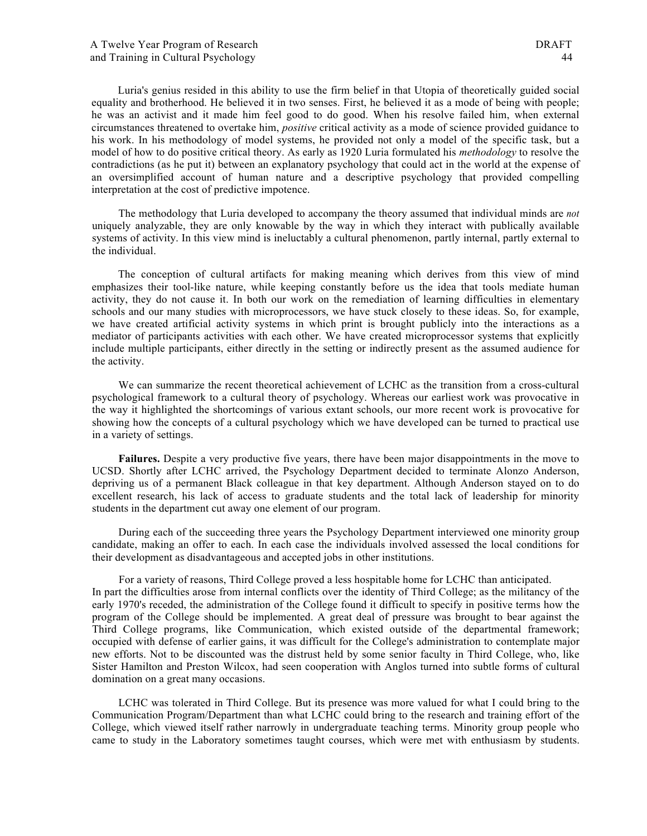Luria's genius resided in this ability to use the firm belief in that Utopia of theoretically guided social equality and brotherhood. He believed it in two senses. First, he believed it as a mode of being with people; he was an activist and it made him feel good to do good. When his resolve failed him, when external circumstances threatened to overtake him, *positive* critical activity as a mode of science provided guidance to his work. In his methodology of model systems, he provided not only a model of the specific task, but a model of how to do positive critical theory. As early as 1920 Luria formulated his *methodology* to resolve the contradictions (as he put it) between an explanatory psychology that could act in the world at the expense of an oversimplified account of human nature and a descriptive psychology that provided compelling interpretation at the cost of predictive impotence.

The methodology that Luria developed to accompany the theory assumed that individual minds are *not*  uniquely analyzable, they are only knowable by the way in which they interact with publically available systems of activity. In this view mind is ineluctably a cultural phenomenon, partly internal, partly external to the individual.

The conception of cultural artifacts for making meaning which derives from this view of mind emphasizes their tool-like nature, while keeping constantly before us the idea that tools mediate human activity, they do not cause it. In both our work on the remediation of learning difficulties in elementary schools and our many studies with microprocessors, we have stuck closely to these ideas. So, for example, we have created artificial activity systems in which print is brought publicly into the interactions as a mediator of participants activities with each other. We have created microprocessor systems that explicitly include multiple participants, either directly in the setting or indirectly present as the assumed audience for the activity.

We can summarize the recent theoretical achievement of LCHC as the transition from a cross-cultural psychological framework to a cultural theory of psychology. Whereas our earliest work was provocative in the way it highlighted the shortcomings of various extant schools, our more recent work is provocative for showing how the concepts of a cultural psychology which we have developed can be turned to practical use in a variety of settings.

**Failures.** Despite a very productive five years, there have been major disappointments in the move to UCSD. Shortly after LCHC arrived, the Psychology Department decided to terminate Alonzo Anderson, depriving us of a permanent Black colleague in that key department. Although Anderson stayed on to do excellent research, his lack of access to graduate students and the total lack of leadership for minority students in the department cut away one element of our program.

During each of the succeeding three years the Psychology Department interviewed one minority group candidate, making an offer to each. In each case the individuals involved assessed the local conditions for their development as disadvantageous and accepted jobs in other institutions.

For a variety of reasons, Third College proved a less hospitable home for LCHC than anticipated. In part the difficulties arose from internal conflicts over the identity of Third College; as the militancy of the early 1970's receded, the administration of the College found it difficult to specify in positive terms how the program of the College should be implemented. A great deal of pressure was brought to bear against the Third College programs, like Communication, which existed outside of the departmental framework; occupied with defense of earlier gains, it was difficult for the College's administration to contemplate major new efforts. Not to be discounted was the distrust held by some senior faculty in Third College, who, like Sister Hamilton and Preston Wilcox, had seen cooperation with Anglos turned into subtle forms of cultural domination on a great many occasions.

LCHC was tolerated in Third College. But its presence was more valued for what I could bring to the Communication Program/Department than what LCHC could bring to the research and training effort of the College, which viewed itself rather narrowly in undergraduate teaching terms. Minority group people who came to study in the Laboratory sometimes taught courses, which were met with enthusiasm by students.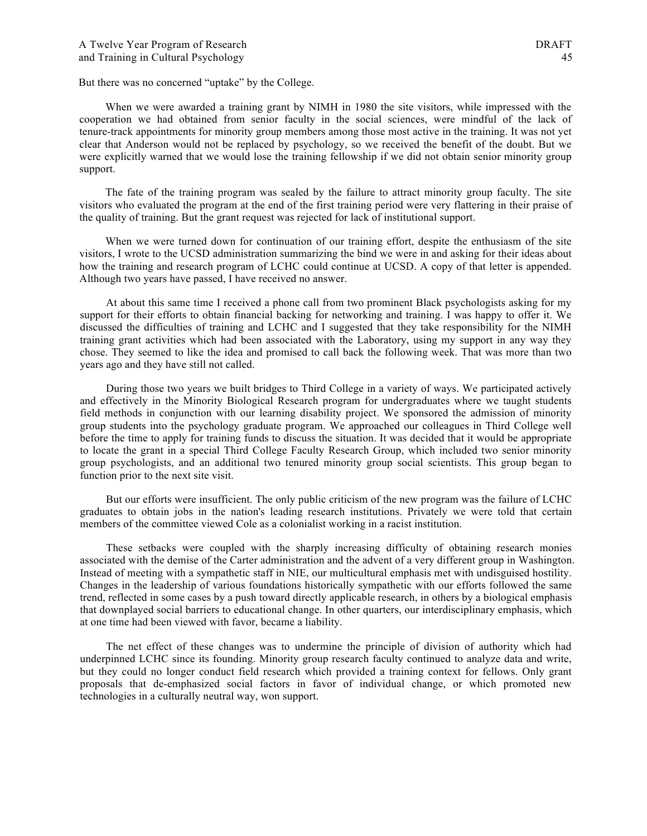But there was no concerned "uptake" by the College.

When we were awarded a training grant by NIMH in 1980 the site visitors, while impressed with the cooperation we had obtained from senior faculty in the social sciences, were mindful of the lack of tenure-track appointments for minority group members among those most active in the training. It was not yet clear that Anderson would not be replaced by psychology, so we received the benefit of the doubt. But we were explicitly warned that we would lose the training fellowship if we did not obtain senior minority group support.

The fate of the training program was sealed by the failure to attract minority group faculty. The site visitors who evaluated the program at the end of the first training period were very flattering in their praise of the quality of training. But the grant request was rejected for lack of institutional support.

When we were turned down for continuation of our training effort, despite the enthusiasm of the site visitors, I wrote to the UCSD administration summarizing the bind we were in and asking for their ideas about how the training and research program of LCHC could continue at UCSD. A copy of that letter is appended. Although two years have passed, I have received no answer.

At about this same time I received a phone call from two prominent Black psychologists asking for my support for their efforts to obtain financial backing for networking and training. I was happy to offer it. We discussed the difficulties of training and LCHC and I suggested that they take responsibility for the NIMH training grant activities which had been associated with the Laboratory, using my support in any way they chose. They seemed to like the idea and promised to call back the following week. That was more than two years ago and they have still not called.

During those two years we built bridges to Third College in a variety of ways. We participated actively and effectively in the Minority Biological Research program for undergraduates where we taught students field methods in conjunction with our learning disability project. We sponsored the admission of minority group students into the psychology graduate program. We approached our colleagues in Third College well before the time to apply for training funds to discuss the situation. It was decided that it would be appropriate to locate the grant in a special Third College Faculty Research Group, which included two senior minority group psychologists, and an additional two tenured minority group social scientists. This group began to function prior to the next site visit.

But our efforts were insufficient. The only public criticism of the new program was the failure of LCHC graduates to obtain jobs in the nation's leading research institutions. Privately we were told that certain members of the committee viewed Cole as a colonialist working in a racist institution.

These setbacks were coupled with the sharply increasing difficulty of obtaining research monies associated with the demise of the Carter administration and the advent of a very different group in Washington. Instead of meeting with a sympathetic staff in NIE, our multicultural emphasis met with undisguised hostility. Changes in the leadership of various foundations historically sympathetic with our efforts followed the same trend, reflected in some cases by a push toward directly applicable research, in others by a biological emphasis that downplayed social barriers to educational change. In other quarters, our interdisciplinary emphasis, which at one time had been viewed with favor, became a liability.

The net effect of these changes was to undermine the principle of division of authority which had underpinned LCHC since its founding. Minority group research faculty continued to analyze data and write, but they could no longer conduct field research which provided a training context for fellows. Only grant proposals that de-emphasized social factors in favor of individual change, or which promoted new technologies in a culturally neutral way, won support.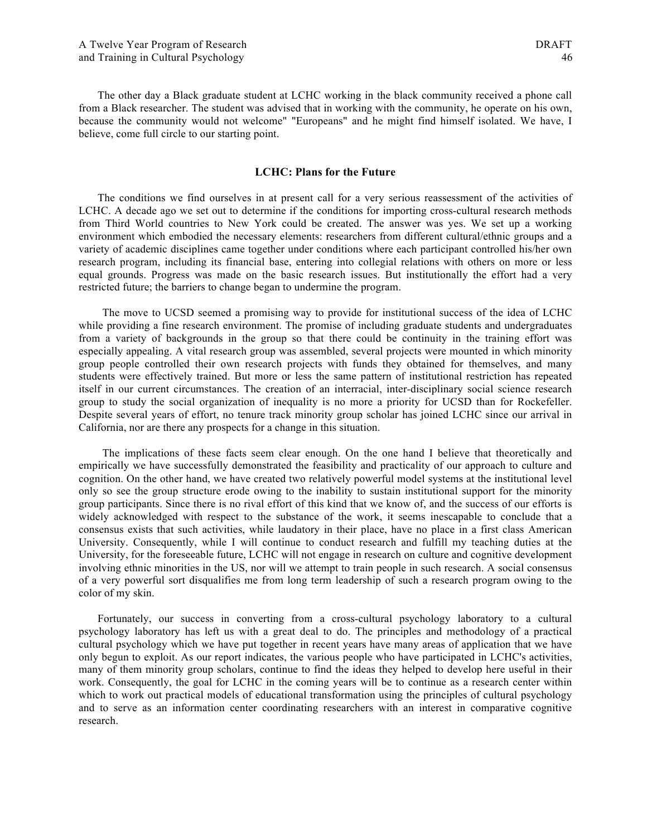The other day a Black graduate student at LCHC working in the black community received a phone call from a Black researcher. The student was advised that in working with the community, he operate on his own, because the community would not welcome" "Europeans" and he might find himself isolated. We have, I believe, come full circle to our starting point.

# **LCHC: Plans for the Future**

The conditions we find ourselves in at present call for a very serious reassessment of the activities of LCHC. A decade ago we set out to determine if the conditions for importing cross-cultural research methods from Third World countries to New York could be created. The answer was yes. We set up a working environment which embodied the necessary elements: researchers from different cultural/ethnic groups and a variety of academic disciplines came together under conditions where each participant controlled his/her own research program, including its financial base, entering into collegial relations with others on more or less equal grounds. Progress was made on the basic research issues. But institutionally the effort had a very restricted future; the barriers to change began to undermine the program.

The move to UCSD seemed a promising way to provide for institutional success of the idea of LCHC while providing a fine research environment. The promise of including graduate students and undergraduates from a variety of backgrounds in the group so that there could be continuity in the training effort was especially appealing. A vital research group was assembled, several projects were mounted in which minority group people controlled their own research projects with funds they obtained for themselves, and many students were effectively trained. But more or less the same pattern of institutional restriction has repeated itself in our current circumstances. The creation of an interracial, inter-disciplinary social science research group to study the social organization of inequality is no more a priority for UCSD than for Rockefeller. Despite several years of effort, no tenure track minority group scholar has joined LCHC since our arrival in California, nor are there any prospects for a change in this situation.

The implications of these facts seem clear enough. On the one hand I believe that theoretically and empirically we have successfully demonstrated the feasibility and practicality of our approach to culture and cognition. On the other hand, we have created two relatively powerful model systems at the institutional level only so see the group structure erode owing to the inability to sustain institutional support for the minority group participants. Since there is no rival effort of this kind that we know of, and the success of our efforts is widely acknowledged with respect to the substance of the work, it seems inescapable to conclude that a consensus exists that such activities, while laudatory in their place, have no place in a first class American University. Consequently, while I will continue to conduct research and fulfill my teaching duties at the University, for the foreseeable future, LCHC will not engage in research on culture and cognitive development involving ethnic minorities in the US, nor will we attempt to train people in such research. A social consensus of a very powerful sort disqualifies me from long term leadership of such a research program owing to the color of my skin.

Fortunately, our success in converting from a cross-cultural psychology laboratory to a cultural psychology laboratory has left us with a great deal to do. The principles and methodology of a practical cultural psychology which we have put together in recent years have many areas of application that we have only begun to exploit. As our report indicates, the various people who have participated in LCHC's activities, many of them minority group scholars, continue to find the ideas they helped to develop here useful in their work. Consequently, the goal for LCHC in the coming years will be to continue as a research center within which to work out practical models of educational transformation using the principles of cultural psychology and to serve as an information center coordinating researchers with an interest in comparative cognitive research.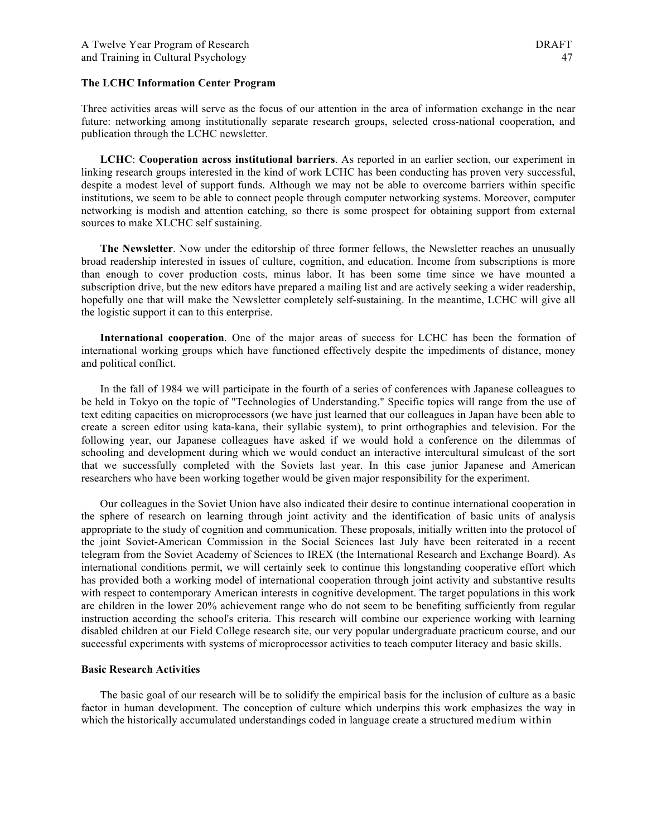#### **The LCHC Information Center Program**

Three activities areas will serve as the focus of our attention in the area of information exchange in the near future: networking among institutionally separate research groups, selected cross-national cooperation, and publication through the LCHC newsletter.

**LCHC**: **Cooperation across institutional barriers**. As reported in an earlier section, our experiment in linking research groups interested in the kind of work LCHC has been conducting has proven very successful, despite a modest level of support funds. Although we may not be able to overcome barriers within specific institutions, we seem to be able to connect people through computer networking systems. Moreover, computer networking is modish and attention catching, so there is some prospect for obtaining support from external sources to make XLCHC self sustaining.

**The Newsletter**. Now under the editorship of three former fellows, the Newsletter reaches an unusually broad readership interested in issues of culture, cognition, and education. Income from subscriptions is more than enough to cover production costs, minus labor. It has been some time since we have mounted a subscription drive, but the new editors have prepared a mailing list and are actively seeking a wider readership, hopefully one that will make the Newsletter completely self-sustaining. In the meantime, LCHC will give all the logistic support it can to this enterprise.

**International cooperation**. One of the major areas of success for LCHC has been the formation of international working groups which have functioned effectively despite the impediments of distance, money and political conflict.

In the fall of 1984 we will participate in the fourth of a series of conferences with Japanese colleagues to be held in Tokyo on the topic of "Technologies of Understanding." Specific topics will range from the use of text editing capacities on microprocessors (we have just learned that our colleagues in Japan have been able to create a screen editor using kata-kana, their syllabic system), to print orthographies and television. For the following year, our Japanese colleagues have asked if we would hold a conference on the dilemmas of schooling and development during which we would conduct an interactive intercultural simulcast of the sort that we successfully completed with the Soviets last year. In this case junior Japanese and American researchers who have been working together would be given major responsibility for the experiment.

Our colleagues in the Soviet Union have also indicated their desire to continue international cooperation in the sphere of research on learning through joint activity and the identification of basic units of analysis appropriate to the study of cognition and communication. These proposals, initially written into the protocol of the joint Soviet-American Commission in the Social Sciences last July have been reiterated in a recent telegram from the Soviet Academy of Sciences to IREX (the International Research and Exchange Board). As international conditions permit, we will certainly seek to continue this longstanding cooperative effort which has provided both a working model of international cooperation through joint activity and substantive results with respect to contemporary American interests in cognitive development. The target populations in this work are children in the lower 20% achievement range who do not seem to be benefiting sufficiently from regular instruction according the school's criteria. This research will combine our experience working with learning disabled children at our Field College research site, our very popular undergraduate practicum course, and our successful experiments with systems of microprocessor activities to teach computer literacy and basic skills.

### **Basic Research Activities**

The basic goal of our research will be to solidify the empirical basis for the inclusion of culture as a basic factor in human development. The conception of culture which underpins this work emphasizes the way in which the historically accumulated understandings coded in language create a structured medium within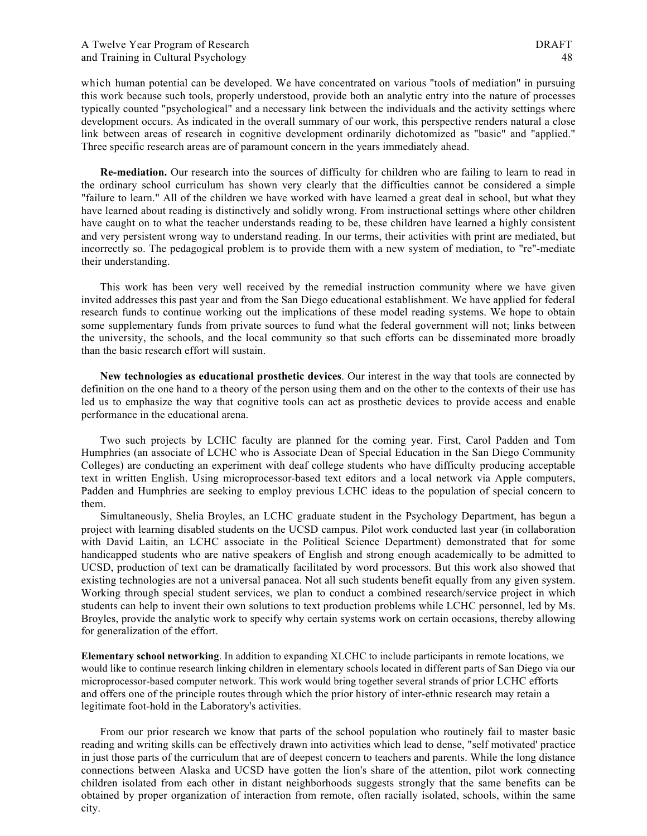which human potential can be developed. We have concentrated on various "tools of mediation" in pursuing this work because such tools, properly understood, provide both an analytic entry into the nature of processes typically counted "psychological" and a necessary link between the individuals and the activity settings where development occurs. As indicated in the overall summary of our work, this perspective renders natural a close link between areas of research in cognitive development ordinarily dichotomized as "basic" and "applied." Three specific research areas are of paramount concern in the years immediately ahead.

**Re-mediation.** Our research into the sources of difficulty for children who are failing to learn to read in the ordinary school curriculum has shown very clearly that the difficulties cannot be considered a simple "failure to learn." All of the children we have worked with have learned a great deal in school, but what they have learned about reading is distinctively and solidly wrong. From instructional settings where other children have caught on to what the teacher understands reading to be, these children have learned a highly consistent and very persistent wrong way to understand reading. In our terms, their activities with print are mediated, but incorrectly so. The pedagogical problem is to provide them with a new system of mediation, to "re"-mediate their understanding.

This work has been very well received by the remedial instruction community where we have given invited addresses this past year and from the San Diego educational establishment. We have applied for federal research funds to continue working out the implications of these model reading systems. We hope to obtain some supplementary funds from private sources to fund what the federal government will not; links between the university, the schools, and the local community so that such efforts can be disseminated more broadly than the basic research effort will sustain.

**New technologies as educational prosthetic devices**. Our interest in the way that tools are connected by definition on the one hand to a theory of the person using them and on the other to the contexts of their use has led us to emphasize the way that cognitive tools can act as prosthetic devices to provide access and enable performance in the educational arena.

Two such projects by LCHC faculty are planned for the coming year. First, Carol Padden and Tom Humphries (an associate of LCHC who is Associate Dean of Special Education in the San Diego Community Colleges) are conducting an experiment with deaf college students who have difficulty producing acceptable text in written English. Using microprocessor-based text editors and a local network via Apple computers, Padden and Humphries are seeking to employ previous LCHC ideas to the population of special concern to them.

Simultaneously, Shelia Broyles, an LCHC graduate student in the Psychology Department, has begun a project with learning disabled students on the UCSD campus. Pilot work conducted last year (in collaboration with David Laitin, an LCHC associate in the Political Science Department) demonstrated that for some handicapped students who are native speakers of English and strong enough academically to be admitted to UCSD, production of text can be dramatically facilitated by word processors. But this work also showed that existing technologies are not a universal panacea. Not all such students benefit equally from any given system. Working through special student services, we plan to conduct a combined research/service project in which students can help to invent their own solutions to text production problems while LCHC personnel, led by Ms. Broyles, provide the analytic work to specify why certain systems work on certain occasions, thereby allowing for generalization of the effort.

**Elementary school networking**. In addition to expanding XLCHC to include participants in remote locations, we would like to continue research linking children in elementary schools located in different parts of San Diego via our microprocessor-based computer network. This work would bring together several strands of prior LCHC efforts and offers one of the principle routes through which the prior history of inter-ethnic research may retain a legitimate foot-hold in the Laboratory's activities.

From our prior research we know that parts of the school population who routinely fail to master basic reading and writing skills can be effectively drawn into activities which lead to dense, "self motivated' practice in just those parts of the curriculum that are of deepest concern to teachers and parents. While the long distance connections between Alaska and UCSD have gotten the lion's share of the attention, pilot work connecting children isolated from each other in distant neighborhoods suggests strongly that the same benefits can be obtained by proper organization of interaction from remote, often racially isolated, schools, within the same city.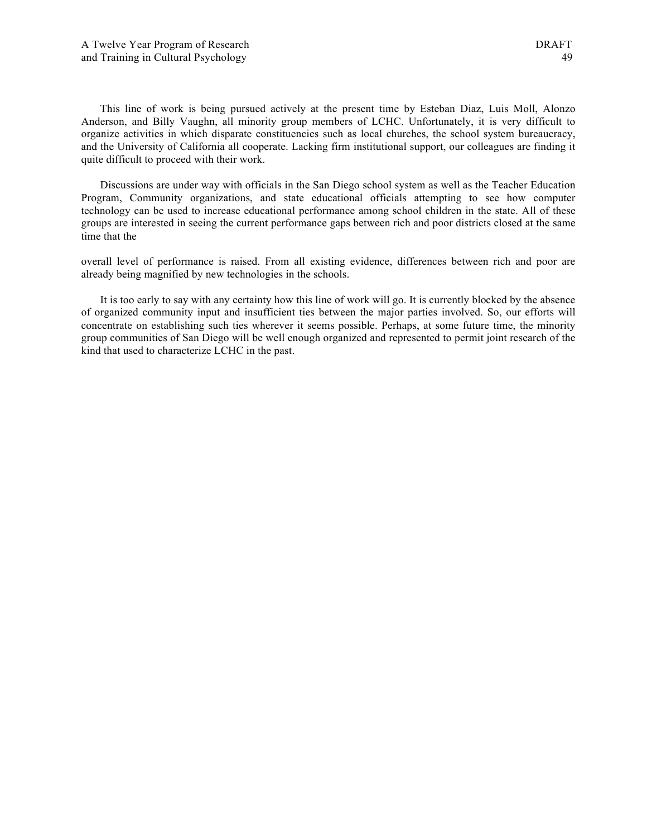This line of work is being pursued actively at the present time by Esteban Diaz, Luis Moll, Alonzo Anderson, and Billy Vaughn, all minority group members of LCHC. Unfortunately, it is very difficult to organize activities in which disparate constituencies such as local churches, the school system bureaucracy, and the University of California all cooperate. Lacking firm institutional support, our colleagues are finding it quite difficult to proceed with their work.

Discussions are under way with officials in the San Diego school system as well as the Teacher Education Program, Community organizations, and state educational officials attempting to see how computer technology can be used to increase educational performance among school children in the state. All of these groups are interested in seeing the current performance gaps between rich and poor districts closed at the same time that the

overall level of performance is raised. From all existing evidence, differences between rich and poor are already being magnified by new technologies in the schools.

It is too early to say with any certainty how this line of work will go. It is currently blocked by the absence of organized community input and insufficient ties between the major parties involved. So, our efforts will concentrate on establishing such ties wherever it seems possible. Perhaps, at some future time, the minority group communities of San Diego will be well enough organized and represented to permit joint research of the kind that used to characterize LCHC in the past.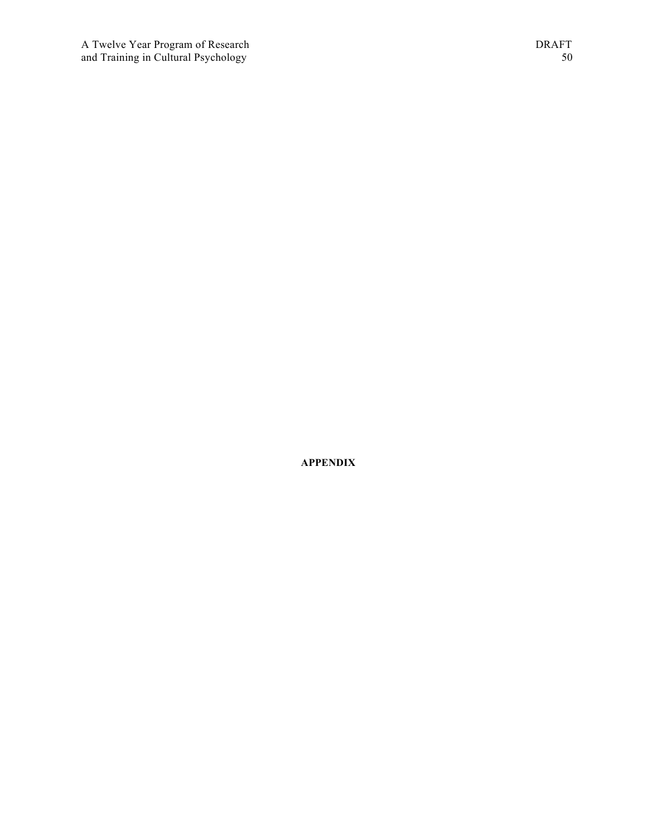**APPENDIX**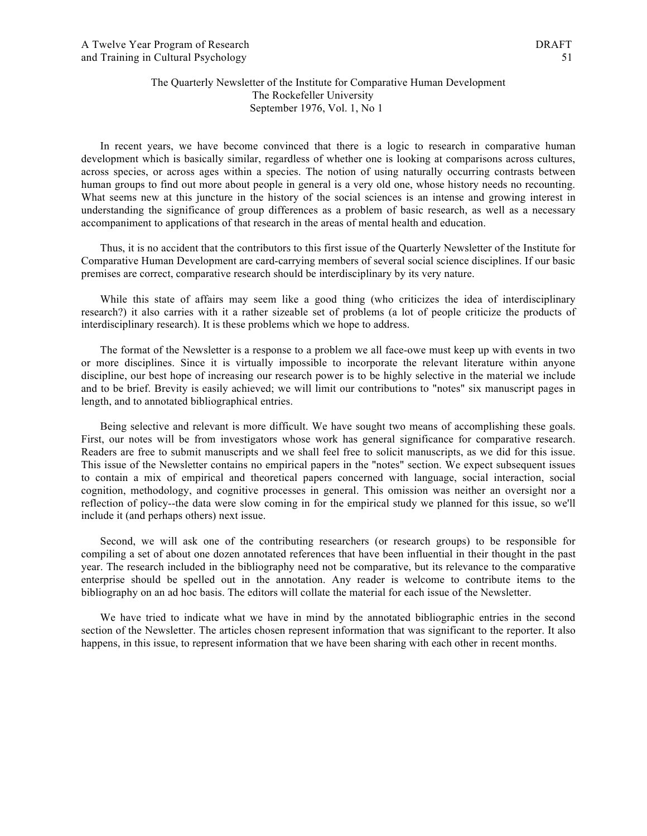# The Quarterly Newsletter of the Institute for Comparative Human Development The Rockefeller University September 1976, Vol. 1, No 1

In recent years, we have become convinced that there is a logic to research in comparative human development which is basically similar, regardless of whether one is looking at comparisons across cultures, across species, or across ages within a species. The notion of using naturally occurring contrasts between human groups to find out more about people in general is a very old one, whose history needs no recounting. What seems new at this juncture in the history of the social sciences is an intense and growing interest in understanding the significance of group differences as a problem of basic research, as well as a necessary accompaniment to applications of that research in the areas of mental health and education.

Thus, it is no accident that the contributors to this first issue of the Quarterly Newsletter of the Institute for Comparative Human Development are card-carrying members of several social science disciplines. If our basic premises are correct, comparative research should be interdisciplinary by its very nature.

While this state of affairs may seem like a good thing (who criticizes the idea of interdisciplinary research?) it also carries with it a rather sizeable set of problems (a lot of people criticize the products of interdisciplinary research). It is these problems which we hope to address.

The format of the Newsletter is a response to a problem we all face-owe must keep up with events in two or more disciplines. Since it is virtually impossible to incorporate the relevant literature within anyone discipline, our best hope of increasing our research power is to be highly selective in the material we include and to be brief. Brevity is easily achieved; we will limit our contributions to "notes" six manuscript pages in length, and to annotated bibliographical entries.

Being selective and relevant is more difficult. We have sought two means of accomplishing these goals. First, our notes will be from investigators whose work has general significance for comparative research. Readers are free to submit manuscripts and we shall feel free to solicit manuscripts, as we did for this issue. This issue of the Newsletter contains no empirical papers in the "notes" section. We expect subsequent issues to contain a mix of empirical and theoretical papers concerned with language, social interaction, social cognition, methodology, and cognitive processes in general. This omission was neither an oversight nor a reflection of policy--the data were slow coming in for the empirical study we planned for this issue, so we'll include it (and perhaps others) next issue.

Second, we will ask one of the contributing researchers (or research groups) to be responsible for compiling a set of about one dozen annotated references that have been influential in their thought in the past year. The research included in the bibliography need not be comparative, but its relevance to the comparative enterprise should be spelled out in the annotation. Any reader is welcome to contribute items to the bibliography on an ad hoc basis. The editors will collate the material for each issue of the Newsletter.

We have tried to indicate what we have in mind by the annotated bibliographic entries in the second section of the Newsletter. The articles chosen represent information that was significant to the reporter. It also happens, in this issue, to represent information that we have been sharing with each other in recent months.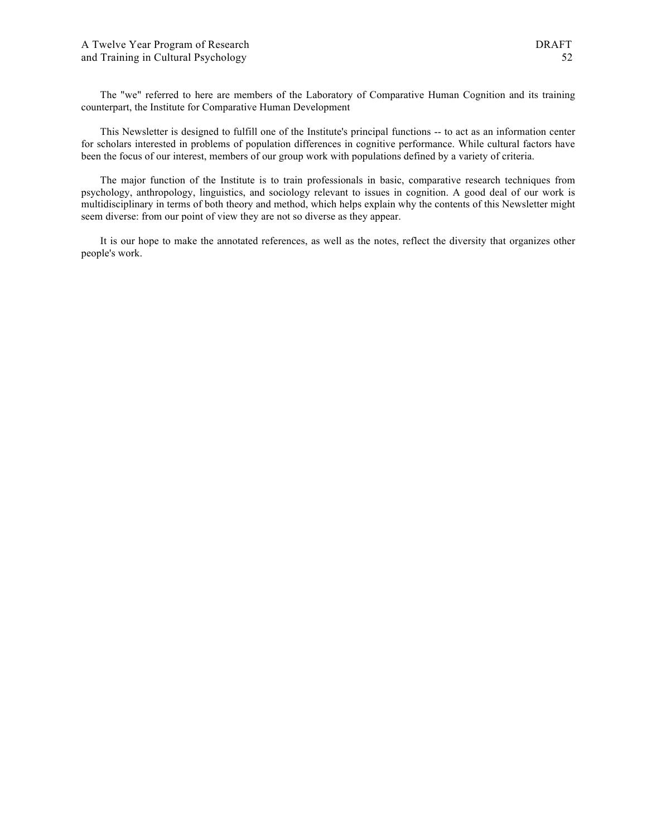The "we" referred to here are members of the Laboratory of Comparative Human Cognition and its training counterpart, the Institute for Comparative Human Development

This Newsletter is designed to fulfill one of the Institute's principal functions -- to act as an information center for scholars interested in problems of population differences in cognitive performance. While cultural factors have been the focus of our interest, members of our group work with populations defined by a variety of criteria.

The major function of the Institute is to train professionals in basic, comparative research techniques from psychology, anthropology, linguistics, and sociology relevant to issues in cognition. A good deal of our work is multidisciplinary in terms of both theory and method, which helps explain why the contents of this Newsletter might seem diverse: from our point of view they are not so diverse as they appear.

It is our hope to make the annotated references, as well as the notes, reflect the diversity that organizes other people's work.